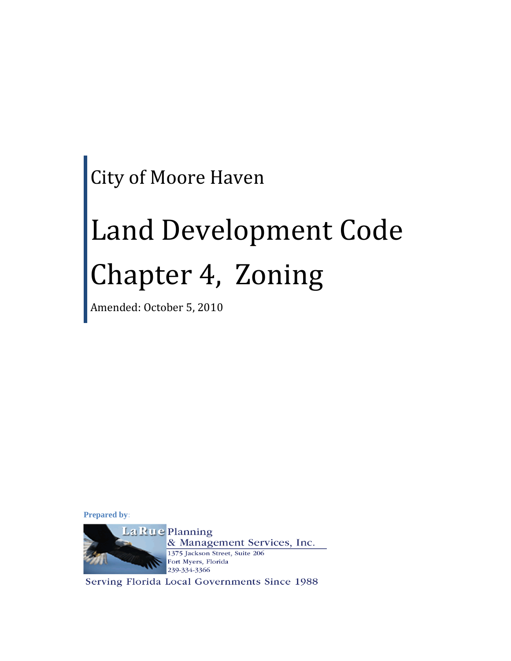City of Moore Haven

# Land Development Code Chapter 4, Zoning

Amended: October 5, 2010

**Prepared by:**



Serving Florida Local Governments Since 1988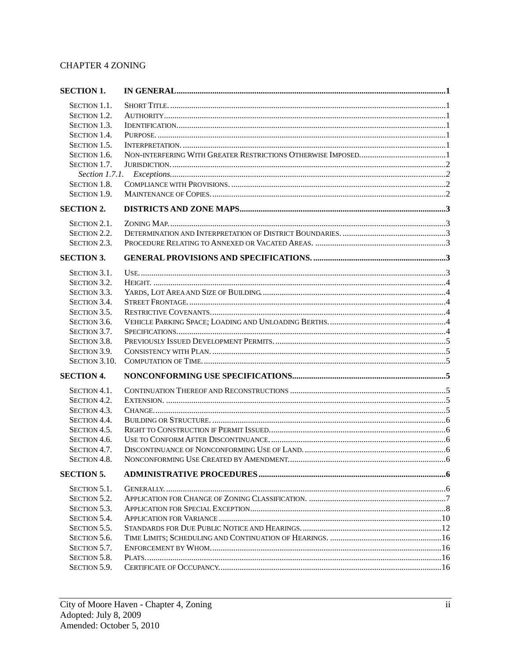# **CHAPTER 4 ZONING**

| <b>SECTION 1.</b>  |  |
|--------------------|--|
| SECTION 1.1.       |  |
| SECTION 1.2.       |  |
| SECTION 1.3.       |  |
| SECTION 1.4.       |  |
| SECTION 1.5.       |  |
| SECTION 1.6.       |  |
| SECTION 1.7.       |  |
|                    |  |
| SECTION 1.8.       |  |
| SECTION 1.9.       |  |
| <b>SECTION 2.</b>  |  |
| SECTION 2.1.       |  |
| SECTION 2.2.       |  |
| SECTION 2.3.       |  |
|                    |  |
| <b>SECTION 3.</b>  |  |
| SECTION 3.1.       |  |
| SECTION 3.2.       |  |
| SECTION 3.3.       |  |
| SECTION 3.4.       |  |
| SECTION 3.5.       |  |
| SECTION 3.6.       |  |
| SECTION 3.7.       |  |
| SECTION 3.8.       |  |
| SECTION 3.9.       |  |
| SECTION 3.10.      |  |
| <b>SECTION 4.</b>  |  |
| SECTION 4.1.       |  |
| SECTION 4.2.       |  |
| SECTION 4.3.       |  |
| SECTION 4.4.       |  |
| SECTION 4.5.       |  |
| SECTION 4.6.       |  |
|                    |  |
| SECTION 4.7.       |  |
| <b>SECTION 4.8</b> |  |
| <b>SECTION 5.</b>  |  |
| SECTION 5.1.       |  |
| SECTION 5.2.       |  |
| SECTION 5.3.       |  |
| SECTION 5.4.       |  |
| SECTION 5.5.       |  |
| SECTION 5.6.       |  |
| SECTION 5.7.       |  |
| SECTION 5.8.       |  |
| SECTION 5.9.       |  |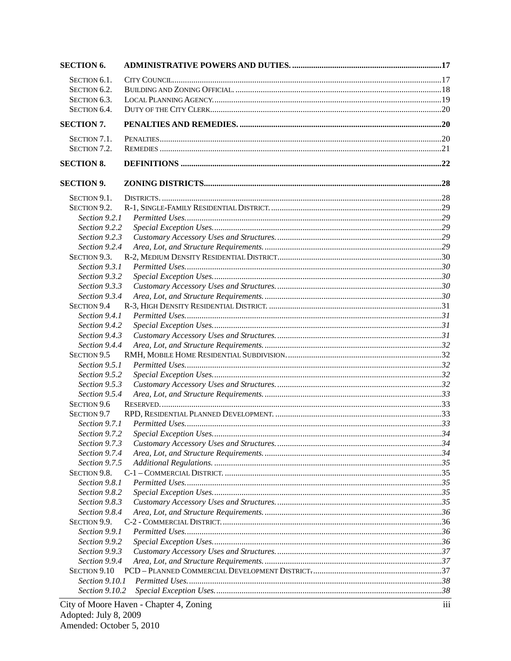| <b>SECTION 6.</b>              |                                         |     |
|--------------------------------|-----------------------------------------|-----|
| SECTION 6.1.                   |                                         |     |
| SECTION 6.2.                   |                                         |     |
| SECTION 6.3.                   |                                         |     |
| SECTION 6.4.                   |                                         |     |
| <b>SECTION 7.</b>              |                                         |     |
| SECTION 7.1.                   |                                         |     |
| SECTION 7.2.                   |                                         |     |
| <b>SECTION 8.</b>              |                                         |     |
| <b>SECTION 9.</b>              |                                         |     |
|                                |                                         |     |
| SECTION 9.1.                   |                                         |     |
| SECTION 9.2.<br>Section 9.2.1  |                                         |     |
| Section 9.2.2                  |                                         |     |
| Section 9.2.3                  |                                         |     |
| Section 9.2.4                  |                                         |     |
| SECTION 9.3.                   |                                         |     |
| Section 9.3.1                  |                                         |     |
| Section 9.3.2                  |                                         |     |
| Section 9.3.3                  |                                         |     |
| Section 9.3.4                  |                                         |     |
| <b>SECTION 9.4</b>             |                                         |     |
|                                |                                         |     |
| Section 9.4.1<br>Section 9.4.2 |                                         |     |
| Section 9.4.3                  |                                         |     |
| Section 9.4.4                  |                                         |     |
| SECTION 9.5                    |                                         |     |
| Section 9.5.1                  |                                         |     |
| Section 9.5.2                  |                                         |     |
| Section 9.5.3                  |                                         |     |
| Section 9.5.4                  |                                         |     |
| SECTION 9.6                    |                                         |     |
| SECTION 9.7                    |                                         |     |
| Section 9.7.1                  |                                         |     |
| Section 9.7.2                  |                                         |     |
| Section 9.7.3                  |                                         |     |
| Section 9.7.4                  |                                         |     |
| Section 9.7.5                  |                                         |     |
| SECTION 9.8.                   |                                         |     |
| Section 9.8.1                  |                                         |     |
| Section 9.8.2                  |                                         |     |
| Section 9.8.3                  |                                         |     |
| Section 9.8.4                  |                                         |     |
| SECTION 9.9.                   |                                         |     |
| Section 9.9.1                  |                                         |     |
| Section 9.9.2                  |                                         |     |
| Section 9.9.3                  |                                         |     |
| Section 9.9.4                  |                                         |     |
| SECTION 9.10                   |                                         |     |
| Section 9.10.1                 |                                         |     |
| Section 9.10.2                 |                                         |     |
|                                |                                         |     |
|                                | City of Moore Haven - Chapter 4, Zoning | iii |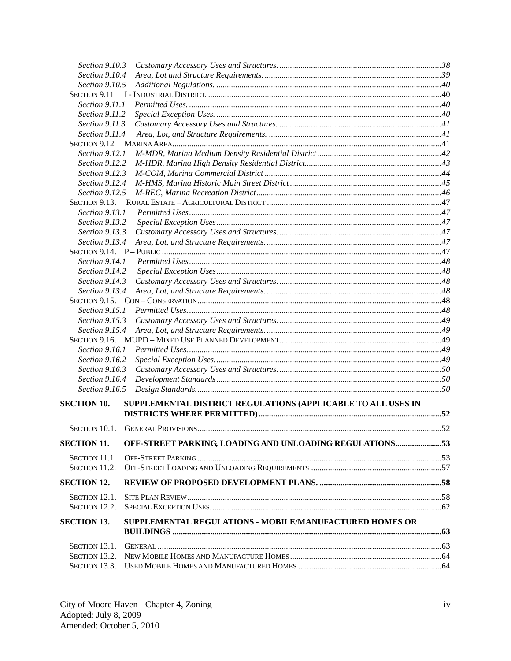| Section 9.10.3                   |                                                                |  |
|----------------------------------|----------------------------------------------------------------|--|
| Section 9.10.4                   |                                                                |  |
| Section 9.10.5                   |                                                                |  |
| SECTION 9.11                     |                                                                |  |
| Section 9.11.1                   |                                                                |  |
| Section 9.11.2                   |                                                                |  |
| Section 9.11.3                   |                                                                |  |
| Section 9.11.4                   |                                                                |  |
| SECTION 9.12                     |                                                                |  |
| Section 9.12.1                   |                                                                |  |
| Section 9.12.2                   |                                                                |  |
| Section 9.12.3                   |                                                                |  |
| Section 9.12.4                   |                                                                |  |
| Section 9.12.5                   |                                                                |  |
| SECTION 9.13.                    |                                                                |  |
| Section 9.13.1                   |                                                                |  |
| Section 9.13.2                   |                                                                |  |
| Section 9.13.3                   |                                                                |  |
| Section 9.13.4                   |                                                                |  |
|                                  |                                                                |  |
| Section 9.14.1                   |                                                                |  |
| Section 9.14.2                   |                                                                |  |
| Section 9.14.3                   |                                                                |  |
| Section 9.13.4                   |                                                                |  |
|                                  |                                                                |  |
| <i>Section 9.15.1</i>            |                                                                |  |
| Section 9.15.3                   |                                                                |  |
| Section 9.15.4                   |                                                                |  |
|                                  |                                                                |  |
| Section 9.16.1                   |                                                                |  |
| Section 9.16.2<br>Section 9.16.3 |                                                                |  |
| Section 9.16.4                   |                                                                |  |
| Section 9.16.5                   |                                                                |  |
|                                  |                                                                |  |
| <b>SECTION 10.</b>               | SUPPLEMENTAL DISTRICT REGULATIONS (APPLICABLE TO ALL USES IN   |  |
|                                  |                                                                |  |
|                                  |                                                                |  |
|                                  |                                                                |  |
| <b>SECTION 11.</b>               | OFF-STREET PARKING, LOADING AND UNLOADING REGULATIONS53        |  |
| SECTION 11.1.                    |                                                                |  |
| SECTION 11.2.                    |                                                                |  |
|                                  |                                                                |  |
| <b>SECTION 12.</b>               |                                                                |  |
| SECTION 12.1.                    |                                                                |  |
| SECTION 12.2.                    |                                                                |  |
| <b>SECTION 13.</b>               | <b>SUPPLEMENTAL REGULATIONS - MOBILE/MANUFACTURED HOMES OR</b> |  |
|                                  |                                                                |  |
|                                  |                                                                |  |
| SECTION 13.1.                    |                                                                |  |
| SECTION 13.2.                    |                                                                |  |
| SECTION 13.3.                    |                                                                |  |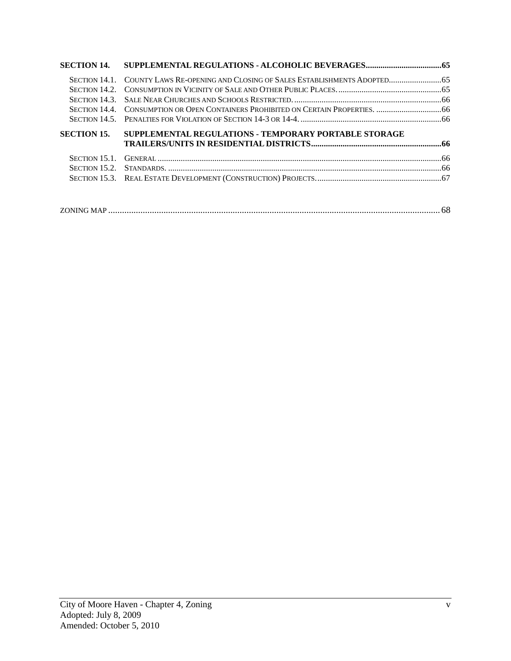|                    | SECTION 14.1. COUNTY LAWS RE-OPENING AND CLOSING OF SALES ESTABLISHMENTS ADOPTED  |  |
|--------------------|-----------------------------------------------------------------------------------|--|
|                    |                                                                                   |  |
|                    |                                                                                   |  |
|                    | SECTION 14.4. CONSUMPTION OR OPEN CONTAINERS PROHIBITED ON CERTAIN PROPERTIES. 66 |  |
|                    |                                                                                   |  |
| <b>SECTION 15.</b> | SUPPLEMENTAL REGULATIONS - TEMPORARY PORTABLE STORAGE                             |  |
|                    |                                                                                   |  |
|                    |                                                                                   |  |
|                    |                                                                                   |  |
|                    |                                                                                   |  |

|--|--|--|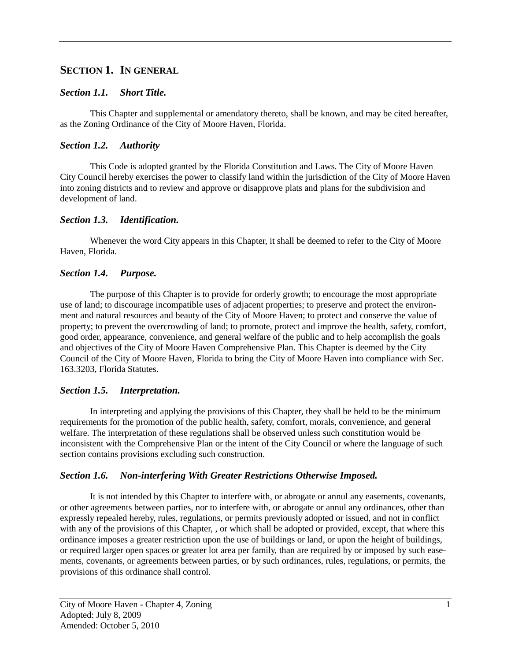# <span id="page-5-0"></span>**SECTION 1. IN GENERAL**

# <span id="page-5-1"></span>*Section 1.1. Short Title.*

This Chapter and supplemental or amendatory thereto, shall be known, and may be cited hereafter, as the Zoning Ordinance of the City of Moore Haven, Florida.

# <span id="page-5-2"></span>*Section 1.2. Authority*

This Code is adopted granted by the Florida Constitution and Laws. The City of Moore Haven City Council hereby exercises the power to classify land within the jurisdiction of the City of Moore Haven into zoning districts and to review and approve or disapprove plats and plans for the subdivision and development of land.

# <span id="page-5-3"></span>*Section 1.3. Identification.*

Whenever the word City appears in this Chapter, it shall be deemed to refer to the City of Moore Haven, Florida.

# <span id="page-5-4"></span>*Section 1.4. Purpose.*

The purpose of this Chapter is to provide for orderly growth; to encourage the most appropriate use of land; to discourage incompatible uses of adjacent properties; to preserve and protect the environment and natural resources and beauty of the City of Moore Haven; to protect and conserve the value of property; to prevent the overcrowding of land; to promote, protect and improve the health, safety, comfort, good order, appearance, convenience, and general welfare of the public and to help accomplish the goals and objectives of the City of Moore Haven Comprehensive Plan. This Chapter is deemed by the City Council of the City of Moore Haven, Florida to bring the City of Moore Haven into compliance with Sec. 163.3203, Florida Statutes.

# <span id="page-5-5"></span>*Section 1.5. Interpretation.*

In interpreting and applying the provisions of this Chapter, they shall be held to be the minimum requirements for the promotion of the public health, safety, comfort, morals, convenience, and general welfare. The interpretation of these regulations shall be observed unless such constitution would be inconsistent with the Comprehensive Plan or the intent of the City Council or where the language of such section contains provisions excluding such construction.

# <span id="page-5-6"></span>*Section 1.6. Non-interfering With Greater Restrictions Otherwise Imposed.*

It is not intended by this Chapter to interfere with, or abrogate or annul any easements, covenants, or other agreements between parties, nor to interfere with, or abrogate or annul any ordinances, other than expressly repealed hereby, rules, regulations, or permits previously adopted or issued, and not in conflict with any of the provisions of this Chapter, , or which shall be adopted or provided, except, that where this ordinance imposes a greater restriction upon the use of buildings or land, or upon the height of buildings, or required larger open spaces or greater lot area per family, than are required by or imposed by such easements, covenants, or agreements between parties, or by such ordinances, rules, regulations, or permits, the provisions of this ordinance shall control.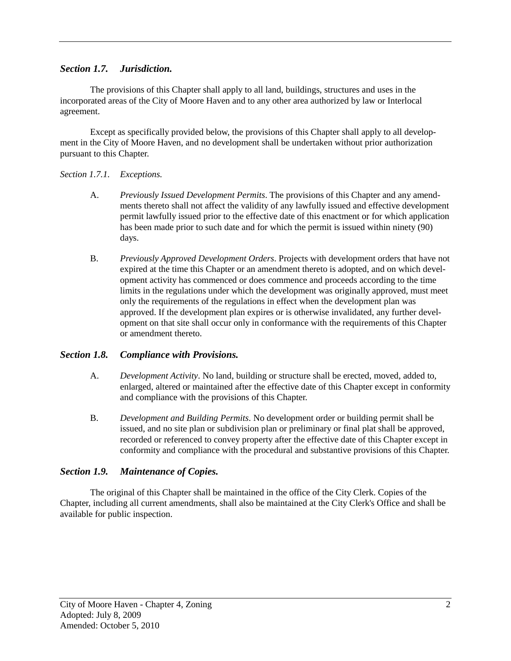# <span id="page-6-0"></span>*Section 1.7. Jurisdiction.*

The provisions of this Chapter shall apply to all land, buildings, structures and uses in the incorporated areas of the City of Moore Haven and to any other area authorized by law or Interlocal agreement.

Except as specifically provided below, the provisions of this Chapter shall apply to all development in the City of Moore Haven, and no development shall be undertaken without prior authorization pursuant to this Chapter.

#### <span id="page-6-1"></span>*Section 1.7.1. Exceptions.*

- A. *Previously Issued Development Permits*. The provisions of this Chapter and any amendments thereto shall not affect the validity of any lawfully issued and effective development permit lawfully issued prior to the effective date of this enactment or for which application has been made prior to such date and for which the permit is issued within ninety (90) days.
- B. *Previously Approved Development Orders*. Projects with development orders that have not expired at the time this Chapter or an amendment thereto is adopted, and on which development activity has commenced or does commence and proceeds according to the time limits in the regulations under which the development was originally approved, must meet only the requirements of the regulations in effect when the development plan was approved. If the development plan expires or is otherwise invalidated, any further development on that site shall occur only in conformance with the requirements of this Chapter or amendment thereto.

#### <span id="page-6-2"></span>*Section 1.8. Compliance with Provisions.*

- A. *Development Activity*. No land, building or structure shall be erected, moved, added to, enlarged, altered or maintained after the effective date of this Chapter except in conformity and compliance with the provisions of this Chapter.
- B. *Development and Building Permits*. No development order or building permit shall be issued, and no site plan or subdivision plan or preliminary or final plat shall be approved, recorded or referenced to convey property after the effective date of this Chapter except in conformity and compliance with the procedural and substantive provisions of this Chapter.

#### <span id="page-6-3"></span>*Section 1.9. Maintenance of Copies.*

The original of this Chapter shall be maintained in the office of the City Clerk. Copies of the Chapter, including all current amendments, shall also be maintained at the City Clerk's Office and shall be available for public inspection.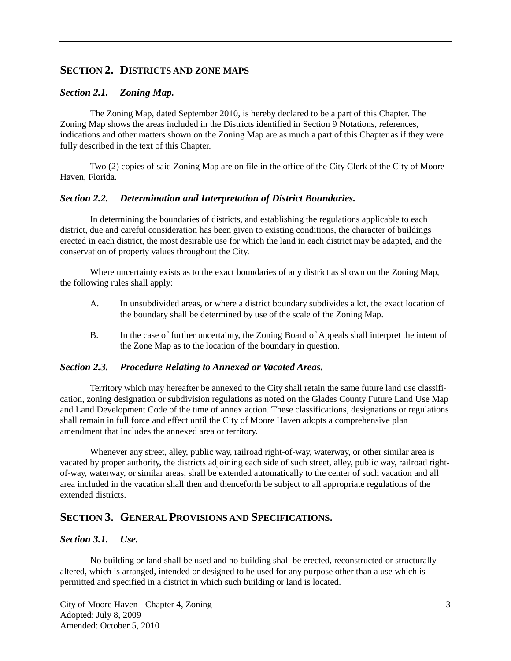# <span id="page-7-0"></span>**SECTION 2. DISTRICTS AND ZONE MAPS**

## <span id="page-7-1"></span>*Section 2.1. Zoning Map.*

The Zoning Map, dated September 2010, is hereby declared to be a part of this Chapter. The Zoning Map shows the areas included in the Districts identified in Section 9 Notations, references, indications and other matters shown on the Zoning Map are as much a part of this Chapter as if they were fully described in the text of this Chapter.

Two (2) copies of said Zoning Map are on file in the office of the City Clerk of the City of Moore Haven, Florida.

#### <span id="page-7-2"></span>*Section 2.2. Determination and Interpretation of District Boundaries.*

In determining the boundaries of districts, and establishing the regulations applicable to each district, due and careful consideration has been given to existing conditions, the character of buildings erected in each district, the most desirable use for which the land in each district may be adapted, and the conservation of property values throughout the City.

Where uncertainty exists as to the exact boundaries of any district as shown on the Zoning Map, the following rules shall apply:

- A. In unsubdivided areas, or where a district boundary subdivides a lot, the exact location of the boundary shall be determined by use of the scale of the Zoning Map.
- B. In the case of further uncertainty, the Zoning Board of Appeals shall interpret the intent of the Zone Map as to the location of the boundary in question.

#### <span id="page-7-3"></span>*Section 2.3. Procedure Relating to Annexed or Vacated Areas.*

Territory which may hereafter be annexed to the City shall retain the same future land use classification, zoning designation or subdivision regulations as noted on the Glades County Future Land Use Map and Land Development Code of the time of annex action. These classifications, designations or regulations shall remain in full force and effect until the City of Moore Haven adopts a comprehensive plan amendment that includes the annexed area or territory.

Whenever any street, alley, public way, railroad right-of-way, waterway, or other similar area is vacated by proper authority, the districts adjoining each side of such street, alley, public way, railroad rightof-way, waterway, or similar areas, shall be extended automatically to the center of such vacation and all area included in the vacation shall then and thenceforth be subject to all appropriate regulations of the extended districts.

# <span id="page-7-4"></span>**SECTION 3. GENERAL PROVISIONS AND SPECIFICATIONS.**

#### <span id="page-7-5"></span>*Section 3.1. Use.*

No building or land shall be used and no building shall be erected, reconstructed or structurally altered, which is arranged, intended or designed to be used for any purpose other than a use which is permitted and specified in a district in which such building or land is located.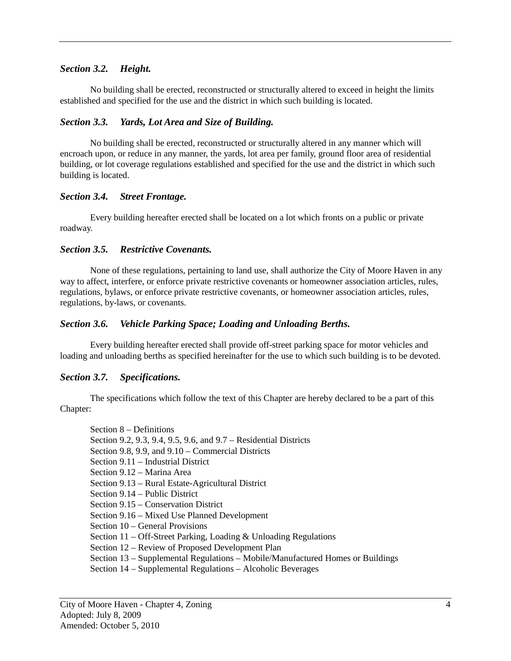# <span id="page-8-0"></span>*Section 3.2. Height.*

No building shall be erected, reconstructed or structurally altered to exceed in height the limits established and specified for the use and the district in which such building is located.

## <span id="page-8-1"></span>*Section 3.3. Yards, Lot Area and Size of Building.*

No building shall be erected, reconstructed or structurally altered in any manner which will encroach upon, or reduce in any manner, the yards, lot area per family, ground floor area of residential building, or lot coverage regulations established and specified for the use and the district in which such building is located.

#### <span id="page-8-2"></span>*Section 3.4. Street Frontage.*

Every building hereafter erected shall be located on a lot which fronts on a public or private roadway.

#### <span id="page-8-3"></span>*Section 3.5. Restrictive Covenants.*

None of these regulations, pertaining to land use, shall authorize the City of Moore Haven in any way to affect, interfere, or enforce private restrictive covenants or homeowner association articles, rules, regulations, bylaws, or enforce private restrictive covenants, or homeowner association articles, rules, regulations, by-laws, or covenants.

#### <span id="page-8-4"></span>*Section 3.6. Vehicle Parking Space; Loading and Unloading Berths.*

Every building hereafter erected shall provide off-street parking space for motor vehicles and loading and unloading berths as specified hereinafter for the use to which such building is to be devoted.

#### <span id="page-8-5"></span>*Section 3.7. Specifications.*

The specifications which follow the text of this Chapter are hereby declared to be a part of this Chapter:

Section 8 – Definitions Section 9.2, 9.3, 9.4, 9.5, 9.6, and 9.7 – Residential Districts Section 9.8, 9.9, and 9.10 – Commercial Districts Section 9.11 – Industrial District Section 9.12 – Marina Area Section 9.13 – Rural Estate-Agricultural District Section 9.14 – Public District Section 9.15 – Conservation District Section 9.16 – Mixed Use Planned Development Section 10 – General Provisions Section 11 – Off-Street Parking, Loading & Unloading Regulations Section 12 – Review of Proposed Development Plan Section 13 – Supplemental Regulations – Mobile/Manufactured Homes or Buildings Section 14 – Supplemental Regulations – Alcoholic Beverages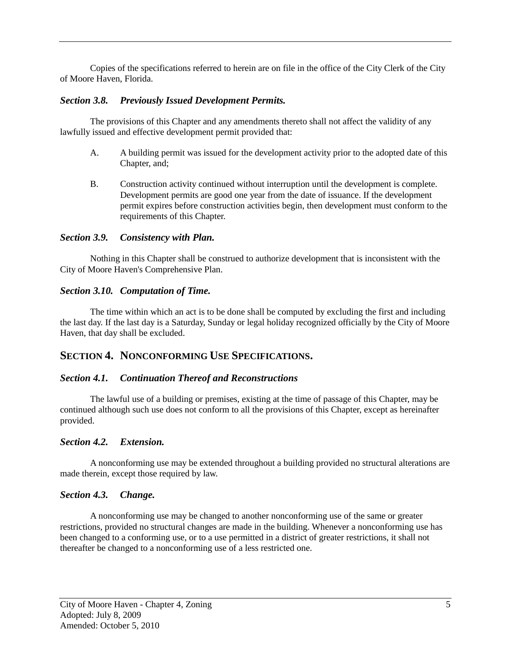Copies of the specifications referred to herein are on file in the office of the City Clerk of the City of Moore Haven, Florida.

#### <span id="page-9-0"></span>*Section 3.8. Previously Issued Development Permits.*

The provisions of this Chapter and any amendments thereto shall not affect the validity of any lawfully issued and effective development permit provided that:

- A. A building permit was issued for the development activity prior to the adopted date of this Chapter, and;
- B. Construction activity continued without interruption until the development is complete. Development permits are good one year from the date of issuance. If the development permit expires before construction activities begin, then development must conform to the requirements of this Chapter.

#### <span id="page-9-1"></span>*Section 3.9. Consistency with Plan.*

Nothing in this Chapter shall be construed to authorize development that is inconsistent with the City of Moore Haven's Comprehensive Plan.

#### <span id="page-9-2"></span>*Section 3.10. Computation of Time.*

The time within which an act is to be done shall be computed by excluding the first and including the last day. If the last day is a Saturday, Sunday or legal holiday recognized officially by the City of Moore Haven, that day shall be excluded.

# <span id="page-9-3"></span>**SECTION 4. NONCONFORMING USE SPECIFICATIONS.**

#### <span id="page-9-4"></span>*Section 4.1. Continuation Thereof and Reconstructions*

The lawful use of a building or premises, existing at the time of passage of this Chapter, may be continued although such use does not conform to all the provisions of this Chapter, except as hereinafter provided.

#### <span id="page-9-5"></span>*Section 4.2. Extension.*

A nonconforming use may be extended throughout a building provided no structural alterations are made therein, except those required by law.

#### <span id="page-9-6"></span>*Section 4.3. Change.*

A nonconforming use may be changed to another nonconforming use of the same or greater restrictions, provided no structural changes are made in the building. Whenever a nonconforming use has been changed to a conforming use, or to a use permitted in a district of greater restrictions, it shall not thereafter be changed to a nonconforming use of a less restricted one.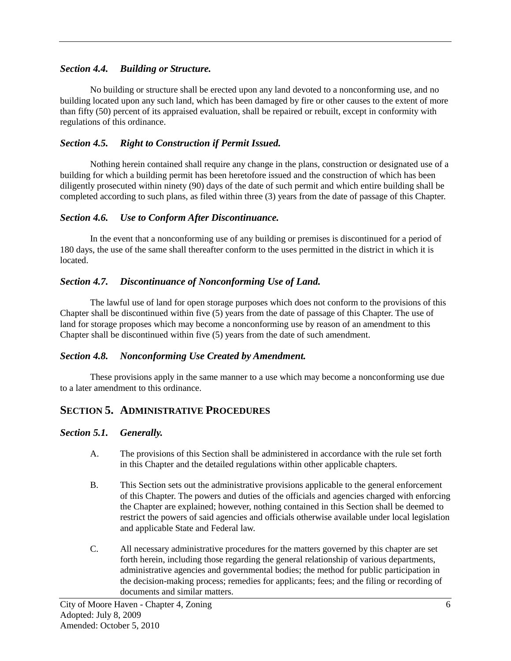## <span id="page-10-0"></span>*Section 4.4. Building or Structure.*

No building or structure shall be erected upon any land devoted to a nonconforming use, and no building located upon any such land, which has been damaged by fire or other causes to the extent of more than fifty (50) percent of its appraised evaluation, shall be repaired or rebuilt, except in conformity with regulations of this ordinance.

# <span id="page-10-1"></span>*Section 4.5. Right to Construction if Permit Issued.*

Nothing herein contained shall require any change in the plans, construction or designated use of a building for which a building permit has been heretofore issued and the construction of which has been diligently prosecuted within ninety (90) days of the date of such permit and which entire building shall be completed according to such plans, as filed within three (3) years from the date of passage of this Chapter.

## <span id="page-10-2"></span>*Section 4.6. Use to Conform After Discontinuance.*

In the event that a nonconforming use of any building or premises is discontinued for a period of 180 days, the use of the same shall thereafter conform to the uses permitted in the district in which it is located.

# <span id="page-10-3"></span>*Section 4.7. Discontinuance of Nonconforming Use of Land.*

The lawful use of land for open storage purposes which does not conform to the provisions of this Chapter shall be discontinued within five (5) years from the date of passage of this Chapter. The use of land for storage proposes which may become a nonconforming use by reason of an amendment to this Chapter shall be discontinued within five (5) years from the date of such amendment.

#### <span id="page-10-4"></span>*Section 4.8. Nonconforming Use Created by Amendment.*

These provisions apply in the same manner to a use which may become a nonconforming use due to a later amendment to this ordinance.

# <span id="page-10-5"></span>**SECTION 5. ADMINISTRATIVE PROCEDURES**

#### <span id="page-10-6"></span>*Section 5.1. Generally.*

- A. The provisions of this Section shall be administered in accordance with the rule set forth in this Chapter and the detailed regulations within other applicable chapters.
- B. This Section sets out the administrative provisions applicable to the general enforcement of this Chapter. The powers and duties of the officials and agencies charged with enforcing the Chapter are explained; however, nothing contained in this Section shall be deemed to restrict the powers of said agencies and officials otherwise available under local legislation and applicable State and Federal law.
- C. All necessary administrative procedures for the matters governed by this chapter are set forth herein, including those regarding the general relationship of various departments, administrative agencies and governmental bodies; the method for public participation in the decision-making process; remedies for applicants; fees; and the filing or recording of documents and similar matters.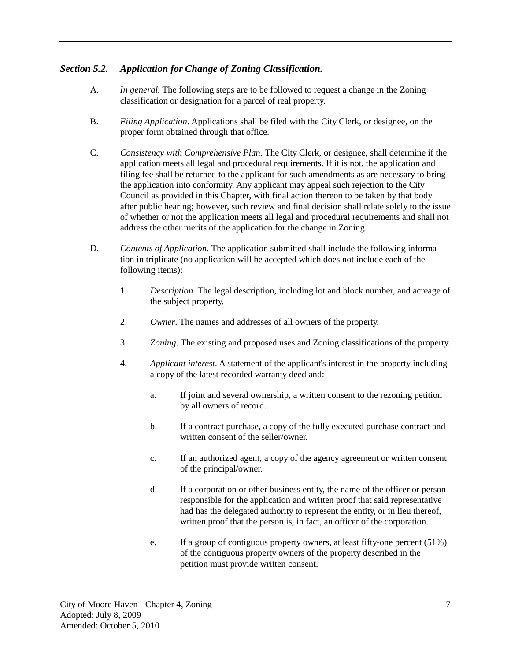# <span id="page-11-0"></span>*Section 5.2. Application for Change of Zoning Classification.*

- A. *In general.* The following steps are to be followed to request a change in the Zoning classification or designation for a parcel of real property.
- B. *Filing Application*. Applications shall be filed with the City Clerk, or designee, on the proper form obtained through that office.
- C. *Consistency with Comprehensive Plan.* The City Clerk, or designee, shall determine if the application meets all legal and procedural requirements. If it is not, the application and filing fee shall be returned to the applicant for such amendments as are necessary to bring the application into conformity. Any applicant may appeal such rejection to the City Council as provided in this Chapter, with final action thereon to be taken by that body after public hearing; however, such review and final decision shall relate solely to the issue of whether or not the application meets all legal and procedural requirements and shall not address the other merits of the application for the change in Zoning.
- D. *Contents of Application*. The application submitted shall include the following information in triplicate (no application will be accepted which does not include each of the following items):
	- 1. *Description.* The legal description, including lot and block number, and acreage of the subject property.
	- 2. *Owner*. The names and addresses of all owners of the property.
	- 3. *Zoning*. The existing and proposed uses and Zoning classifications of the property.
	- 4. *Applicant interest*. A statement of the applicant's interest in the property including a copy of the latest recorded warranty deed and:
		- a. If joint and several ownership, a written consent to the rezoning petition by all owners of record.
		- b. If a contract purchase, a copy of the fully executed purchase contract and written consent of the seller/owner.
		- c. If an authorized agent, a copy of the agency agreement or written consent of the principal/owner.
		- d. If a corporation or other business entity, the name of the officer or person responsible for the application and written proof that said representative had has the delegated authority to represent the entity, or in lieu thereof, written proof that the person is, in fact, an officer of the corporation.
		- e. If a group of contiguous property owners, at least fifty-one percent (51%) of the contiguous property owners of the property described in the petition must provide written consent.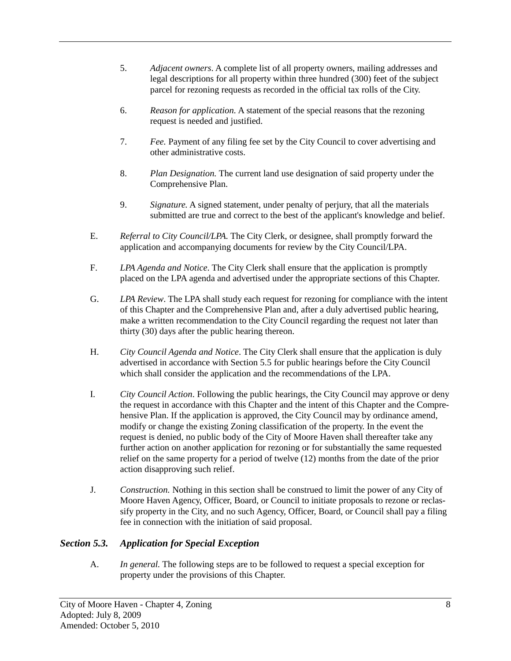- 5. *Adjacent owners*. A complete list of all property owners, mailing addresses and legal descriptions for all property within three hundred (300) feet of the subject parcel for rezoning requests as recorded in the official tax rolls of the City.
- 6. *Reason for application.* A statement of the special reasons that the rezoning request is needed and justified.
- 7. *Fee.* Payment of any filing fee set by the City Council to cover advertising and other administrative costs.
- 8. *Plan Designation.* The current land use designation of said property under the Comprehensive Plan.
- 9. *Signature.* A signed statement, under penalty of perjury, that all the materials submitted are true and correct to the best of the applicant's knowledge and belief.
- E. *Referral to City Council/LPA.* The City Clerk, or designee, shall promptly forward the application and accompanying documents for review by the City Council/LPA.
- F. *LPA Agenda and Notice*. The City Clerk shall ensure that the application is promptly placed on the LPA agenda and advertised under the appropriate sections of this Chapter.
- G. *LPA Review*. The LPA shall study each request for rezoning for compliance with the intent of this Chapter and the Comprehensive Plan and, after a duly advertised public hearing, make a written recommendation to the City Council regarding the request not later than thirty (30) days after the public hearing thereon.
- H. *City Council Agenda and Notice*. The City Clerk shall ensure that the application is duly advertised in accordance with Section 5.5 for public hearings before the City Council which shall consider the application and the recommendations of the LPA.
- I. *City Council Action*. Following the public hearings, the City Council may approve or deny the request in accordance with this Chapter and the intent of this Chapter and the Comprehensive Plan. If the application is approved, the City Council may by ordinance amend, modify or change the existing Zoning classification of the property. In the event the request is denied, no public body of the City of Moore Haven shall thereafter take any further action on another application for rezoning or for substantially the same requested relief on the same property for a period of twelve (12) months from the date of the prior action disapproving such relief.
- J. *Construction.* Nothing in this section shall be construed to limit the power of any City of Moore Haven Agency, Officer, Board, or Council to initiate proposals to rezone or reclassify property in the City, and no such Agency, Officer, Board, or Council shall pay a filing fee in connection with the initiation of said proposal.

# <span id="page-12-0"></span>*Section 5.3. Application for Special Exception*

A. *In general.* The following steps are to be followed to request a special exception for property under the provisions of this Chapter.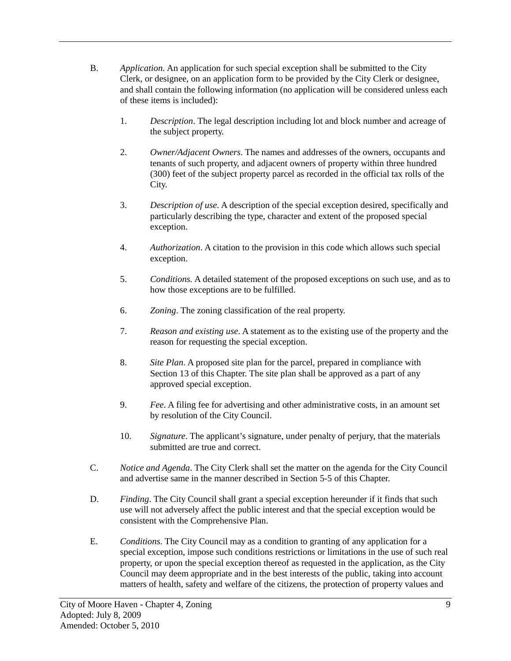- B. *Application.* An application for such special exception shall be submitted to the City Clerk, or designee, on an application form to be provided by the City Clerk or designee, and shall contain the following information (no application will be considered unless each of these items is included):
	- 1. *Description*. The legal description including lot and block number and acreage of the subject property.
	- 2. *Owner/Adjacent Owners*. The names and addresses of the owners, occupants and tenants of such property, and adjacent owners of property within three hundred (300) feet of the subject property parcel as recorded in the official tax rolls of the City.
	- 3. *Description of use*. A description of the special exception desired, specifically and particularly describing the type, character and extent of the proposed special exception.
	- 4. *Authorization*. A citation to the provision in this code which allows such special exception.
	- 5. *Conditions.* A detailed statement of the proposed exceptions on such use, and as to how those exceptions are to be fulfilled.
	- 6. *Zoning*. The zoning classification of the real property.
	- 7. *Reason and existing use*. A statement as to the existing use of the property and the reason for requesting the special exception.
	- 8. *Site Plan*. A proposed site plan for the parcel, prepared in compliance with Section 13 of this Chapter. The site plan shall be approved as a part of any approved special exception.
	- 9. *Fee*. A filing fee for advertising and other administrative costs, in an amount set by resolution of the City Council.
	- 10. *Signature*. The applicant's signature, under penalty of perjury, that the materials submitted are true and correct.
- C. *Notice and Agenda*. The City Clerk shall set the matter on the agenda for the City Council and advertise same in the manner described in Section 5-5 of this Chapter.
- D. *Finding*. The City Council shall grant a special exception hereunder if it finds that such use will not adversely affect the public interest and that the special exception would be consistent with the Comprehensive Plan.
- E. *Conditions*. The City Council may as a condition to granting of any application for a special exception, impose such conditions restrictions or limitations in the use of such real property, or upon the special exception thereof as requested in the application, as the City Council may deem appropriate and in the best interests of the public, taking into account matters of health, safety and welfare of the citizens, the protection of property values and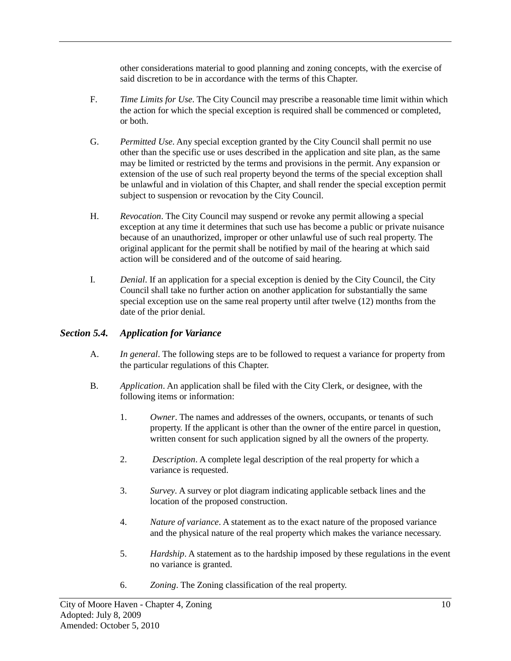other considerations material to good planning and zoning concepts, with the exercise of said discretion to be in accordance with the terms of this Chapter.

- F. *Time Limits for Use*. The City Council may prescribe a reasonable time limit within which the action for which the special exception is required shall be commenced or completed, or both.
- G. *Permitted Use*. Any special exception granted by the City Council shall permit no use other than the specific use or uses described in the application and site plan, as the same may be limited or restricted by the terms and provisions in the permit. Any expansion or extension of the use of such real property beyond the terms of the special exception shall be unlawful and in violation of this Chapter, and shall render the special exception permit subject to suspension or revocation by the City Council.
- H. *Revocation*. The City Council may suspend or revoke any permit allowing a special exception at any time it determines that such use has become a public or private nuisance because of an unauthorized, improper or other unlawful use of such real property. The original applicant for the permit shall be notified by mail of the hearing at which said action will be considered and of the outcome of said hearing.
- I. *Denial*. If an application for a special exception is denied by the City Council, the City Council shall take no further action on another application for substantially the same special exception use on the same real property until after twelve (12) months from the date of the prior denial.

#### <span id="page-14-0"></span>*Section 5.4. Application for Variance*

- A. *In general*. The following steps are to be followed to request a variance for property from the particular regulations of this Chapter.
- B. *Application*. An application shall be filed with the City Clerk, or designee, with the following items or information:
	- 1. *Owner*. The names and addresses of the owners, occupants, or tenants of such property. If the applicant is other than the owner of the entire parcel in question, written consent for such application signed by all the owners of the property.
	- 2. *Description*. A complete legal description of the real property for which a variance is requested.
	- 3. *Survey*. A survey or plot diagram indicating applicable setback lines and the location of the proposed construction.
	- 4. *Nature of variance*. A statement as to the exact nature of the proposed variance and the physical nature of the real property which makes the variance necessary.
	- 5. *Hardship*. A statement as to the hardship imposed by these regulations in the event no variance is granted.
	- 6. *Zoning*. The Zoning classification of the real property.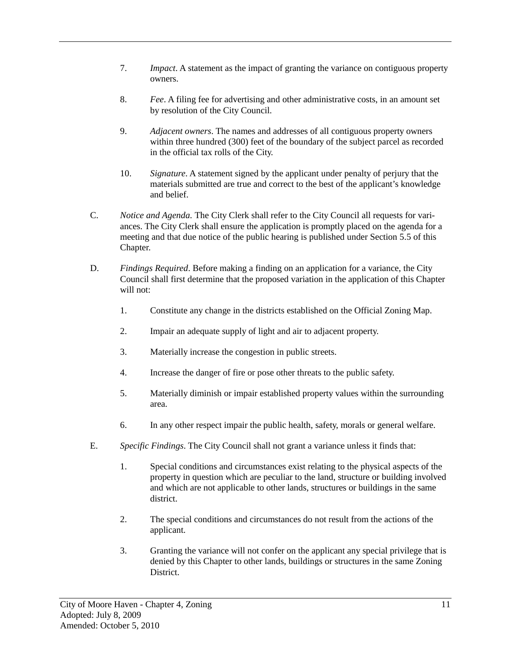- 7. *Impact*. A statement as the impact of granting the variance on contiguous property owners.
- 8. *Fee*. A filing fee for advertising and other administrative costs, in an amount set by resolution of the City Council.
- 9. *Adjacent owners*. The names and addresses of all contiguous property owners within three hundred (300) feet of the boundary of the subject parcel as recorded in the official tax rolls of the City.
- 10. *Signature*. A statement signed by the applicant under penalty of perjury that the materials submitted are true and correct to the best of the applicant's knowledge and belief.
- C. *Notice and Agenda.* The City Clerk shall refer to the City Council all requests for variances. The City Clerk shall ensure the application is promptly placed on the agenda for a meeting and that due notice of the public hearing is published under Section 5.5 of this Chapter.
- D. *Findings Required*. Before making a finding on an application for a variance, the City Council shall first determine that the proposed variation in the application of this Chapter will not:
	- 1. Constitute any change in the districts established on the Official Zoning Map.
	- 2. Impair an adequate supply of light and air to adjacent property.
	- 3. Materially increase the congestion in public streets.
	- 4. Increase the danger of fire or pose other threats to the public safety.
	- 5. Materially diminish or impair established property values within the surrounding area.
	- 6. In any other respect impair the public health, safety, morals or general welfare.
- E. *Specific Findings*. The City Council shall not grant a variance unless it finds that:
	- 1. Special conditions and circumstances exist relating to the physical aspects of the property in question which are peculiar to the land, structure or building involved and which are not applicable to other lands, structures or buildings in the same district.
	- 2. The special conditions and circumstances do not result from the actions of the applicant.
	- 3. Granting the variance will not confer on the applicant any special privilege that is denied by this Chapter to other lands, buildings or structures in the same Zoning District.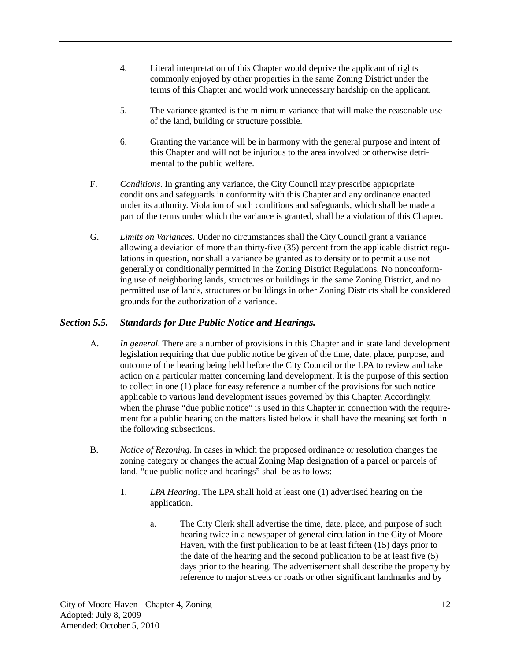- 4. Literal interpretation of this Chapter would deprive the applicant of rights commonly enjoyed by other properties in the same Zoning District under the terms of this Chapter and would work unnecessary hardship on the applicant.
- 5. The variance granted is the minimum variance that will make the reasonable use of the land, building or structure possible.
- 6. Granting the variance will be in harmony with the general purpose and intent of this Chapter and will not be injurious to the area involved or otherwise detrimental to the public welfare.
- F. *Conditions*. In granting any variance, the City Council may prescribe appropriate conditions and safeguards in conformity with this Chapter and any ordinance enacted under its authority. Violation of such conditions and safeguards, which shall be made a part of the terms under which the variance is granted, shall be a violation of this Chapter.
- G. *Limits on Variances*. Under no circumstances shall the City Council grant a variance allowing a deviation of more than thirty-five (35) percent from the applicable district regulations in question, nor shall a variance be granted as to density or to permit a use not generally or conditionally permitted in the Zoning District Regulations. No nonconforming use of neighboring lands, structures or buildings in the same Zoning District, and no permitted use of lands, structures or buildings in other Zoning Districts shall be considered grounds for the authorization of a variance.

# <span id="page-16-0"></span>*Section 5.5. Standards for Due Public Notice and Hearings.*

- A. *In general*. There are a number of provisions in this Chapter and in state land development legislation requiring that due public notice be given of the time, date, place, purpose, and outcome of the hearing being held before the City Council or the LPA to review and take action on a particular matter concerning land development. It is the purpose of this section to collect in one (1) place for easy reference a number of the provisions for such notice applicable to various land development issues governed by this Chapter. Accordingly, when the phrase "due public notice" is used in this Chapter in connection with the requirement for a public hearing on the matters listed below it shall have the meaning set forth in the following subsections.
- B. *Notice of Rezoning*. In cases in which the proposed ordinance or resolution changes the zoning category or changes the actual Zoning Map designation of a parcel or parcels of land, "due public notice and hearings" shall be as follows:
	- 1. *LPA Hearing*. The LPA shall hold at least one (1) advertised hearing on the application.
		- a. The City Clerk shall advertise the time, date, place, and purpose of such hearing twice in a newspaper of general circulation in the City of Moore Haven, with the first publication to be at least fifteen (15) days prior to the date of the hearing and the second publication to be at least five (5) days prior to the hearing. The advertisement shall describe the property by reference to major streets or roads or other significant landmarks and by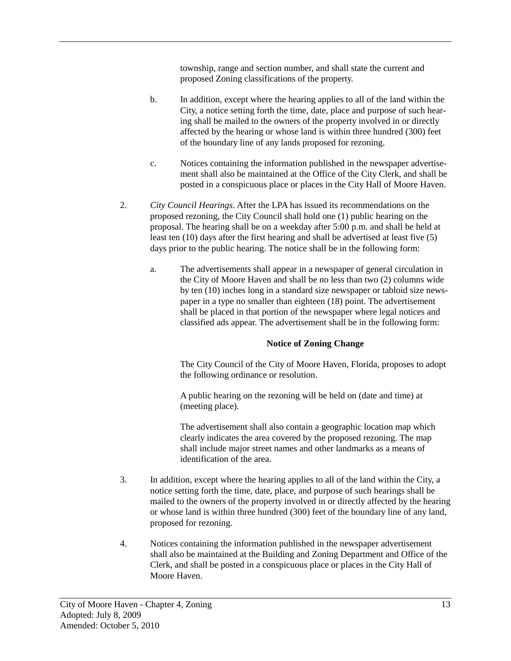township, range and section number, and shall state the current and proposed Zoning classifications of the property.

- b. In addition, except where the hearing applies to all of the land within the City, a notice setting forth the time, date, place and purpose of such hearing shall be mailed to the owners of the property involved in or directly affected by the hearing or whose land is within three hundred (300) feet of the boundary line of any lands proposed for rezoning.
- c. Notices containing the information published in the newspaper advertisement shall also be maintained at the Office of the City Clerk, and shall be posted in a conspicuous place or places in the City Hall of Moore Haven.
- 2. *City Council Hearings*. After the LPA has issued its recommendations on the proposed rezoning, the City Council shall hold one (1) public hearing on the proposal. The hearing shall be on a weekday after 5:00 p.m. and shall be held at least ten (10) days after the first hearing and shall be advertised at least five (5) days prior to the public hearing. The notice shall be in the following form:
	- a. The advertisements shall appear in a newspaper of general circulation in the City of Moore Haven and shall be no less than two (2) columns wide by ten (10) inches long in a standard size newspaper or tabloid size newspaper in a type no smaller than eighteen (18) point. The advertisement shall be placed in that portion of the newspaper where legal notices and classified ads appear. The advertisement shall be in the following form:

#### **Notice of Zoning Change**

The City Council of the City of Moore Haven, Florida, proposes to adopt the following ordinance or resolution.

A public hearing on the rezoning will be held on (date and time) at (meeting place).

The advertisement shall also contain a geographic location map which clearly indicates the area covered by the proposed rezoning. The map shall include major street names and other landmarks as a means of identification of the area.

- 3. In addition, except where the hearing applies to all of the land within the City, a notice setting forth the time, date, place, and purpose of such hearings shall be mailed to the owners of the property involved in or directly affected by the hearing or whose land is within three hundred (300) feet of the boundary line of any land, proposed for rezoning.
- 4. Notices containing the information published in the newspaper advertisement shall also be maintained at the Building and Zoning Department and Office of the Clerk, and shall be posted in a conspicuous place or places in the City Hall of Moore Haven.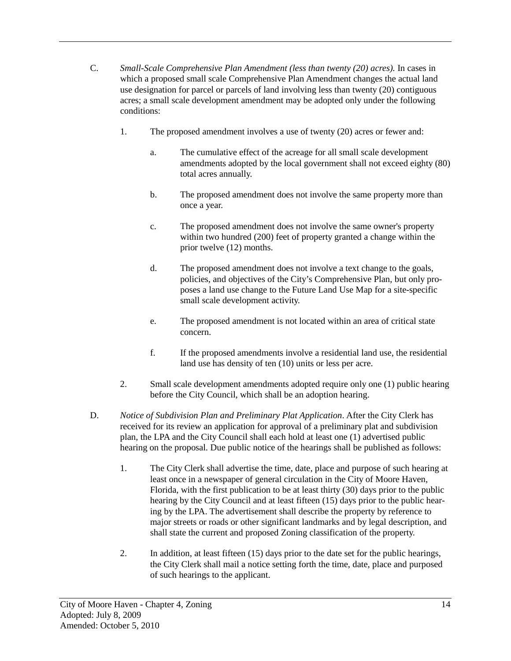- C. *Small-Scale Comprehensive Plan Amendment (less than twenty (20) acres).* In cases in which a proposed small scale Comprehensive Plan Amendment changes the actual land use designation for parcel or parcels of land involving less than twenty (20) contiguous acres; a small scale development amendment may be adopted only under the following conditions:
	- 1. The proposed amendment involves a use of twenty (20) acres or fewer and:
		- a. The cumulative effect of the acreage for all small scale development amendments adopted by the local government shall not exceed eighty (80) total acres annually.
		- b. The proposed amendment does not involve the same property more than once a year.
		- c. The proposed amendment does not involve the same owner's property within two hundred (200) feet of property granted a change within the prior twelve (12) months.
		- d. The proposed amendment does not involve a text change to the goals, policies, and objectives of the City's Comprehensive Plan, but only proposes a land use change to the Future Land Use Map for a site-specific small scale development activity.
		- e. The proposed amendment is not located within an area of critical state concern.
		- f. If the proposed amendments involve a residential land use, the residential land use has density of ten (10) units or less per acre.
	- 2. Small scale development amendments adopted require only one (1) public hearing before the City Council, which shall be an adoption hearing.
- D. *Notice of Subdivision Plan and Preliminary Plat Application*. After the City Clerk has received for its review an application for approval of a preliminary plat and subdivision plan, the LPA and the City Council shall each hold at least one (1) advertised public hearing on the proposal. Due public notice of the hearings shall be published as follows:
	- 1. The City Clerk shall advertise the time, date, place and purpose of such hearing at least once in a newspaper of general circulation in the City of Moore Haven, Florida, with the first publication to be at least thirty (30) days prior to the public hearing by the City Council and at least fifteen (15) days prior to the public hearing by the LPA. The advertisement shall describe the property by reference to major streets or roads or other significant landmarks and by legal description, and shall state the current and proposed Zoning classification of the property.
	- 2. In addition, at least fifteen (15) days prior to the date set for the public hearings, the City Clerk shall mail a notice setting forth the time, date, place and purposed of such hearings to the applicant.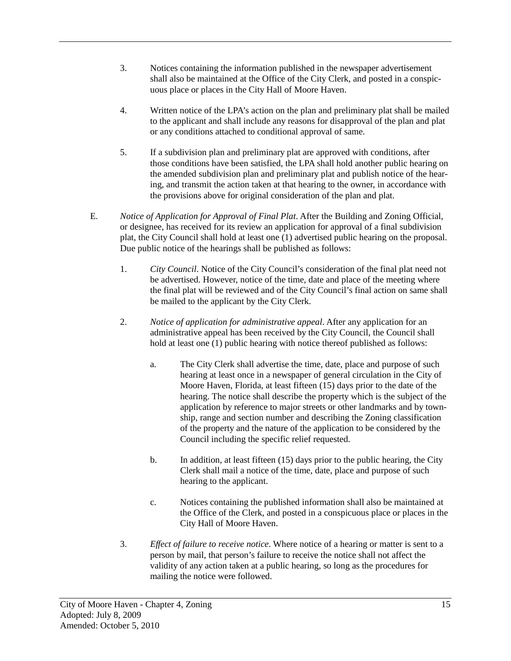- 3. Notices containing the information published in the newspaper advertisement shall also be maintained at the Office of the City Clerk, and posted in a conspicuous place or places in the City Hall of Moore Haven.
- 4. Written notice of the LPA's action on the plan and preliminary plat shall be mailed to the applicant and shall include any reasons for disapproval of the plan and plat or any conditions attached to conditional approval of same.
- 5. If a subdivision plan and preliminary plat are approved with conditions, after those conditions have been satisfied, the LPA shall hold another public hearing on the amended subdivision plan and preliminary plat and publish notice of the hearing, and transmit the action taken at that hearing to the owner, in accordance with the provisions above for original consideration of the plan and plat.
- E. *Notice of Application for Approval of Final Plat*. After the Building and Zoning Official, or designee, has received for its review an application for approval of a final subdivision plat, the City Council shall hold at least one (1) advertised public hearing on the proposal. Due public notice of the hearings shall be published as follows:
	- 1. *City Council*. Notice of the City Council's consideration of the final plat need not be advertised. However, notice of the time, date and place of the meeting where the final plat will be reviewed and of the City Council's final action on same shall be mailed to the applicant by the City Clerk.
	- 2. *Notice of application for administrative appeal*. After any application for an administrative appeal has been received by the City Council, the Council shall hold at least one (1) public hearing with notice thereof published as follows:
		- a. The City Clerk shall advertise the time, date, place and purpose of such hearing at least once in a newspaper of general circulation in the City of Moore Haven, Florida, at least fifteen (15) days prior to the date of the hearing. The notice shall describe the property which is the subject of the application by reference to major streets or other landmarks and by township, range and section number and describing the Zoning classification of the property and the nature of the application to be considered by the Council including the specific relief requested.
		- b. In addition, at least fifteen (15) days prior to the public hearing, the City Clerk shall mail a notice of the time, date, place and purpose of such hearing to the applicant.
		- c. Notices containing the published information shall also be maintained at the Office of the Clerk, and posted in a conspicuous place or places in the City Hall of Moore Haven.
	- 3. *Effect of failure to receive notice*. Where notice of a hearing or matter is sent to a person by mail, that person's failure to receive the notice shall not affect the validity of any action taken at a public hearing, so long as the procedures for mailing the notice were followed.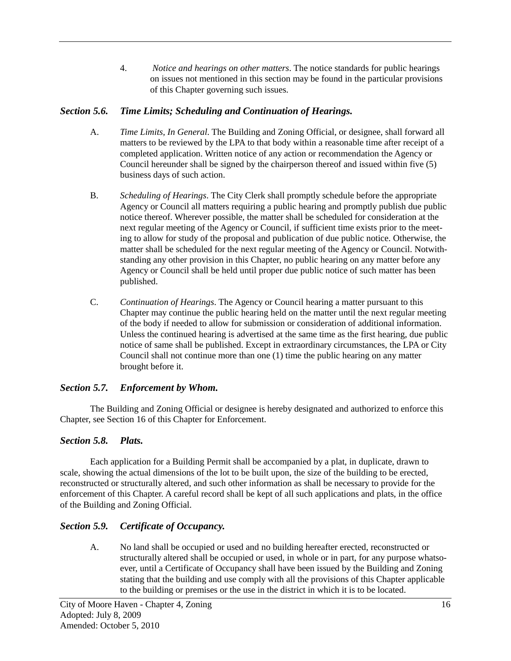4. *Notice and hearings on other matters*. The notice standards for public hearings on issues not mentioned in this section may be found in the particular provisions of this Chapter governing such issues.

## <span id="page-20-0"></span>*Section 5.6. Time Limits; Scheduling and Continuation of Hearings.*

- A. *Time Limits, In General*. The Building and Zoning Official, or designee, shall forward all matters to be reviewed by the LPA to that body within a reasonable time after receipt of a completed application. Written notice of any action or recommendation the Agency or Council hereunder shall be signed by the chairperson thereof and issued within five (5) business days of such action.
- B. *Scheduling of Hearings*. The City Clerk shall promptly schedule before the appropriate Agency or Council all matters requiring a public hearing and promptly publish due public notice thereof. Wherever possible, the matter shall be scheduled for consideration at the next regular meeting of the Agency or Council, if sufficient time exists prior to the meeting to allow for study of the proposal and publication of due public notice. Otherwise, the matter shall be scheduled for the next regular meeting of the Agency or Council. Notwithstanding any other provision in this Chapter, no public hearing on any matter before any Agency or Council shall be held until proper due public notice of such matter has been published.
- C. *Continuation of Hearings*. The Agency or Council hearing a matter pursuant to this Chapter may continue the public hearing held on the matter until the next regular meeting of the body if needed to allow for submission or consideration of additional information. Unless the continued hearing is advertised at the same time as the first hearing, due public notice of same shall be published. Except in extraordinary circumstances, the LPA or City Council shall not continue more than one (1) time the public hearing on any matter brought before it.

# <span id="page-20-1"></span>*Section 5.7. Enforcement by Whom.*

The Building and Zoning Official or designee is hereby designated and authorized to enforce this Chapter, see Section 16 of this Chapter for Enforcement.

# <span id="page-20-2"></span>*Section 5.8. Plats.*

Each application for a Building Permit shall be accompanied by a plat, in duplicate, drawn to scale, showing the actual dimensions of the lot to be built upon, the size of the building to be erected, reconstructed or structurally altered, and such other information as shall be necessary to provide for the enforcement of this Chapter. A careful record shall be kept of all such applications and plats, in the office of the Building and Zoning Official.

# <span id="page-20-3"></span>*Section 5.9. Certificate of Occupancy.*

A. No land shall be occupied or used and no building hereafter erected, reconstructed or structurally altered shall be occupied or used, in whole or in part, for any purpose whatsoever, until a Certificate of Occupancy shall have been issued by the Building and Zoning stating that the building and use comply with all the provisions of this Chapter applicable to the building or premises or the use in the district in which it is to be located.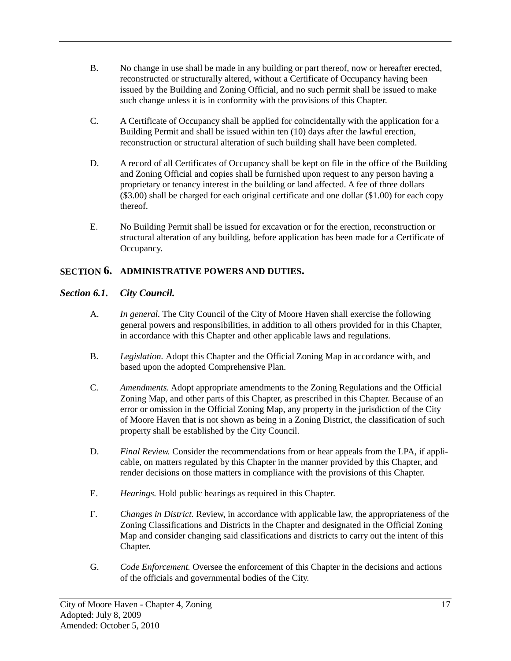- B. No change in use shall be made in any building or part thereof, now or hereafter erected, reconstructed or structurally altered, without a Certificate of Occupancy having been issued by the Building and Zoning Official, and no such permit shall be issued to make such change unless it is in conformity with the provisions of this Chapter.
- C. A Certificate of Occupancy shall be applied for coincidentally with the application for a Building Permit and shall be issued within ten (10) days after the lawful erection, reconstruction or structural alteration of such building shall have been completed.
- D. A record of all Certificates of Occupancy shall be kept on file in the office of the Building and Zoning Official and copies shall be furnished upon request to any person having a proprietary or tenancy interest in the building or land affected. A fee of three dollars (\$3.00) shall be charged for each original certificate and one dollar (\$1.00) for each copy thereof.
- E. No Building Permit shall be issued for excavation or for the erection, reconstruction or structural alteration of any building, before application has been made for a Certificate of Occupancy.

# <span id="page-21-0"></span>**SECTION 6. ADMINISTRATIVE POWERS AND DUTIES.**

## <span id="page-21-1"></span>*Section 6.1. City Council.*

- A. *In general.* The City Council of the City of Moore Haven shall exercise the following general powers and responsibilities, in addition to all others provided for in this Chapter, in accordance with this Chapter and other applicable laws and regulations.
- B. *Legislation.* Adopt this Chapter and the Official Zoning Map in accordance with, and based upon the adopted Comprehensive Plan.
- C. *Amendments.* Adopt appropriate amendments to the Zoning Regulations and the Official Zoning Map, and other parts of this Chapter, as prescribed in this Chapter. Because of an error or omission in the Official Zoning Map, any property in the jurisdiction of the City of Moore Haven that is not shown as being in a Zoning District, the classification of such property shall be established by the City Council.
- D. *Final Review.* Consider the recommendations from or hear appeals from the LPA, if applicable, on matters regulated by this Chapter in the manner provided by this Chapter, and render decisions on those matters in compliance with the provisions of this Chapter.
- E. *Hearings.* Hold public hearings as required in this Chapter.
- F. *Changes in District.* Review, in accordance with applicable law, the appropriateness of the Zoning Classifications and Districts in the Chapter and designated in the Official Zoning Map and consider changing said classifications and districts to carry out the intent of this Chapter.
- G. *Code Enforcement.* Oversee the enforcement of this Chapter in the decisions and actions of the officials and governmental bodies of the City.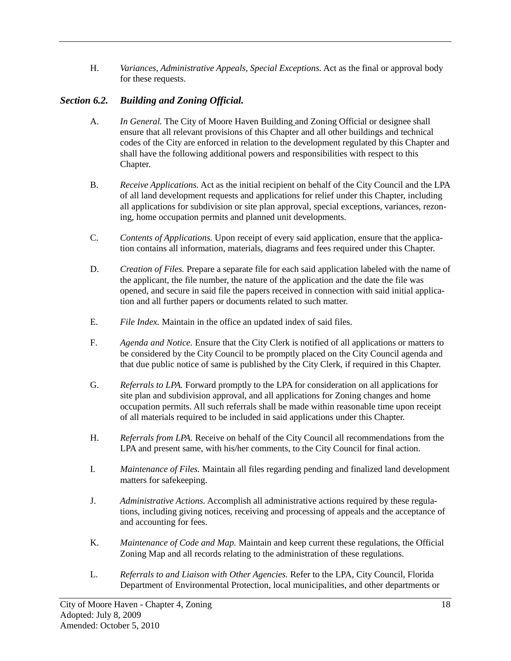H. *Variances, Administrative Appeals, Special Exceptions.* Act as the final or approval body for these requests.

# <span id="page-22-0"></span>*Section 6.2. Building and Zoning Official.*

- A. *In General.* The City of Moore Haven Building and Zoning Official or designee shall ensure that all relevant provisions of this Chapter and all other buildings and technical codes of the City are enforced in relation to the development regulated by this Chapter and shall have the following additional powers and responsibilities with respect to this Chapter.
- B. *Receive Applications.* Act as the initial recipient on behalf of the City Council and the LPA of all land development requests and applications for relief under this Chapter, including all applications for subdivision or site plan approval, special exceptions, variances, rezoning, home occupation permits and planned unit developments.
- C. *Contents of Applications.* Upon receipt of every said application, ensure that the application contains all information, materials, diagrams and fees required under this Chapter.
- D. *Creation of Files.* Prepare a separate file for each said application labeled with the name of the applicant, the file number, the nature of the application and the date the file was opened, and secure in said file the papers received in connection with said initial application and all further papers or documents related to such matter.
- E. *File Index.* Maintain in the office an updated index of said files.
- F. *Agenda and Notice.* Ensure that the City Clerk is notified of all applications or matters to be considered by the City Council to be promptly placed on the City Council agenda and that due public notice of same is published by the City Clerk, if required in this Chapter.
- G. *Referrals to LPA.* Forward promptly to the LPA for consideration on all applications for site plan and subdivision approval, and all applications for Zoning changes and home occupation permits. All such referrals shall be made within reasonable time upon receipt of all materials required to be included in said applications under this Chapter.
- H. *Referrals from LPA.* Receive on behalf of the City Council all recommendations from the LPA and present same, with his/her comments, to the City Council for final action.
- I. *Maintenance of Files.* Maintain all files regarding pending and finalized land development matters for safekeeping.
- J. *Administrative Actions.* Accomplish all administrative actions required by these regulations, including giving notices, receiving and processing of appeals and the acceptance of and accounting for fees.
- K. *Maintenance of Code and Map.* Maintain and keep current these regulations, the Official Zoning Map and all records relating to the administration of these regulations.
- L. *Referrals to and Liaison with Other Agencies.* Refer to the LPA, City Council, Florida Department of Environmental Protection, local municipalities, and other departments or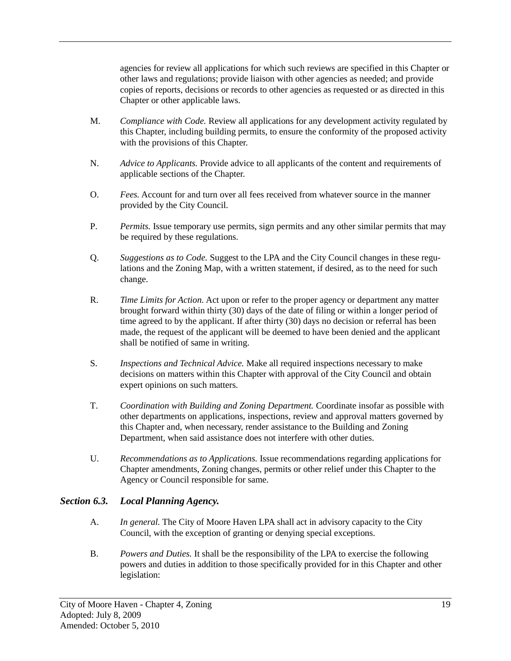agencies for review all applications for which such reviews are specified in this Chapter or other laws and regulations; provide liaison with other agencies as needed; and provide copies of reports, decisions or records to other agencies as requested or as directed in this Chapter or other applicable laws.

- M. *Compliance with Code.* Review all applications for any development activity regulated by this Chapter, including building permits, to ensure the conformity of the proposed activity with the provisions of this Chapter.
- N. *Advice to Applicants.* Provide advice to all applicants of the content and requirements of applicable sections of the Chapter.
- O. *Fees.* Account for and turn over all fees received from whatever source in the manner provided by the City Council.
- P. *Permits.* Issue temporary use permits, sign permits and any other similar permits that may be required by these regulations.
- Q. *Suggestions as to Code.* Suggest to the LPA and the City Council changes in these regulations and the Zoning Map, with a written statement, if desired, as to the need for such change.
- R. *Time Limits for Action.* Act upon or refer to the proper agency or department any matter brought forward within thirty (30) days of the date of filing or within a longer period of time agreed to by the applicant. If after thirty (30) days no decision or referral has been made, the request of the applicant will be deemed to have been denied and the applicant shall be notified of same in writing.
- S. *Inspections and Technical Advice.* Make all required inspections necessary to make decisions on matters within this Chapter with approval of the City Council and obtain expert opinions on such matters.
- T. *Coordination with Building and Zoning Department.* Coordinate insofar as possible with other departments on applications, inspections, review and approval matters governed by this Chapter and, when necessary, render assistance to the Building and Zoning Department, when said assistance does not interfere with other duties.
- U. *Recommendations as to Applications.* Issue recommendations regarding applications for Chapter amendments, Zoning changes, permits or other relief under this Chapter to the Agency or Council responsible for same.

## <span id="page-23-0"></span>*Section 6.3. Local Planning Agency.*

- A. *In general.* The City of Moore Haven LPA shall act in advisory capacity to the City Council, with the exception of granting or denying special exceptions.
- B. *Powers and Duties.* It shall be the responsibility of the LPA to exercise the following powers and duties in addition to those specifically provided for in this Chapter and other legislation: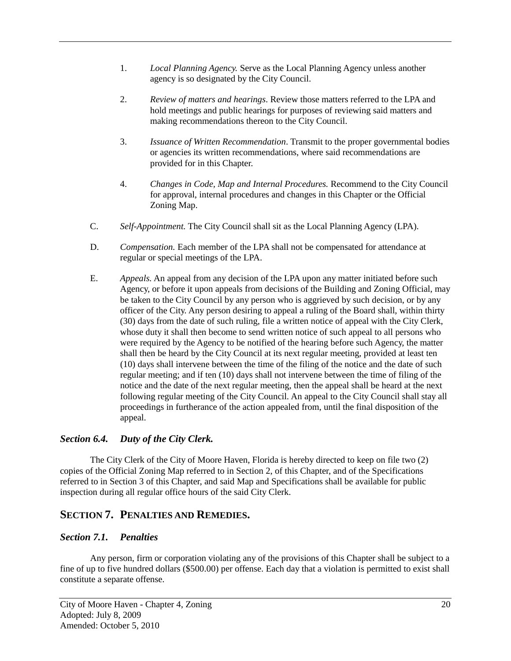- 1. *Local Planning Agency.* Serve as the Local Planning Agency unless another agency is so designated by the City Council.
- 2. *Review of matters and hearings*. Review those matters referred to the LPA and hold meetings and public hearings for purposes of reviewing said matters and making recommendations thereon to the City Council.
- 3. *Issuance of Written Recommendation*. Transmit to the proper governmental bodies or agencies its written recommendations, where said recommendations are provided for in this Chapter.
- 4. *Changes in Code, Map and Internal Procedures.* Recommend to the City Council for approval, internal procedures and changes in this Chapter or the Official Zoning Map.
- C. *Self-Appointment.* The City Council shall sit as the Local Planning Agency (LPA).
- D. *Compensation.* Each member of the LPA shall not be compensated for attendance at regular or special meetings of the LPA.
- E. *Appeals.* An appeal from any decision of the LPA upon any matter initiated before such Agency, or before it upon appeals from decisions of the Building and Zoning Official, may be taken to the City Council by any person who is aggrieved by such decision, or by any officer of the City. Any person desiring to appeal a ruling of the Board shall, within thirty (30) days from the date of such ruling, file a written notice of appeal with the City Clerk, whose duty it shall then become to send written notice of such appeal to all persons who were required by the Agency to be notified of the hearing before such Agency, the matter shall then be heard by the City Council at its next regular meeting, provided at least ten (10) days shall intervene between the time of the filing of the notice and the date of such regular meeting; and if ten (10) days shall not intervene between the time of filing of the notice and the date of the next regular meeting, then the appeal shall be heard at the next following regular meeting of the City Council. An appeal to the City Council shall stay all proceedings in furtherance of the action appealed from, until the final disposition of the appeal.

# <span id="page-24-0"></span>*Section 6.4. Duty of the City Clerk.*

The City Clerk of the City of Moore Haven, Florida is hereby directed to keep on file two (2) copies of the Official Zoning Map referred to in Section 2, of this Chapter, and of the Specifications referred to in Section 3 of this Chapter, and said Map and Specifications shall be available for public inspection during all regular office hours of the said City Clerk.

# <span id="page-24-1"></span>**SECTION 7. PENALTIES AND REMEDIES.**

#### <span id="page-24-2"></span>*Section 7.1. Penalties*

Any person, firm or corporation violating any of the provisions of this Chapter shall be subject to a fine of up to five hundred dollars (\$500.00) per offense. Each day that a violation is permitted to exist shall constitute a separate offense.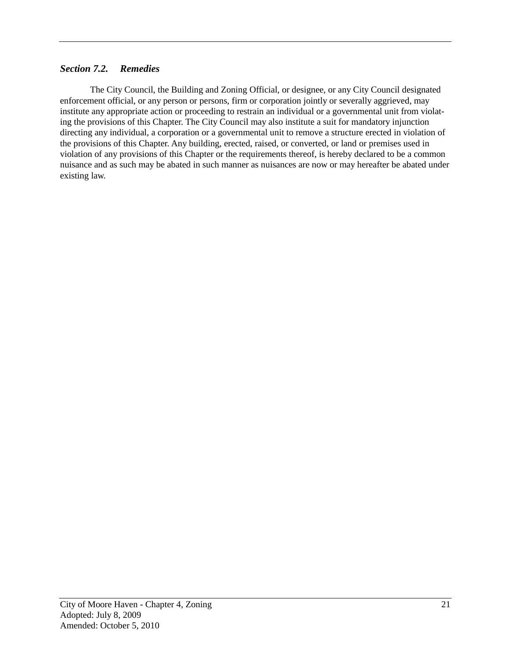# <span id="page-25-0"></span>*Section 7.2. Remedies*

The City Council, the Building and Zoning Official, or designee, or any City Council designated enforcement official, or any person or persons, firm or corporation jointly or severally aggrieved, may institute any appropriate action or proceeding to restrain an individual or a governmental unit from violating the provisions of this Chapter. The City Council may also institute a suit for mandatory injunction directing any individual, a corporation or a governmental unit to remove a structure erected in violation of the provisions of this Chapter. Any building, erected, raised, or converted, or land or premises used in violation of any provisions of this Chapter or the requirements thereof, is hereby declared to be a common nuisance and as such may be abated in such manner as nuisances are now or may hereafter be abated under existing law.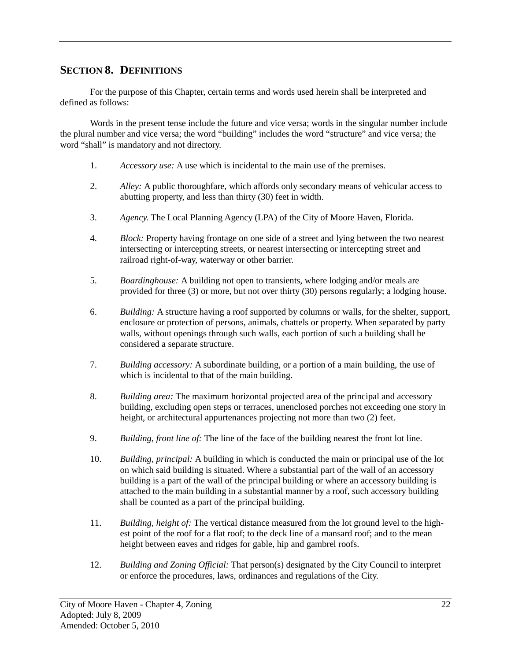# <span id="page-26-0"></span>**SECTION 8. DEFINITIONS**

For the purpose of this Chapter, certain terms and words used herein shall be interpreted and defined as follows:

Words in the present tense include the future and vice versa; words in the singular number include the plural number and vice versa; the word "building" includes the word "structure" and vice versa; the word "shall" is mandatory and not directory.

- 1. *Accessory use:* A use which is incidental to the main use of the premises.
- 2. *Alley:* A public thoroughfare, which affords only secondary means of vehicular access to abutting property, and less than thirty (30) feet in width.
- 3. *Agency.* The Local Planning Agency (LPA) of the City of Moore Haven, Florida.
- 4. *Block:* Property having frontage on one side of a street and lying between the two nearest intersecting or intercepting streets, or nearest intersecting or intercepting street and railroad right-of-way, waterway or other barrier.
- 5. *Boardinghouse:* A building not open to transients, where lodging and/or meals are provided for three (3) or more, but not over thirty (30) persons regularly; a lodging house.
- 6. *Building:* A structure having a roof supported by columns or walls, for the shelter, support, enclosure or protection of persons, animals, chattels or property. When separated by party walls, without openings through such walls, each portion of such a building shall be considered a separate structure.
- 7. *Building accessory:* A subordinate building, or a portion of a main building, the use of which is incidental to that of the main building.
- 8. *Building area:* The maximum horizontal projected area of the principal and accessory building, excluding open steps or terraces, unenclosed porches not exceeding one story in height, or architectural appurtenances projecting not more than two (2) feet.
- 9. *Building, front line of:* The line of the face of the building nearest the front lot line.
- 10. *Building, principal:* A building in which is conducted the main or principal use of the lot on which said building is situated. Where a substantial part of the wall of an accessory building is a part of the wall of the principal building or where an accessory building is attached to the main building in a substantial manner by a roof, such accessory building shall be counted as a part of the principal building.
- 11. *Building, height of:* The vertical distance measured from the lot ground level to the highest point of the roof for a flat roof; to the deck line of a mansard roof; and to the mean height between eaves and ridges for gable, hip and gambrel roofs.
- 12. *Building and Zoning Official:* That person(s) designated by the City Council to interpret or enforce the procedures, laws, ordinances and regulations of the City.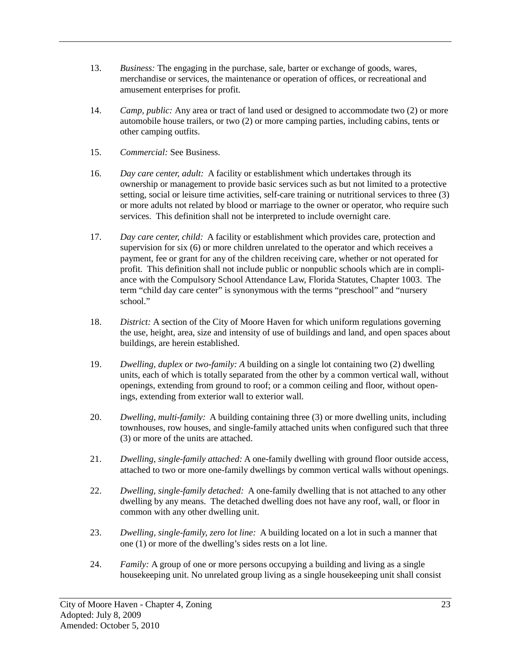- 13. *Business:* The engaging in the purchase, sale, barter or exchange of goods, wares, merchandise or services, the maintenance or operation of offices, or recreational and amusement enterprises for profit.
- 14. *Camp, public:* Any area or tract of land used or designed to accommodate two (2) or more automobile house trailers, or two (2) or more camping parties, including cabins, tents or other camping outfits.
- 15. *Commercial:* See Business.
- 16. *Day care center, adult:* A facility or establishment which undertakes through its ownership or management to provide basic services such as but not limited to a protective setting, social or leisure time activities, self-care training or nutritional services to three (3) or more adults not related by blood or marriage to the owner or operator, who require such services. This definition shall not be interpreted to include overnight care.
- 17. *Day care center, child:* A facility or establishment which provides care, protection and supervision for six (6) or more children unrelated to the operator and which receives a payment, fee or grant for any of the children receiving care, whether or not operated for profit. This definition shall not include public or nonpublic schools which are in compliance with the Compulsory School Attendance Law, Florida Statutes, Chapter 1003. The term "child day care center" is synonymous with the terms "preschool" and "nursery school."
- 18. *District:* A section of the City of Moore Haven for which uniform regulations governing the use, height, area, size and intensity of use of buildings and land, and open spaces about buildings, are herein established.
- 19. *Dwelling, duplex or two-family: A* building on a single lot containing two (2) dwelling units, each of which is totally separated from the other by a common vertical wall, without openings, extending from ground to roof; or a common ceiling and floor, without openings, extending from exterior wall to exterior wall.
- 20. *Dwelling, multi-family:* A building containing three (3) or more dwelling units, including townhouses, row houses, and single-family attached units when configured such that three (3) or more of the units are attached.
- 21. *Dwelling, single-family attached:* A one-family dwelling with ground floor outside access, attached to two or more one-family dwellings by common vertical walls without openings.
- 22. *Dwelling, single-family detached:* A one-family dwelling that is not attached to any other dwelling by any means. The detached dwelling does not have any roof, wall, or floor in common with any other dwelling unit.
- 23. *Dwelling, single-family, zero lot line:* A building located on a lot in such a manner that one (1) or more of the dwelling's sides rests on a lot line.
- 24. *Family:* A group of one or more persons occupying a building and living as a single housekeeping unit. No unrelated group living as a single housekeeping unit shall consist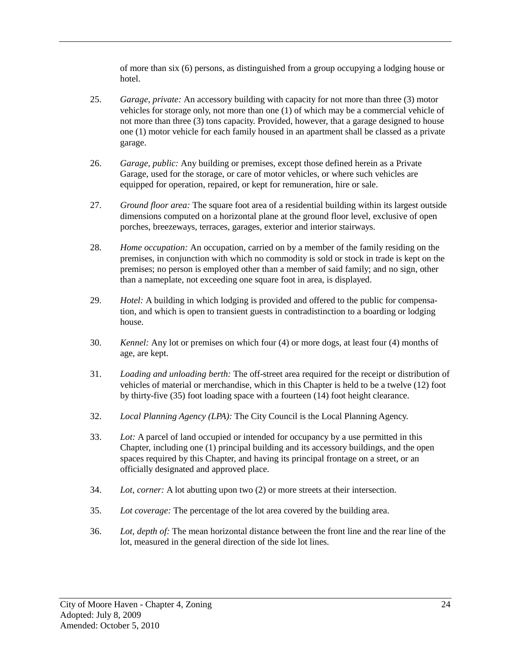of more than six (6) persons, as distinguished from a group occupying a lodging house or hotel.

- 25. *Garage, private:* An accessory building with capacity for not more than three (3) motor vehicles for storage only, not more than one (1) of which may be a commercial vehicle of not more than three (3) tons capacity. Provided, however, that a garage designed to house one (1) motor vehicle for each family housed in an apartment shall be classed as a private garage.
- 26. *Garage, public:* Any building or premises, except those defined herein as a Private Garage, used for the storage, or care of motor vehicles, or where such vehicles are equipped for operation, repaired, or kept for remuneration, hire or sale.
- 27. *Ground floor area:* The square foot area of a residential building within its largest outside dimensions computed on a horizontal plane at the ground floor level, exclusive of open porches, breezeways, terraces, garages, exterior and interior stairways.
- 28. *Home occupation:* An occupation, carried on by a member of the family residing on the premises, in conjunction with which no commodity is sold or stock in trade is kept on the premises; no person is employed other than a member of said family; and no sign, other than a nameplate, not exceeding one square foot in area, is displayed.
- 29. *Hotel:* A building in which lodging is provided and offered to the public for compensation, and which is open to transient guests in contradistinction to a boarding or lodging house.
- 30. *Kennel:* Any lot or premises on which four (4) or more dogs, at least four (4) months of age, are kept.
- 31. *Loading and unloading berth:* The off-street area required for the receipt or distribution of vehicles of material or merchandise, which in this Chapter is held to be a twelve (12) foot by thirty-five (35) foot loading space with a fourteen (14) foot height clearance.
- 32. *Local Planning Agency (LPA):* The City Council is the Local Planning Agency.
- 33. *Lot:* A parcel of land occupied or intended for occupancy by a use permitted in this Chapter, including one (1) principal building and its accessory buildings, and the open spaces required by this Chapter, and having its principal frontage on a street, or an officially designated and approved place.
- 34. *Lot, corner:* A lot abutting upon two (2) or more streets at their intersection.
- 35. *Lot coverage:* The percentage of the lot area covered by the building area.
- 36. *Lot, depth of:* The mean horizontal distance between the front line and the rear line of the lot, measured in the general direction of the side lot lines.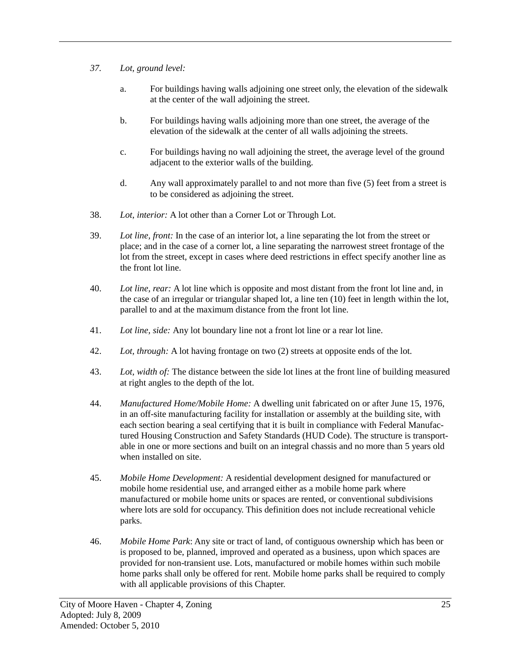- *37. Lot, ground level:*
	- a. For buildings having walls adjoining one street only, the elevation of the sidewalk at the center of the wall adjoining the street.
	- b. For buildings having walls adjoining more than one street, the average of the elevation of the sidewalk at the center of all walls adjoining the streets.
	- c. For buildings having no wall adjoining the street, the average level of the ground adjacent to the exterior walls of the building.
	- d. Any wall approximately parallel to and not more than five (5) feet from a street is to be considered as adjoining the street.
- 38. *Lot, interior:* A lot other than a Corner Lot or Through Lot.
- 39. *Lot line, front:* In the case of an interior lot, a line separating the lot from the street or place; and in the case of a corner lot, a line separating the narrowest street frontage of the lot from the street, except in cases where deed restrictions in effect specify another line as the front lot line.
- 40. *Lot line, rear:* A lot line which is opposite and most distant from the front lot line and, in the case of an irregular or triangular shaped lot, a line ten (10) feet in length within the lot, parallel to and at the maximum distance from the front lot line.
- 41. *Lot line, side:* Any lot boundary line not a front lot line or a rear lot line.
- 42. *Lot, through:* A lot having frontage on two (2) streets at opposite ends of the lot.
- 43. *Lot, width of:* The distance between the side lot lines at the front line of building measured at right angles to the depth of the lot.
- 44. *Manufactured Home/Mobile Home:* A dwelling unit fabricated on or after June 15, 1976, in an off-site manufacturing facility for installation or assembly at the building site, with each section bearing a seal certifying that it is built in compliance with Federal Manufactured Housing Construction and Safety Standards (HUD Code). The structure is transportable in one or more sections and built on an integral chassis and no more than 5 years old when installed on site.
- 45. *Mobile Home Development:* A residential development designed for manufactured or mobile home residential use, and arranged either as a mobile home park where manufactured or mobile home units or spaces are rented, or conventional subdivisions where lots are sold for occupancy. This definition does not include recreational vehicle parks.
- 46. *Mobile Home Park*: Any site or tract of land, of contiguous ownership which has been or is proposed to be, planned, improved and operated as a business, upon which spaces are provided for non-transient use. Lots, manufactured or mobile homes within such mobile home parks shall only be offered for rent. Mobile home parks shall be required to comply with all applicable provisions of this Chapter.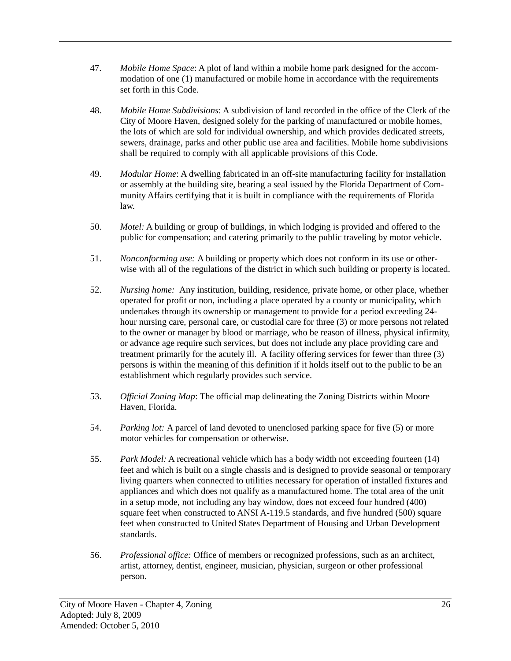- 47. *Mobile Home Space*: A plot of land within a mobile home park designed for the accommodation of one (1) manufactured or mobile home in accordance with the requirements set forth in this Code.
- 48. *Mobile Home Subdivisions*: A subdivision of land recorded in the office of the Clerk of the City of Moore Haven, designed solely for the parking of manufactured or mobile homes, the lots of which are sold for individual ownership, and which provides dedicated streets, sewers, drainage, parks and other public use area and facilities. Mobile home subdivisions shall be required to comply with all applicable provisions of this Code.
- 49. *Modular Home*: A dwelling fabricated in an off-site manufacturing facility for installation or assembly at the building site, bearing a seal issued by the Florida Department of Community Affairs certifying that it is built in compliance with the requirements of Florida law.
- 50. *Motel:* A building or group of buildings, in which lodging is provided and offered to the public for compensation; and catering primarily to the public traveling by motor vehicle.
- 51. *Nonconforming use:* A building or property which does not conform in its use or otherwise with all of the regulations of the district in which such building or property is located.
- 52. *Nursing home:* Any institution, building, residence, private home, or other place, whether operated for profit or non, including a place operated by a county or municipality, which undertakes through its ownership or management to provide for a period exceeding 24 hour nursing care, personal care, or custodial care for three (3) or more persons not related to the owner or manager by blood or marriage, who be reason of illness, physical infirmity, or advance age require such services, but does not include any place providing care and treatment primarily for the acutely ill. A facility offering services for fewer than three (3) persons is within the meaning of this definition if it holds itself out to the public to be an establishment which regularly provides such service.
- 53. *Official Zoning Map*: The official map delineating the Zoning Districts within Moore Haven, Florida.
- 54. *Parking lot:* A parcel of land devoted to unenclosed parking space for five (5) or more motor vehicles for compensation or otherwise.
- 55. *Park Model:* A recreational vehicle which has a body width not exceeding fourteen (14) feet and which is built on a single chassis and is designed to provide seasonal or temporary living quarters when connected to utilities necessary for operation of installed fixtures and appliances and which does not qualify as a manufactured home. The total area of the unit in a setup mode, not including any bay window, does not exceed four hundred (400) square feet when constructed to ANSI A-119.5 standards, and five hundred (500) square feet when constructed to United States Department of Housing and Urban Development standards.
- 56. *Professional office:* Office of members or recognized professions, such as an architect, artist, attorney, dentist, engineer, musician, physician, surgeon or other professional person.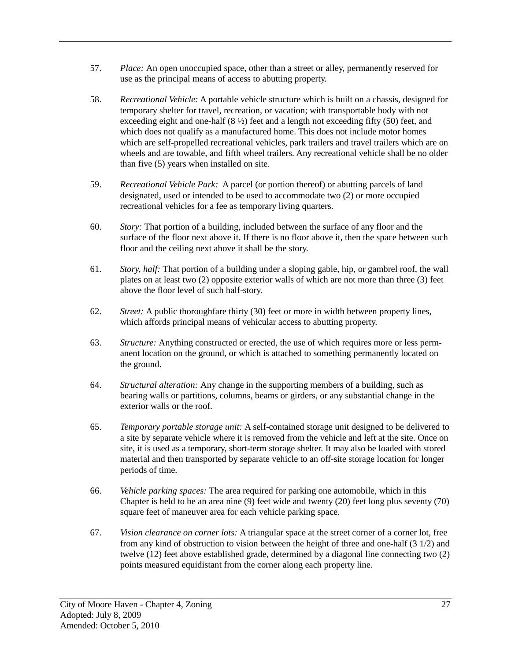- 57. *Place:* An open unoccupied space, other than a street or alley, permanently reserved for use as the principal means of access to abutting property.
- 58. *Recreational Vehicle:* A portable vehicle structure which is built on a chassis, designed for temporary shelter for travel, recreation, or vacation; with transportable body with not exceeding eight and one-half  $(8 \frac{1}{2})$  feet and a length not exceeding fifty (50) feet, and which does not qualify as a manufactured home. This does not include motor homes which are self-propelled recreational vehicles, park trailers and travel trailers which are on wheels and are towable, and fifth wheel trailers. Any recreational vehicle shall be no older than five (5) years when installed on site.
- 59. *Recreational Vehicle Park:* A parcel (or portion thereof) or abutting parcels of land designated, used or intended to be used to accommodate two (2) or more occupied recreational vehicles for a fee as temporary living quarters.
- 60. *Story:* That portion of a building, included between the surface of any floor and the surface of the floor next above it. If there is no floor above it, then the space between such floor and the ceiling next above it shall be the story.
- 61. *Story, half:* That portion of a building under a sloping gable, hip, or gambrel roof, the wall plates on at least two (2) opposite exterior walls of which are not more than three (3) feet above the floor level of such half-story.
- 62. *Street:* A public thoroughfare thirty (30) feet or more in width between property lines, which affords principal means of vehicular access to abutting property.
- 63. *Structure:* Anything constructed or erected, the use of which requires more or less permanent location on the ground, or which is attached to something permanently located on the ground.
- 64. *Structural alteration:* Any change in the supporting members of a building, such as bearing walls or partitions, columns, beams or girders, or any substantial change in the exterior walls or the roof.
- 65. *Temporary portable storage unit:* A self-contained storage unit designed to be delivered to a site by separate vehicle where it is removed from the vehicle and left at the site. Once on site, it is used as a temporary, short-term storage shelter. It may also be loaded with stored material and then transported by separate vehicle to an off-site storage location for longer periods of time.
- 66. *Vehicle parking spaces:* The area required for parking one automobile, which in this Chapter is held to be an area nine (9) feet wide and twenty (20) feet long plus seventy (70) square feet of maneuver area for each vehicle parking space.
- 67. *Vision clearance on corner lots:* A triangular space at the street corner of a corner lot, free from any kind of obstruction to vision between the height of three and one-half (3 1/2) and twelve (12) feet above established grade, determined by a diagonal line connecting two (2) points measured equidistant from the corner along each property line.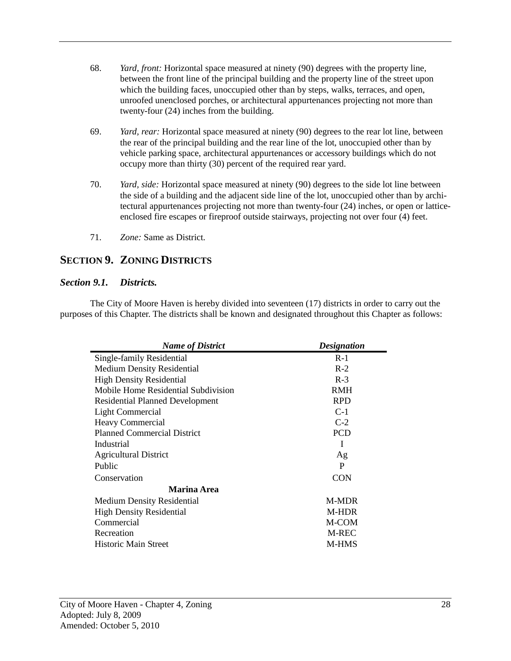- 68. *Yard, front:* Horizontal space measured at ninety (90) degrees with the property line, between the front line of the principal building and the property line of the street upon which the building faces, unoccupied other than by steps, walks, terraces, and open, unroofed unenclosed porches, or architectural appurtenances projecting not more than twenty-four (24) inches from the building.
- 69. *Yard, rear:* Horizontal space measured at ninety (90) degrees to the rear lot line, between the rear of the principal building and the rear line of the lot, unoccupied other than by vehicle parking space, architectural appurtenances or accessory buildings which do not occupy more than thirty (30) percent of the required rear yard.
- 70. *Yard, side:* Horizontal space measured at ninety (90) degrees to the side lot line between the side of a building and the adjacent side line of the lot, unoccupied other than by architectural appurtenances projecting not more than twenty-four (24) inches, or open or latticeenclosed fire escapes or fireproof outside stairways, projecting not over four (4) feet.
- 71. *Zone:* Same as District.

# <span id="page-32-0"></span>**SECTION 9. ZONING DISTRICTS**

#### <span id="page-32-1"></span>*Section 9.1. Districts.*

The City of Moore Haven is hereby divided into seventeen (17) districts in order to carry out the purposes of this Chapter. The districts shall be known and designated throughout this Chapter as follows:

<span id="page-32-2"></span>

| <b>Name of District</b>                | <b>Designation</b> |  |
|----------------------------------------|--------------------|--|
| Single-family Residential              | $R-1$              |  |
| <b>Medium Density Residential</b>      | $R-2$              |  |
| <b>High Density Residential</b>        | $R-3$              |  |
| Mobile Home Residential Subdivision    | <b>RMH</b>         |  |
| <b>Residential Planned Development</b> | <b>RPD</b>         |  |
| Light Commercial                       | $C-1$              |  |
| <b>Heavy Commercial</b>                | $C-2$              |  |
| <b>Planned Commercial District</b>     | <b>PCD</b>         |  |
| Industrial                             | I                  |  |
| <b>Agricultural District</b>           | Ag                 |  |
| Public                                 | P                  |  |
| Conservation                           | <b>CON</b>         |  |
| Marina Area                            |                    |  |
| <b>Medium Density Residential</b>      | <b>M-MDR</b>       |  |
| <b>High Density Residential</b>        | M-HDR              |  |
| Commercial                             | M-COM              |  |
| Recreation                             | M-REC              |  |
| <b>Historic Main Street</b>            | <b>M-HMS</b>       |  |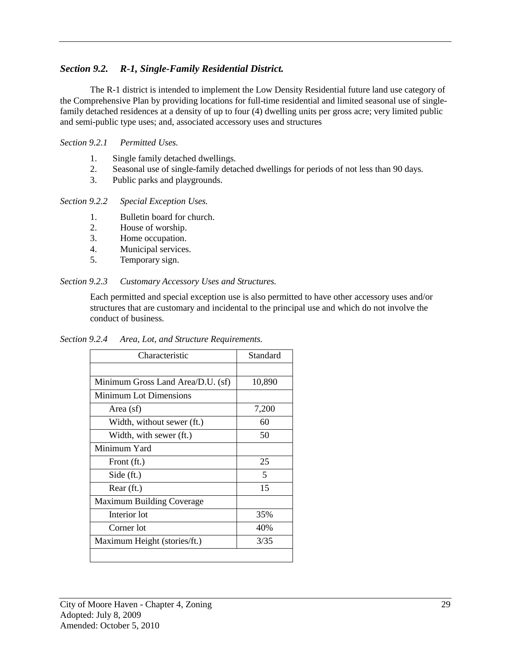# *Section 9.2. R-1, Single-Family Residential District.*

The R-1 district is intended to implement the Low Density Residential future land use category of the Comprehensive Plan by providing locations for full-time residential and limited seasonal use of singlefamily detached residences at a density of up to four (4) dwelling units per gross acre; very limited public and semi-public type uses; and, associated accessory uses and structures

## <span id="page-33-0"></span>*Section 9.2.1 Permitted Uses.*

- 1. Single family detached dwellings.
- 2. Seasonal use of single-family detached dwellings for periods of not less than 90 days.
- 3. Public parks and playgrounds.

## <span id="page-33-1"></span>*Section 9.2.2 Special Exception Uses.*

- 1. Bulletin board for church.
- 2. House of worship.
- 3. Home occupation.
- 4. Municipal services.
- 5. Temporary sign.

## <span id="page-33-2"></span>*Section 9.2.3 Customary Accessory Uses and Structures.*

Each permitted and special exception use is also permitted to have other accessory uses and/or structures that are customary and incidental to the principal use and which do not involve the conduct of business.

<span id="page-33-3"></span>*Section 9.2.4 Area, Lot, and Structure Requirements.*

| Characteristic                    | Standard |
|-----------------------------------|----------|
|                                   |          |
| Minimum Gross Land Area/D.U. (sf) | 10,890   |
| <b>Minimum Lot Dimensions</b>     |          |
| Area (sf)                         | 7,200    |
| Width, without sewer (ft.)        | 60       |
| Width, with sewer (ft.)           | 50       |
| Minimum Yard                      |          |
| Front (ft.)                       | 25       |
| Side (ft.)                        | 5        |
| Rear (ft.)                        | 15       |
| Maximum Building Coverage         |          |
| Interior lot                      | 35%      |
| Corner lot                        | 40%      |
| Maximum Height (stories/ft.)      | 3/35     |
|                                   |          |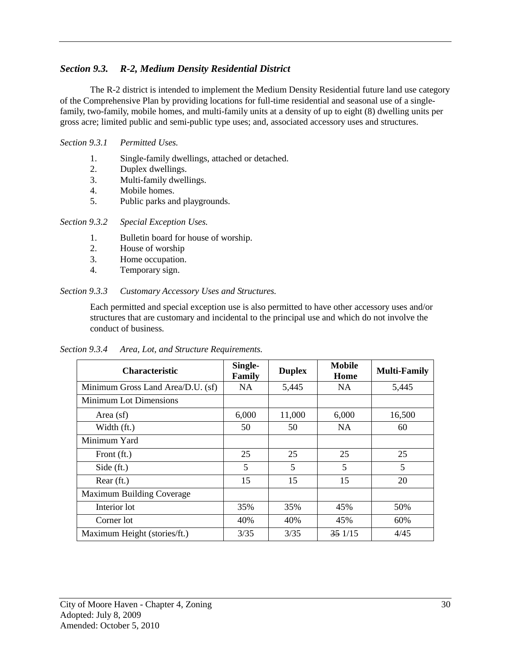# <span id="page-34-0"></span>*Section 9.3. R-2, Medium Density Residential District*

The R-2 district is intended to implement the Medium Density Residential future land use category of the Comprehensive Plan by providing locations for full-time residential and seasonal use of a singlefamily, two-family, mobile homes, and multi-family units at a density of up to eight (8) dwelling units per gross acre; limited public and semi-public type uses; and, associated accessory uses and structures.

#### <span id="page-34-1"></span>*Section 9.3.1 Permitted Uses.*

- 1. Single-family dwellings, attached or detached.
- 2. Duplex dwellings.<br>3. Multi-family dwell
- Multi-family dwellings.
- 4. Mobile homes.
- 5. Public parks and playgrounds.

#### <span id="page-34-2"></span>*Section 9.3.2 Special Exception Uses.*

- 1. Bulletin board for house of worship.<br>2. House of worship
- House of worship
- 3. Home occupation.
- 4. Temporary sign.

#### <span id="page-34-3"></span>*Section 9.3.3 Customary Accessory Uses and Structures.*

Each permitted and special exception use is also permitted to have other accessory uses and/or structures that are customary and incidental to the principal use and which do not involve the conduct of business.

<span id="page-34-4"></span>

| Section 9.3.4<br>Area, Lot, and Structure Requirements. |
|---------------------------------------------------------|
|---------------------------------------------------------|

| <b>Characteristic</b>             | Single-<br>Family | <b>Duplex</b> | <b>Mobile</b><br>Home | <b>Multi-Family</b> |
|-----------------------------------|-------------------|---------------|-----------------------|---------------------|
| Minimum Gross Land Area/D.U. (sf) | NA.               | 5,445         | <b>NA</b>             | 5,445               |
| <b>Minimum Lot Dimensions</b>     |                   |               |                       |                     |
| Area $(sf)$                       | 6,000             | 11,000        | 6,000                 | 16,500              |
| Width (ft.)                       | 50                | 50            | <b>NA</b>             | 60                  |
| Minimum Yard                      |                   |               |                       |                     |
| Front (ft.)                       | 25                | 25            | 25                    | 25                  |
| Side $(ft.)$                      | 5                 | 5             | 5                     | 5                   |
| Rear (ft.)                        | 15                | 15            | 15                    | 20                  |
| Maximum Building Coverage         |                   |               |                       |                     |
| Interior lot                      | 35%               | 35%           | 45%                   | 50%                 |
| Corner lot                        | 40%               | 40%           | 45%                   | 60%                 |
| Maximum Height (stories/ft.)      | 3/35              | 3/35          | 351/15                | 4/45                |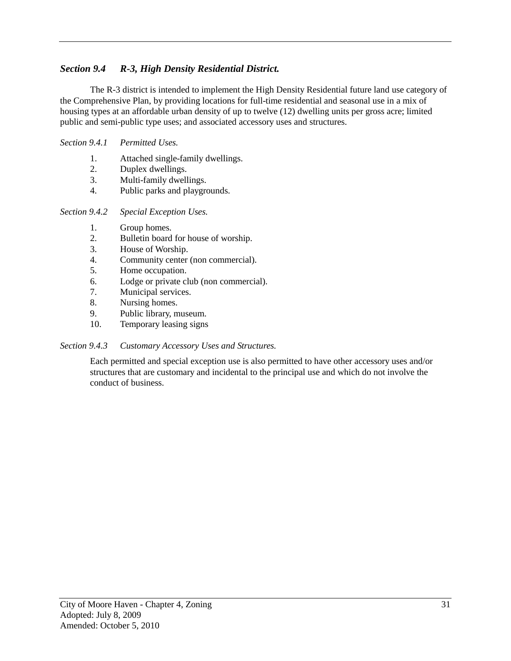# <span id="page-35-0"></span>*Section 9.4 R-3, High Density Residential District.*

The R-3 district is intended to implement the High Density Residential future land use category of the Comprehensive Plan, by providing locations for full-time residential and seasonal use in a mix of housing types at an affordable urban density of up to twelve (12) dwelling units per gross acre; limited public and semi-public type uses; and associated accessory uses and structures.

#### <span id="page-35-1"></span>*Section 9.4.1 Permitted Uses.*

- 1. Attached single-family dwellings.
- 2. Duplex dwellings.
- 3. Multi-family dwellings.
- 4. Public parks and playgrounds.

<span id="page-35-2"></span>*Section 9.4.2 Special Exception Uses.*

- 1. Group homes.
- 2. Bulletin board for house of worship.
- 3. House of Worship.
- 4. Community center (non commercial).
- 5. Home occupation.
- 6. Lodge or private club (non commercial).
- 7. Municipal services.
- 8. Nursing homes.
- 9. Public library, museum.
- 10. Temporary leasing signs

#### <span id="page-35-3"></span>*Section 9.4.3 Customary Accessory Uses and Structures.*

<span id="page-35-4"></span>Each permitted and special exception use is also permitted to have other accessory uses and/or structures that are customary and incidental to the principal use and which do not involve the conduct of business.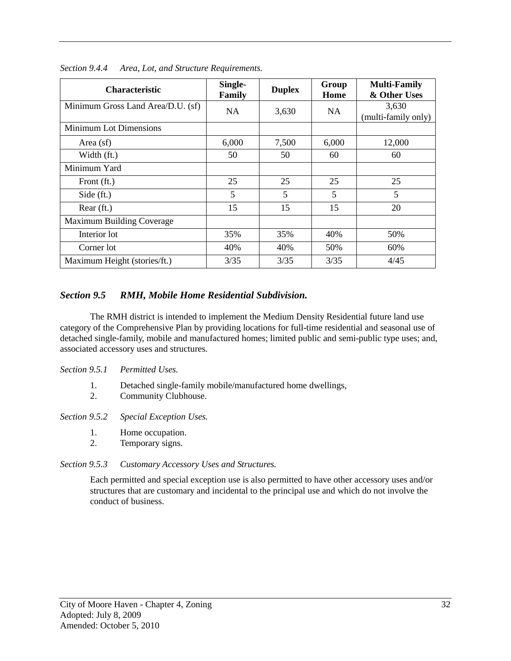| <b>Characteristic</b>             | Single-<br>Family | <b>Duplex</b> | Group<br>Home | <b>Multi-Family</b><br>& Other Uses |
|-----------------------------------|-------------------|---------------|---------------|-------------------------------------|
| Minimum Gross Land Area/D.U. (sf) | NA                | 3,630         | NA.           | 3,630<br>(multi-family only)        |
| <b>Minimum Lot Dimensions</b>     |                   |               |               |                                     |
| Area (sf)                         | 6,000             | 7,500         | 6,000         | 12,000                              |
| Width (ft.)                       | 50                | 50            | 60            | 60                                  |
| Minimum Yard                      |                   |               |               |                                     |
| Front (ft.)                       | 25                | 25            | 25            | 25                                  |
| Side $(ft.)$                      | 5                 | 5             | 5             | 5                                   |
| Rear (ft.)                        | 15                | 15            | 15            | 20                                  |
| Maximum Building Coverage         |                   |               |               |                                     |
| Interior lot                      | 35%               | 35%           | 40%           | 50%                                 |
| Corner lot                        | 40%               | 40%           | 50%           | 60%                                 |
| Maximum Height (stories/ft.)      | 3/35              | 3/35          | 3/35          | 4/45                                |

*Section 9.4.4 Area, Lot, and Structure Requirements.*

### *Section 9.5 RMH, Mobile Home Residential Subdivision.*

The RMH district is intended to implement the Medium Density Residential future land use category of the Comprehensive Plan by providing locations for full-time residential and seasonal use of detached single-family, mobile and manufactured homes; limited public and semi-public type uses; and, associated accessory uses and structures.

#### *Section 9.5.1 Permitted Uses.*

1. Detached single-family mobile/manufactured home dwellings,<br>2. Community Clubhouse.

2. Community Clubhouse.

*Section 9.5.2 Special Exception Uses.*

- 1. Home occupation.
- 2. Temporary signs.

# *Section 9.5.3 Customary Accessory Uses and Structures.*

Each permitted and special exception use is also permitted to have other accessory uses and/or structures that are customary and incidental to the principal use and which do not involve the conduct of business.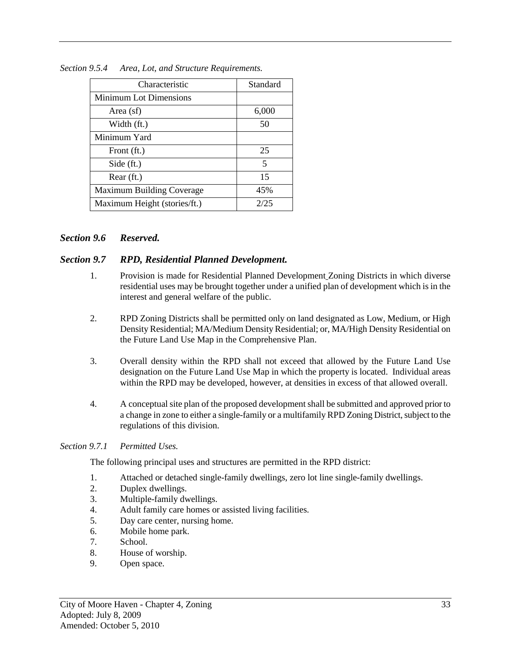| Characteristic               | Standard |
|------------------------------|----------|
| Minimum Lot Dimensions       |          |
| Area (sf)                    | 6,000    |
| Width (ft.)                  | 50       |
| Minimum Yard                 |          |
| Front (ft.)                  | 25       |
| Side (ft.)                   | 5        |
| Rear (ft.)                   | 15       |
| Maximum Building Coverage    | 45%      |
| Maximum Height (stories/ft.) | 2/25     |

*Section 9.5.4 Area, Lot, and Structure Requirements.*

#### *Section 9.6 Reserved.*

#### *Section 9.7 RPD, Residential Planned Development.*

- 1. Provision is made for Residential Planned Development Zoning Districts in which diverse residential uses may be brought together under a unified plan of development which is in the interest and general welfare of the public.
- 2. RPD Zoning Districts shall be permitted only on land designated as Low, Medium, or High Density Residential; MA/Medium Density Residential; or, MA/High Density Residential on the Future Land Use Map in the Comprehensive Plan.
- 3. Overall density within the RPD shall not exceed that allowed by the Future Land Use designation on the Future Land Use Map in which the property is located. Individual areas within the RPD may be developed, however, at densities in excess of that allowed overall.
- 4. A conceptual site plan of the proposed development shall be submitted and approved prior to a change in zone to either a single-family or a multifamily RPD Zoning District, subject to the regulations of this division.

#### *Section 9.7.1 Permitted Uses.*

The following principal uses and structures are permitted in the RPD district:

- 1. Attached or detached single-family dwellings, zero lot line single-family dwellings.
- 2. Duplex dwellings.
- 3. Multiple-family dwellings.
- 4. Adult family care homes or assisted living facilities.
- 5. Day care center, nursing home.
- 6. Mobile home park.
- 7. School.
- 8. House of worship.
- 9. Open space.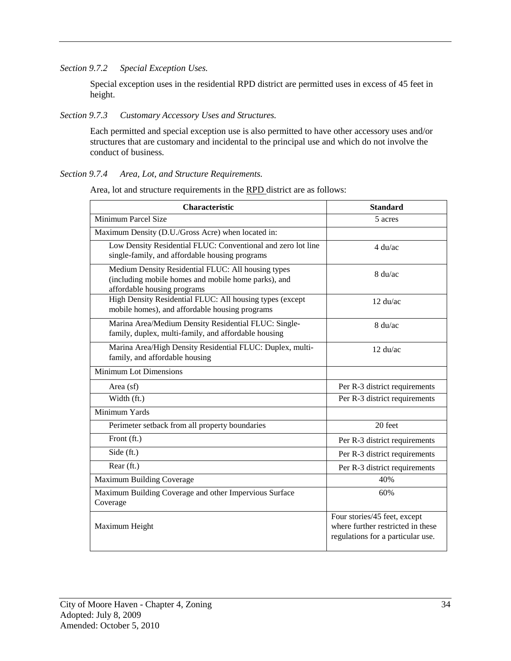*Section 9.7.2 Special Exception Uses.*

Special exception uses in the residential RPD district are permitted uses in excess of 45 feet in height.

### *Section 9.7.3 Customary Accessory Uses and Structures.*

Each permitted and special exception use is also permitted to have other accessory uses and/or structures that are customary and incidental to the principal use and which do not involve the conduct of business.

## *Section 9.7.4 Area, Lot, and Structure Requirements.*

Area, lot and structure requirements in the RPD district are as follows:

| <b>Characteristic</b>                                                                                                                    | <b>Standard</b>                                                                                        |
|------------------------------------------------------------------------------------------------------------------------------------------|--------------------------------------------------------------------------------------------------------|
| <b>Minimum Parcel Size</b>                                                                                                               | 5 acres                                                                                                |
| Maximum Density (D.U./Gross Acre) when located in:                                                                                       |                                                                                                        |
| Low Density Residential FLUC: Conventional and zero lot line<br>single-family, and affordable housing programs                           | $4 \mathrm{du}/\mathrm{ac}$                                                                            |
| Medium Density Residential FLUC: All housing types<br>(including mobile homes and mobile home parks), and<br>affordable housing programs | $8 \mathrm{du}/\mathrm{ac}$                                                                            |
| High Density Residential FLUC: All housing types (except<br>mobile homes), and affordable housing programs                               | $12 \text{ du/ac}$                                                                                     |
| Marina Area/Medium Density Residential FLUC: Single-<br>family, duplex, multi-family, and affordable housing                             | $8 \mathrm{du}/\mathrm{ac}$                                                                            |
| Marina Area/High Density Residential FLUC: Duplex, multi-<br>family, and affordable housing                                              | $12 \text{ du/ac}$                                                                                     |
| <b>Minimum Lot Dimensions</b>                                                                                                            |                                                                                                        |
| Area (sf)                                                                                                                                | Per R-3 district requirements                                                                          |
| Width (ft.)                                                                                                                              | Per R-3 district requirements                                                                          |
| Minimum Yards                                                                                                                            |                                                                                                        |
| Perimeter setback from all property boundaries                                                                                           | 20 feet                                                                                                |
| Front (ft.)                                                                                                                              | Per R-3 district requirements                                                                          |
| Side (ft.)                                                                                                                               | Per R-3 district requirements                                                                          |
| Rear (ft.)                                                                                                                               | Per R-3 district requirements                                                                          |
| Maximum Building Coverage                                                                                                                | 40%                                                                                                    |
| Maximum Building Coverage and other Impervious Surface<br>Coverage                                                                       | 60%                                                                                                    |
| Maximum Height                                                                                                                           | Four stories/45 feet, except<br>where further restricted in these<br>regulations for a particular use. |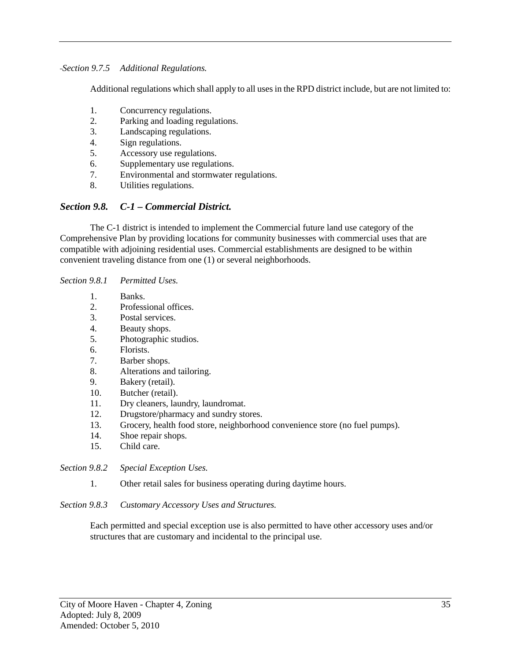*Section 9.7.5 Additional Regulations.*

Additional regulations which shall apply to all uses in the RPD district include, but are not limited to:

- 1. Concurrency regulations.
- 2. Parking and loading regulations.
- 3. Landscaping regulations.
- 4. Sign regulations.
- 5. Accessory use regulations.
- 6. Supplementary use regulations.
- 7. Environmental and stormwater regulations.
- 8. Utilities regulations.

# *Section 9.8. C-1 – Commercial District.*

The C-1 district is intended to implement the Commercial future land use category of the Comprehensive Plan by providing locations for community businesses with commercial uses that are compatible with adjoining residential uses. Commercial establishments are designed to be within convenient traveling distance from one (1) or several neighborhoods.

#### *Section 9.8.1 Permitted Uses.*

- 1. Banks.
- 2. Professional offices.
- 3. Postal services.
- 4. Beauty shops.
- 5. Photographic studios.
- 6. Florists.
- 7. Barber shops.
- 8. Alterations and tailoring.
- 9. Bakery (retail).
- 10. Butcher (retail).
- 11. Dry cleaners, laundry, laundromat.
- 12. Drugstore/pharmacy and sundry stores.
- 13. Grocery, health food store, neighborhood convenience store (no fuel pumps).
- 14. Shoe repair shops.
- 15. Child care.

*Section 9.8.2 Special Exception Uses.*

1. Other retail sales for business operating during daytime hours.

### *Section 9.8.3 Customary Accessory Uses and Structures.*

Each permitted and special exception use is also permitted to have other accessory uses and/or structures that are customary and incidental to the principal use.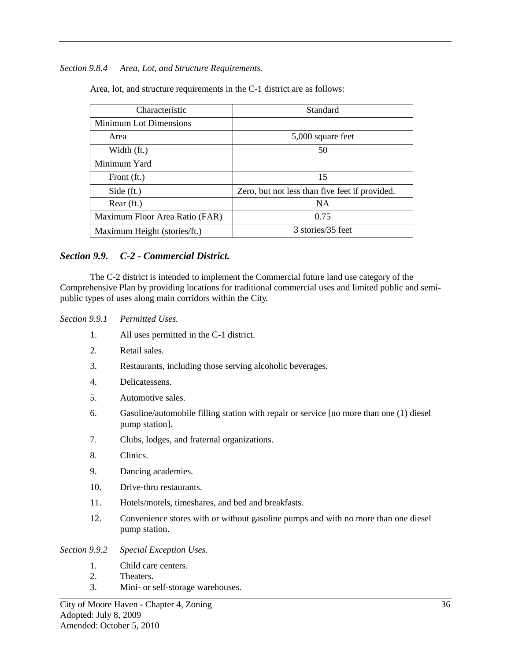#### *Section 9.8.4 Area, Lot, and Structure Requirements.*

Area, lot, and structure requirements in the C-1 district are as follows:

| Characteristic                 | Standard                                       |
|--------------------------------|------------------------------------------------|
| <b>Minimum Lot Dimensions</b>  |                                                |
| Area                           | 5,000 square feet                              |
| Width (ft.)                    | 50                                             |
| Minimum Yard                   |                                                |
| Front (ft.)                    | 15                                             |
| Side $(ft.)$                   | Zero, but not less than five feet if provided. |
| Rear (ft.)                     | <b>NA</b>                                      |
| Maximum Floor Area Ratio (FAR) | 0.75                                           |
| Maximum Height (stories/ft.)   | 3 stories/35 feet                              |

## *Section 9.9. C-2 - Commercial District.*

The C-2 district is intended to implement the Commercial future land use category of the Comprehensive Plan by providing locations for traditional commercial uses and limited public and semipublic types of uses along main corridors within the City.

#### *Section 9.9.1 Permitted Uses.*

- 1. All uses permitted in the C-1 district.
- 2. Retail sales.
- 3. Restaurants, including those serving alcoholic beverages.
- 4. Delicatessens.
- 5. Automotive sales.
- 6. Gasoline/automobile filling station with repair or service [no more than one (1) diesel pump station].
- 7. Clubs, lodges, and fraternal organizations.
- 8. Clinics.
- 9. Dancing academies.
- 10. Drive-thru restaurants.
- 11. Hotels/motels, timeshares, and bed and breakfasts.
- 12. Convenience stores with or without gasoline pumps and with no more than one diesel pump station.

*Section 9.9.2 Special Exception Uses.*

- 1. Child care centers.
- 2. Theaters.
- 3. Mini- or self-storage warehouses.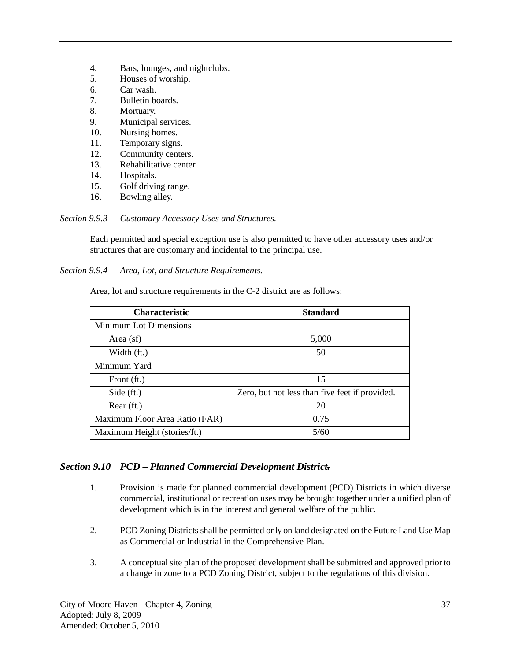- 4. Bars, lounges, and nightclubs.<br>5. Houses of worship.
- Houses of worship.
- 6. Car wash.
- 7. Bulletin boards.
- 8. Mortuary.
- 9. Municipal services.
- 10. Nursing homes.
- 11. Temporary signs.
- 12. Community centers.
- 13. Rehabilitative center.
- 14. Hospitals.
- 15. Golf driving range.
- 16. Bowling alley.

*Section 9.9.3 Customary Accessory Uses and Structures.*

Each permitted and special exception use is also permitted to have other accessory uses and/or structures that are customary and incidental to the principal use.

*Section 9.9.4 Area, Lot, and Structure Requirements.*

| <b>Characteristic</b>          | <b>Standard</b>                                |
|--------------------------------|------------------------------------------------|
| <b>Minimum Lot Dimensions</b>  |                                                |
| Area $(sf)$                    | 5,000                                          |
| Width (ft.)                    | 50                                             |
| Minimum Yard                   |                                                |
| Front (ft.)                    | 15                                             |
| Side $(ft.)$                   | Zero, but not less than five feet if provided. |
| $Rear$ (ft.)                   | 20                                             |
| Maximum Floor Area Ratio (FAR) | 0.75                                           |
| Maximum Height (stories/ft.)   | 5/60                                           |

Area, lot and structure requirements in the C-2 district are as follows:

# *Section 9.10 PCD – Planned Commercial Development District.*

- 1. Provision is made for planned commercial development (PCD) Districts in which diverse commercial, institutional or recreation uses may be brought together under a unified plan of development which is in the interest and general welfare of the public.
- 2. PCD Zoning Districts shall be permitted only on land designated on the Future Land Use Map as Commercial or Industrial in the Comprehensive Plan.
- 3. A conceptual site plan of the proposed development shall be submitted and approved prior to a change in zone to a PCD Zoning District, subject to the regulations of this division.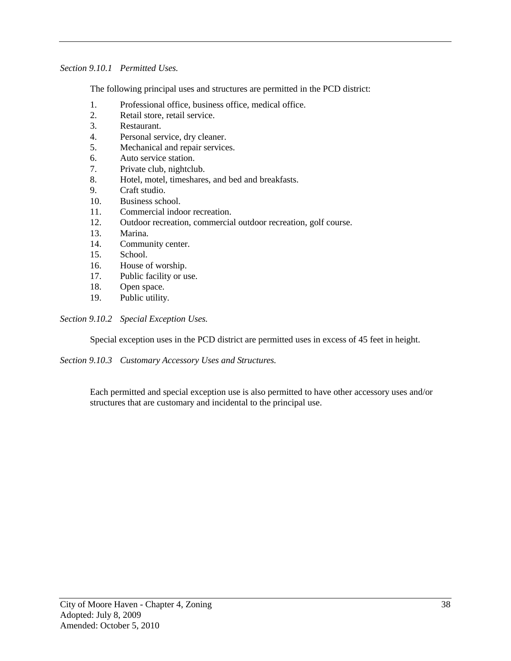*Section 9.10.1 Permitted Uses.*

The following principal uses and structures are permitted in the PCD district:

- 1. Professional office, business office, medical office.
- 2. Retail store, retail service.
- 3. Restaurant.
- 4. Personal service, dry cleaner.
- 5. Mechanical and repair services.
- 6. Auto service station.
- 7. Private club, nightclub.
- 8. Hotel, motel, timeshares, and bed and breakfasts.
- 9. Craft studio.
- 10. Business school.
- 11. Commercial indoor recreation.
- 12. Outdoor recreation, commercial outdoor recreation, golf course.
- 13. Marina.
- 14. Community center.
- 15. School.
- 16. House of worship.
- 17. Public facility or use.
- 18. Open space.
- 19. Public utility.

*Section 9.10.2 Special Exception Uses.*

Special exception uses in the PCD district are permitted uses in excess of 45 feet in height.

*Section 9.10.3 Customary Accessory Uses and Structures.*

Each permitted and special exception use is also permitted to have other accessory uses and/or structures that are customary and incidental to the principal use.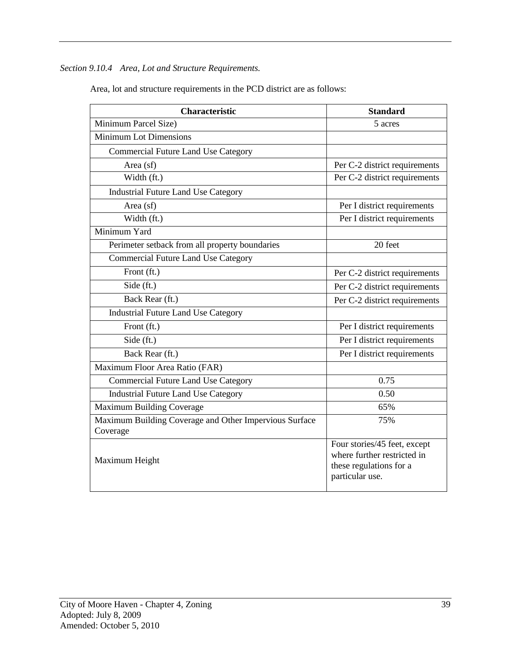*Section 9.10.4 Area, Lot and Structure Requirements.*

| <b>Characteristic</b>                                  | <b>Standard</b>                                                                                           |
|--------------------------------------------------------|-----------------------------------------------------------------------------------------------------------|
| Minimum Parcel Size)                                   | 5 acres                                                                                                   |
| <b>Minimum Lot Dimensions</b>                          |                                                                                                           |
| <b>Commercial Future Land Use Category</b>             |                                                                                                           |
| Area $(sf)$                                            | Per C-2 district requirements                                                                             |
| Width (ft.)                                            | Per C-2 district requirements                                                                             |
| <b>Industrial Future Land Use Category</b>             |                                                                                                           |
| Area (sf)                                              | Per I district requirements                                                                               |
| Width (ft.)                                            | Per I district requirements                                                                               |
| Minimum Yard                                           |                                                                                                           |
| Perimeter setback from all property boundaries         | 20 feet                                                                                                   |
| <b>Commercial Future Land Use Category</b>             |                                                                                                           |
| Front (ft.)                                            | Per C-2 district requirements                                                                             |
| Side (ft.)                                             | Per C-2 district requirements                                                                             |
| Back Rear (ft.)                                        | Per C-2 district requirements                                                                             |
| <b>Industrial Future Land Use Category</b>             |                                                                                                           |
| Front (ft.)                                            | Per I district requirements                                                                               |
| Side (ft.)                                             | Per I district requirements                                                                               |
| Back Rear (ft.)                                        | Per I district requirements                                                                               |
| Maximum Floor Area Ratio (FAR)                         |                                                                                                           |
| <b>Commercial Future Land Use Category</b>             | 0.75                                                                                                      |
| <b>Industrial Future Land Use Category</b>             | 0.50                                                                                                      |
| Maximum Building Coverage                              | 65%                                                                                                       |
| Maximum Building Coverage and Other Impervious Surface | 75%                                                                                                       |
| Coverage                                               |                                                                                                           |
| Maximum Height                                         | Four stories/45 feet, except<br>where further restricted in<br>these regulations for a<br>particular use. |

Area, lot and structure requirements in the PCD district are as follows: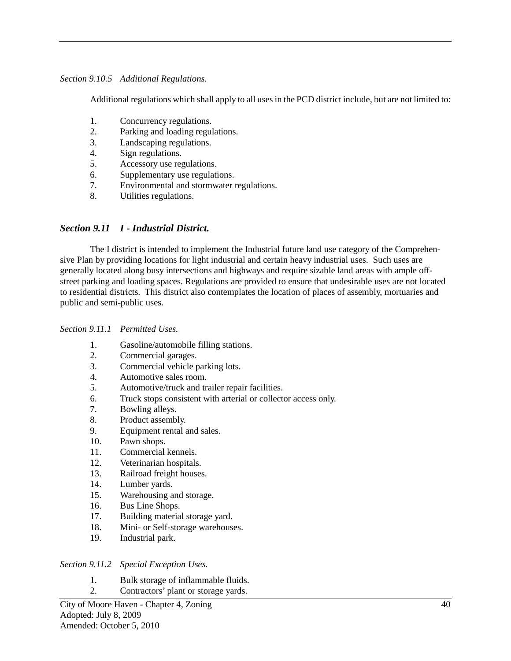#### *Section 9.10.5 Additional Regulations.*

Additional regulations which shall apply to all uses in the PCD district include, but are not limited to:

- 1. Concurrency regulations.
- 2. Parking and loading regulations.
- 3. Landscaping regulations.
- 4. Sign regulations.
- 5. Accessory use regulations.
- 6. Supplementary use regulations.
- 7. Environmental and stormwater regulations.
- 8. Utilities regulations.

### *Section 9.11 I - Industrial District.*

The I district is intended to implement the Industrial future land use category of the Comprehensive Plan by providing locations for light industrial and certain heavy industrial uses. Such uses are generally located along busy intersections and highways and require sizable land areas with ample offstreet parking and loading spaces. Regulations are provided to ensure that undesirable uses are not located to residential districts. This district also contemplates the location of places of assembly, mortuaries and public and semi-public uses.

#### *Section 9.11.1 Permitted Uses.*

- 1. Gasoline/automobile filling stations.
- 2. Commercial garages.
- 3. Commercial vehicle parking lots.
- 4. Automotive sales room.
- 5. Automotive/truck and trailer repair facilities.
- 6. Truck stops consistent with arterial or collector access only.
- 7. Bowling alleys.
- 8. Product assembly.
- 9. Equipment rental and sales.
- 10. Pawn shops.
- 11. Commercial kennels.
- 12. Veterinarian hospitals.
- 13. Railroad freight houses.
- 14. Lumber yards.
- 15. Warehousing and storage.
- 16. Bus Line Shops.
- 17. Building material storage yard.
- 18. Mini- or Self-storage warehouses.
- 19. Industrial park.

#### *Section 9.11.2 Special Exception Uses.*

- 1. Bulk storage of inflammable fluids.
- 2. Contractors' plant or storage yards.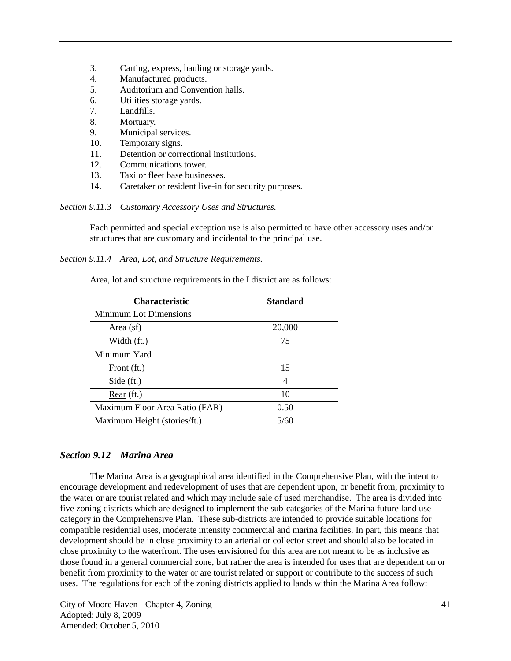- 3. Carting, express, hauling or storage yards.
- 4. Manufactured products.
- 5. Auditorium and Convention halls.
- 6. Utilities storage yards.
- 7. Landfills.
- 8. Mortuary.
- 9. Municipal services.
- 10. Temporary signs.
- 11. Detention or correctional institutions.
- 12. Communications tower.
- 13. Taxi or fleet base businesses.
- 14. Caretaker or resident live-in for security purposes.

*Section 9.11.3 Customary Accessory Uses and Structures.*

Each permitted and special exception use is also permitted to have other accessory uses and/or structures that are customary and incidental to the principal use.

*Section 9.11.4 Area, Lot, and Structure Requirements.*

Area, lot and structure requirements in the I district are as follows:

| <b>Characteristic</b>          | <b>Standard</b>          |
|--------------------------------|--------------------------|
| Minimum Lot Dimensions         |                          |
| Area (sf)                      | 20,000                   |
| Width (ft.)                    | 75                       |
| Minimum Yard                   |                          |
| Front (ft.)                    | 15                       |
| Side $(ft.)$                   | $\overline{\mathcal{A}}$ |
| Rear (ft.)                     | 10                       |
| Maximum Floor Area Ratio (FAR) | 0.50                     |
| Maximum Height (stories/ft.)   | 5/60                     |

# *Section 9.12 Marina Area*

The Marina Area is a geographical area identified in the Comprehensive Plan, with the intent to encourage development and redevelopment of uses that are dependent upon, or benefit from, proximity to the water or are tourist related and which may include sale of used merchandise. The area is divided into five zoning districts which are designed to implement the sub-categories of the Marina future land use category in the Comprehensive Plan. These sub-districts are intended to provide suitable locations for compatible residential uses, moderate intensity commercial and marina facilities. In part, this means that development should be in close proximity to an arterial or collector street and should also be located in close proximity to the waterfront. The uses envisioned for this area are not meant to be as inclusive as those found in a general commercial zone, but rather the area is intended for uses that are dependent on or benefit from proximity to the water or are tourist related or support or contribute to the success of such uses. The regulations for each of the zoning districts applied to lands within the Marina Area follow: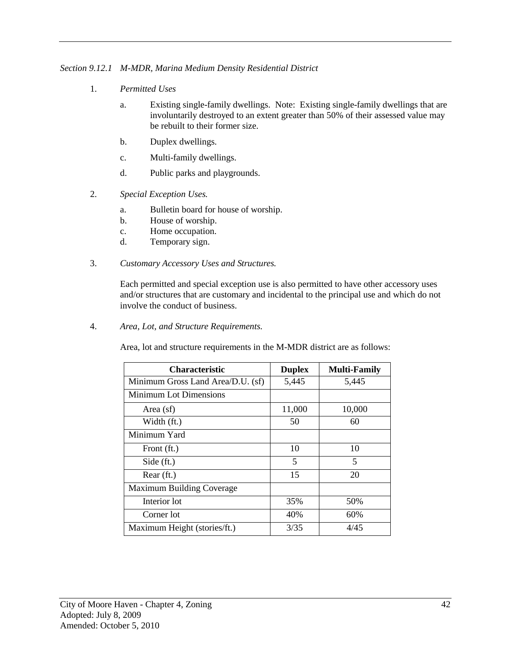*Section 9.12.1 M-MDR, Marina Medium Density Residential District*

- 1. *Permitted Uses*
	- a. Existing single-family dwellings. Note: Existing single-family dwellings that are involuntarily destroyed to an extent greater than 50% of their assessed value may be rebuilt to their former size.
	- b. Duplex dwellings.
	- c. Multi-family dwellings.
	- d. Public parks and playgrounds.
- 2. *Special Exception Uses.*
	- a. Bulletin board for house of worship.
	- b. House of worship.
	- c. Home occupation.
	- d. Temporary sign.
- 3. *Customary Accessory Uses and Structures.*

Each permitted and special exception use is also permitted to have other accessory uses and/or structures that are customary and incidental to the principal use and which do not involve the conduct of business.

4. *Area, Lot, and Structure Requirements.*

Area, lot and structure requirements in the M-MDR district are as follows:

| <b>Characteristic</b>             | <b>Duplex</b> | <b>Multi-Family</b> |
|-----------------------------------|---------------|---------------------|
| Minimum Gross Land Area/D.U. (sf) | 5,445         | 5,445               |
| <b>Minimum Lot Dimensions</b>     |               |                     |
| Area (sf)                         | 11,000        | 10,000              |
| Width (ft.)                       | 50            | 60                  |
| Minimum Yard                      |               |                     |
| Front (ft.)                       | 10            | 10                  |
| Side (ft.)                        | 5             | 5                   |
| Rear (ft.)                        | 15            | 20                  |
| Maximum Building Coverage         |               |                     |
| Interior lot                      | 35%           | 50%                 |
| Corner lot                        | 40%           | 60%                 |
| Maximum Height (stories/ft.)      | 3/35          | 4/45                |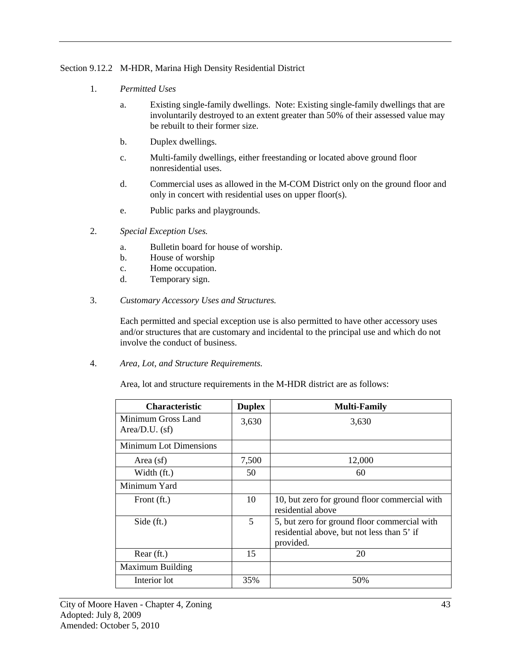### Section 9.12.2 M-HDR, Marina High Density Residential District

- 1. *Permitted Uses*
	- a. Existing single-family dwellings. Note: Existing single-family dwellings that are involuntarily destroyed to an extent greater than 50% of their assessed value may be rebuilt to their former size.
	- b. Duplex dwellings.
	- c. Multi-family dwellings, either freestanding or located above ground floor nonresidential uses.
	- d. Commercial uses as allowed in the M-COM District only on the ground floor and only in concert with residential uses on upper floor(s).
	- e. Public parks and playgrounds.
- 2. *Special Exception Uses.*
	- a. Bulletin board for house of worship.
	- b. House of worship
	- c. Home occupation.
	- d. Temporary sign.
- 3. *Customary Accessory Uses and Structures.*

Each permitted and special exception use is also permitted to have other accessory uses and/or structures that are customary and incidental to the principal use and which do not involve the conduct of business.

4. *Area, Lot, and Structure Requirements.*

Area, lot and structure requirements in the M-HDR district are as follows:

| Characteristic                         | <b>Duplex</b> | <b>Multi-Family</b>                                                                                     |
|----------------------------------------|---------------|---------------------------------------------------------------------------------------------------------|
| Minimum Gross Land<br>$Area/D.U.$ (sf) | 3,630         | 3,630                                                                                                   |
| <b>Minimum Lot Dimensions</b>          |               |                                                                                                         |
| Area (sf)                              | 7,500         | 12,000                                                                                                  |
| Width (ft.)                            | 50            | 60                                                                                                      |
| Minimum Yard                           |               |                                                                                                         |
| Front (ft.)                            | 10            | 10, but zero for ground floor commercial with<br>residential above                                      |
| Side $(ft.)$                           | 5             | 5, but zero for ground floor commercial with<br>residential above, but not less than 5' if<br>provided. |
| Rear (ft.)                             | 15            | 20                                                                                                      |
| <b>Maximum Building</b>                |               |                                                                                                         |
| Interior lot                           | 35%           | 50%                                                                                                     |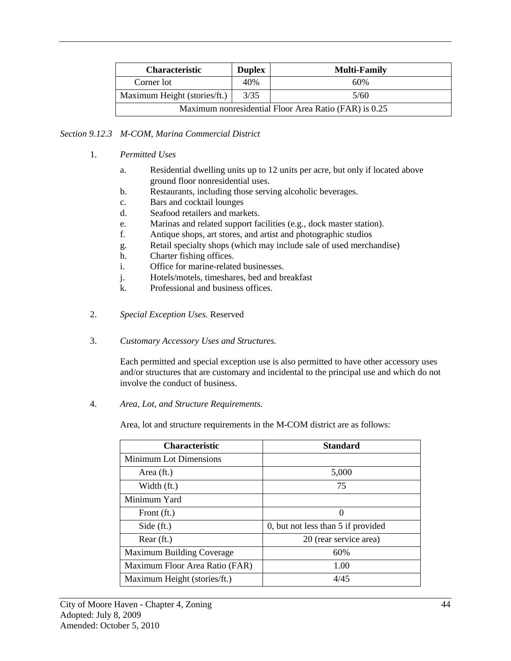| <b>Characteristic</b>                                 | <b>Duplex</b> | <b>Multi-Family</b> |
|-------------------------------------------------------|---------------|---------------------|
| Corner lot                                            | 40%           | 60%                 |
| Maximum Height (stories/ft.)                          | 3/35          | 5/60                |
| Maximum nonresidential Floor Area Ratio (FAR) is 0.25 |               |                     |

### *Section 9.12.3 M-COM, Marina Commercial District*

- 1. *Permitted Uses*
	- a. Residential dwelling units up to 12 units per acre, but only if located above ground floor nonresidential uses.
	- b. Restaurants, including those serving alcoholic beverages.
	- c. Bars and cocktail lounges
	- d. Seafood retailers and markets.
	- e. Marinas and related support facilities (e.g., dock master station).
	- f. Antique shops, art stores, and artist and photographic studios
	- g. Retail specialty shops (which may include sale of used merchandise)
	- h. Charter fishing offices.
	- i. Office for marine-related businesses.
	- j. Hotels/motels, timeshares, bed and breakfast
	- k. Professional and business offices.
- 2. *Special Exception Uses.* Reserved
- 3. *Customary Accessory Uses and Structures.*

Each permitted and special exception use is also permitted to have other accessory uses and/or structures that are customary and incidental to the principal use and which do not involve the conduct of business.

4. *Area, Lot, and Structure Requirements.*

Area, lot and structure requirements in the M-COM district are as follows:

| <b>Characteristic</b>          | <b>Standard</b>                    |
|--------------------------------|------------------------------------|
| <b>Minimum Lot Dimensions</b>  |                                    |
| Area (ft.)                     | 5,000                              |
| Width (ft.)                    | 75                                 |
| Minimum Yard                   |                                    |
| Front (ft.)                    |                                    |
| Side (ft.)                     | 0, but not less than 5 if provided |
| $Rear$ (ft.)                   | 20 (rear service area)             |
| Maximum Building Coverage      | 60%                                |
| Maximum Floor Area Ratio (FAR) | 1.00                               |
| Maximum Height (stories/ft.)   | 4/45                               |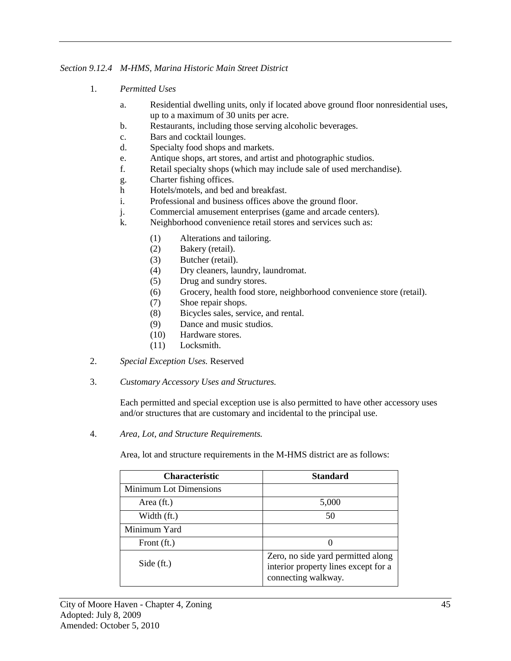### *Section 9.12.4 M-HMS, Marina Historic Main Street District*

- 1. *Permitted Uses*
	- a. Residential dwelling units, only if located above ground floor nonresidential uses, up to a maximum of 30 units per acre.
	- b. Restaurants, including those serving alcoholic beverages.
	- c. Bars and cocktail lounges.
	- d. Specialty food shops and markets.
	- e. Antique shops, art stores, and artist and photographic studios.
	- f. Retail specialty shops (which may include sale of used merchandise).
	- g. Charter fishing offices.
	- h Hotels/motels, and bed and breakfast.
	- i. Professional and business offices above the ground floor.
	- j. Commercial amusement enterprises (game and arcade centers).
	- k. Neighborhood convenience retail stores and services such as:
		- (1) Alterations and tailoring.
		- (2) Bakery (retail).
		- (3) Butcher (retail).
		- (4) Dry cleaners, laundry, laundromat.
		- (5) Drug and sundry stores.
		- (6) Grocery, health food store, neighborhood convenience store (retail).
		- (7) Shoe repair shops.
		- (8) Bicycles sales, service, and rental.
		- (9) Dance and music studios.
		- (10) Hardware stores.
		- (11) Locksmith.
- 2. *Special Exception Uses.* Reserved
- 3. *Customary Accessory Uses and Structures.*

Each permitted and special exception use is also permitted to have other accessory uses and/or structures that are customary and incidental to the principal use.

4. *Area, Lot, and Structure Requirements.*

Area, lot and structure requirements in the M-HMS district are as follows:

| <b>Characteristic</b>         | <b>Standard</b>                                                                                   |
|-------------------------------|---------------------------------------------------------------------------------------------------|
| <b>Minimum Lot Dimensions</b> |                                                                                                   |
| Area (ft.)                    | 5,000                                                                                             |
| Width (ft.)                   | 50                                                                                                |
| Minimum Yard                  |                                                                                                   |
| Front (ft.)                   |                                                                                                   |
| Side (ft.)                    | Zero, no side yard permitted along<br>interior property lines except for a<br>connecting walkway. |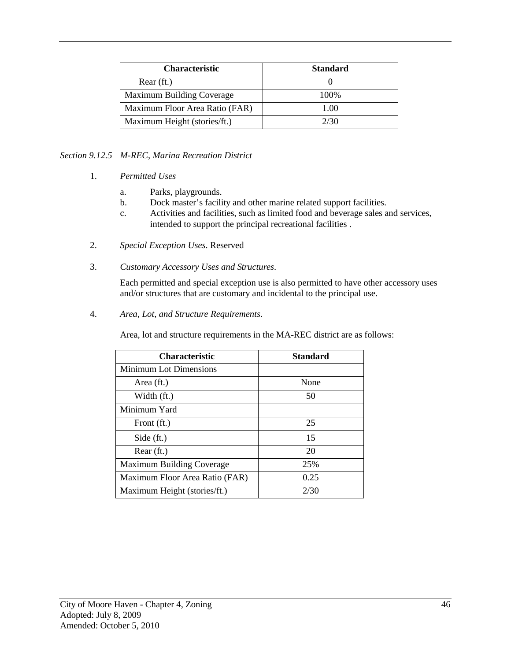| <b>Characteristic</b>          | <b>Standard</b> |
|--------------------------------|-----------------|
| $Rear$ (ft.)                   |                 |
| Maximum Building Coverage      | 100\%           |
| Maximum Floor Area Ratio (FAR) | 1.00            |
| Maximum Height (stories/ft.)   | 2/30            |

# *Section 9.12.5 M-REC, Marina Recreation District*

- 1. *Permitted Uses*
	- a. Parks, playgrounds.
	- b. Dock master's facility and other marine related support facilities.
	- c. Activities and facilities, such as limited food and beverage sales and services, intended to support the principal recreational facilities .
- 2. *Special Exception Uses*. Reserved
- 3. *Customary Accessory Uses and Structures*.

Each permitted and special exception use is also permitted to have other accessory uses and/or structures that are customary and incidental to the principal use.

4. *Area, Lot, and Structure Requirements*.

Area, lot and structure requirements in the MA-REC district are as follows:

| <b>Characteristic</b>          | <b>Standard</b> |
|--------------------------------|-----------------|
| <b>Minimum Lot Dimensions</b>  |                 |
| Area (ft.)                     | None            |
| Width (ft.)                    | 50              |
| Minimum Yard                   |                 |
| Front (ft.)                    | 25              |
| Side (ft.)                     | 15              |
| Rear (ft.)                     | 20              |
| Maximum Building Coverage      | 25%             |
| Maximum Floor Area Ratio (FAR) | 0.25            |
| Maximum Height (stories/ft.)   | 2/30            |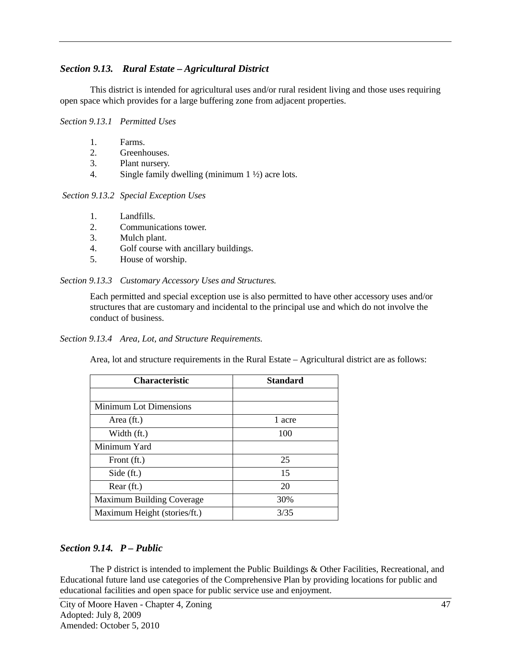# *Section 9.13. Rural Estate – Agricultural District*

This district is intended for agricultural uses and/or rural resident living and those uses requiring open space which provides for a large buffering zone from adjacent properties.

#### *Section 9.13.1 Permitted Uses*

- 1. Farms.
- 2. Greenhouses.
- 3. Plant nursery.
- 4. Single family dwelling (minimum 1 ½) acre lots.

#### *Section 9.13.2 Special Exception Uses*

- 1. Landfills.
- 2. Communications tower.
- 3. Mulch plant.
- 4. Golf course with ancillary buildings.
- 5. House of worship.

#### *Section 9.13.3 Customary Accessory Uses and Structures.*

Each permitted and special exception use is also permitted to have other accessory uses and/or structures that are customary and incidental to the principal use and which do not involve the conduct of business.

*Section 9.13.4 Area, Lot, and Structure Requirements.*

Area, lot and structure requirements in the Rural Estate – Agricultural district are as follows:

| <b>Characteristic</b>        | <b>Standard</b> |
|------------------------------|-----------------|
|                              |                 |
| Minimum Lot Dimensions       |                 |
| Area (ft.)                   | 1 acre          |
| Width (ft.)                  | 100             |
| Minimum Yard                 |                 |
| Front (ft.)                  | 25              |
| Side $(ft.)$                 | 15              |
| Rear(ft.)                    | 20              |
| Maximum Building Coverage    | 30%             |
| Maximum Height (stories/ft.) | 3/35            |

### *Section 9.14. P – Public*

The P district is intended to implement the Public Buildings & Other Facilities, Recreational, and Educational future land use categories of the Comprehensive Plan by providing locations for public and educational facilities and open space for public service use and enjoyment.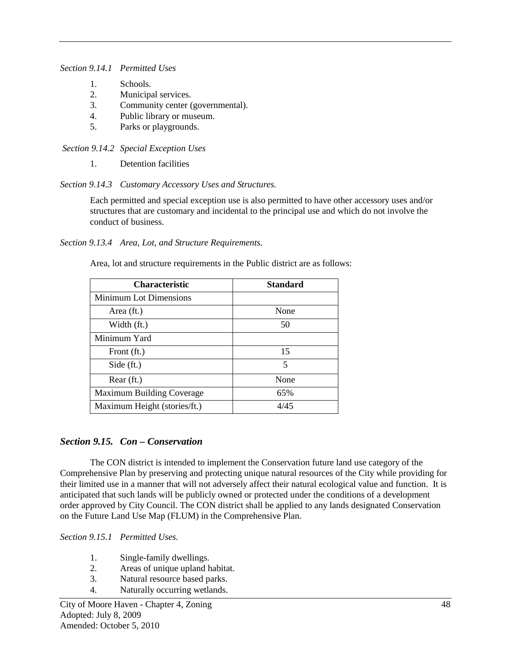*Section 9.14.1 Permitted Uses*

- 1. Schools.
- 2. Municipal services.
- 3. Community center (governmental).
- 4. Public library or museum.
- 5. Parks or playgrounds.

*Section 9.14.2 Special Exception Uses*

1. Detention facilities

*Section 9.14.3 Customary Accessory Uses and Structures.*

Each permitted and special exception use is also permitted to have other accessory uses and/or structures that are customary and incidental to the principal use and which do not involve the conduct of business.

*Section 9.13.4 Area, Lot, and Structure Requirements.*

Area, lot and structure requirements in the Public district are as follows:

| <b>Characteristic</b>        | <b>Standard</b> |
|------------------------------|-----------------|
| Minimum Lot Dimensions       |                 |
| Area (ft.)                   | None            |
| Width (ft.)                  | 50              |
| Minimum Yard                 |                 |
| Front (ft.)                  | 15              |
| Side $(ft.)$                 | 5               |
| Rear (ft.)                   | None            |
| Maximum Building Coverage    | 65%             |
| Maximum Height (stories/ft.) | 4/45            |

### *Section 9.15. Con – Conservation*

The CON district is intended to implement the Conservation future land use category of the Comprehensive Plan by preserving and protecting unique natural resources of the City while providing for their limited use in a manner that will not adversely affect their natural ecological value and function. It is anticipated that such lands will be publicly owned or protected under the conditions of a development order approved by City Council. The CON district shall be applied to any lands designated Conservation on the Future Land Use Map (FLUM) in the Comprehensive Plan.

*Section 9.15.1 Permitted Uses.*

- 1. Single-family dwellings.
- 2. Areas of unique upland habitat.
- 3. Natural resource based parks.
- 4. Naturally occurring wetlands.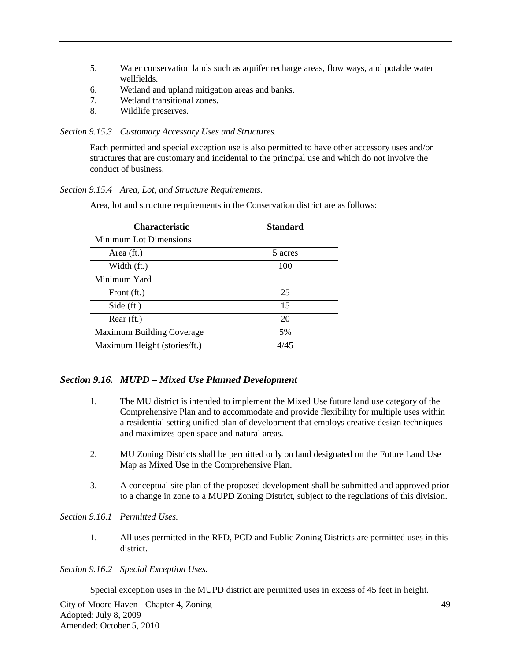- 5. Water conservation lands such as aquifer recharge areas, flow ways, and potable water wellfields.
- 6. Wetland and upland mitigation areas and banks.
- 7. Wetland transitional zones.
- 8. Wildlife preserves.

#### *Section 9.15.3 Customary Accessory Uses and Structures.*

Each permitted and special exception use is also permitted to have other accessory uses and/or structures that are customary and incidental to the principal use and which do not involve the conduct of business.

### *Section 9.15.4 Area, Lot, and Structure Requirements.*

Area, lot and structure requirements in the Conservation district are as follows:

| <b>Characteristic</b>            | <b>Standard</b> |
|----------------------------------|-----------------|
| Minimum Lot Dimensions           |                 |
| Area (ft.)                       | 5 acres         |
| Width (ft.)                      | 100             |
| Minimum Yard                     |                 |
| Front (ft.)                      | 25              |
| Side (ft.)                       | 15              |
| Rear (ft.)                       | 20              |
| <b>Maximum Building Coverage</b> | 5%              |
| Maximum Height (stories/ft.)     | 4/45            |

# *Section 9.16. MUPD – Mixed Use Planned Development*

- 1. The MU district is intended to implement the Mixed Use future land use category of the Comprehensive Plan and to accommodate and provide flexibility for multiple uses within a residential setting unified plan of development that employs creative design techniques and maximizes open space and natural areas.
- 2. MU Zoning Districts shall be permitted only on land designated on the Future Land Use Map as Mixed Use in the Comprehensive Plan.
- 3. A conceptual site plan of the proposed development shall be submitted and approved prior to a change in zone to a MUPD Zoning District, subject to the regulations of this division.

*Section 9.16.1 Permitted Uses.*

1. All uses permitted in the RPD, PCD and Public Zoning Districts are permitted uses in this district.

*Section 9.16.2 Special Exception Uses.*

Special exception uses in the MUPD district are permitted uses in excess of 45 feet in height.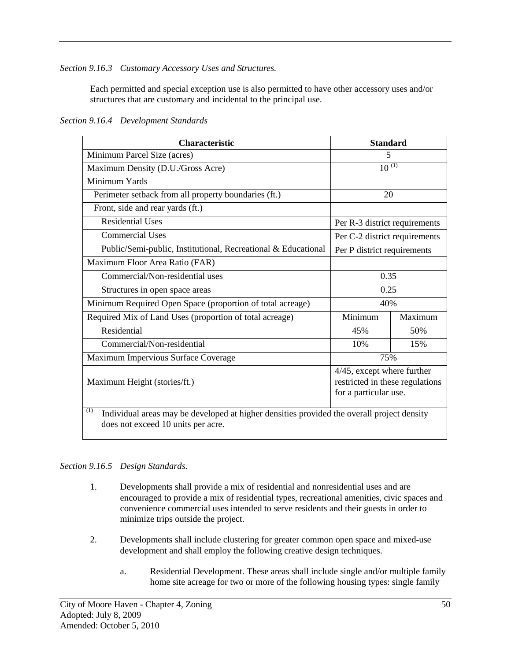*Section 9.16.3 Customary Accessory Uses and Structures.*

Each permitted and special exception use is also permitted to have other accessory uses and/or structures that are customary and incidental to the principal use.

*Section 9.16.4 Development Standards*

| <b>Characteristic</b>                                                                                                                   | <b>Standard</b>               |         |
|-----------------------------------------------------------------------------------------------------------------------------------------|-------------------------------|---------|
| Minimum Parcel Size (acres)                                                                                                             | 5                             |         |
| Maximum Density (D.U./Gross Acre)                                                                                                       | $10^{(1)}$                    |         |
| Minimum Yards                                                                                                                           |                               |         |
| Perimeter setback from all property boundaries (ft.)                                                                                    | 20                            |         |
| Front, side and rear yards (ft.)                                                                                                        |                               |         |
| <b>Residential Uses</b>                                                                                                                 | Per R-3 district requirements |         |
| <b>Commercial Uses</b>                                                                                                                  | Per C-2 district requirements |         |
| Public/Semi-public, Institutional, Recreational & Educational                                                                           | Per P district requirements   |         |
| Maximum Floor Area Ratio (FAR)                                                                                                          |                               |         |
| Commercial/Non-residential uses                                                                                                         | 0.35                          |         |
| Structures in open space areas                                                                                                          | 0.25                          |         |
| Minimum Required Open Space (proportion of total acreage)                                                                               | 40%                           |         |
| Required Mix of Land Uses (proportion of total acreage)                                                                                 | Minimum                       | Maximum |
| Residential                                                                                                                             | 45%                           | 50%     |
| Commercial/Non-residential                                                                                                              | 10%                           | 15%     |
| Maximum Impervious Surface Coverage                                                                                                     | 75%                           |         |
| 4/45, except where further<br>restricted in these regulations<br>Maximum Height (stories/ft.)<br>for a particular use.                  |                               |         |
| (1)<br>Individual areas may be developed at higher densities provided the overall project density<br>does not exceed 10 units per acre. |                               |         |

### *Section 9.16.5 Design Standards.*

- 1. Developments shall provide a mix of residential and nonresidential uses and are encouraged to provide a mix of residential types, recreational amenities, civic spaces and convenience commercial uses intended to serve residents and their guests in order to minimize trips outside the project.
- 2. Developments shall include clustering for greater common open space and mixed-use development and shall employ the following creative design techniques.
	- a. Residential Development. These areas shall include single and/or multiple family home site acreage for two or more of the following housing types: single family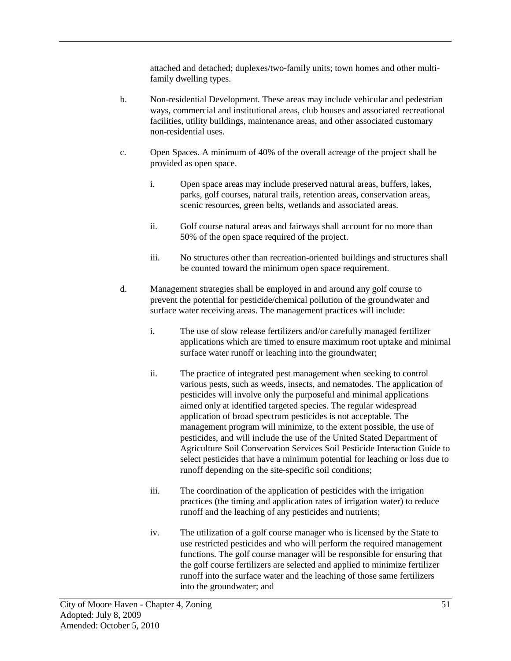attached and detached; duplexes/two-family units; town homes and other multifamily dwelling types.

- b. Non-residential Development. These areas may include vehicular and pedestrian ways, commercial and institutional areas, club houses and associated recreational facilities, utility buildings, maintenance areas, and other associated customary non-residential uses.
- c. Open Spaces. A minimum of 40% of the overall acreage of the project shall be provided as open space.
	- i. Open space areas may include preserved natural areas, buffers, lakes, parks, golf courses, natural trails, retention areas, conservation areas, scenic resources, green belts, wetlands and associated areas.
	- ii. Golf course natural areas and fairways shall account for no more than 50% of the open space required of the project.
	- iii. No structures other than recreation-oriented buildings and structures shall be counted toward the minimum open space requirement.
- d. Management strategies shall be employed in and around any golf course to prevent the potential for pesticide/chemical pollution of the groundwater and surface water receiving areas. The management practices will include:
	- i. The use of slow release fertilizers and/or carefully managed fertilizer applications which are timed to ensure maximum root uptake and minimal surface water runoff or leaching into the groundwater;
	- ii. The practice of integrated pest management when seeking to control various pests, such as weeds, insects, and nematodes. The application of pesticides will involve only the purposeful and minimal applications aimed only at identified targeted species. The regular widespread application of broad spectrum pesticides is not acceptable. The management program will minimize, to the extent possible, the use of pesticides, and will include the use of the United Stated Department of Agriculture Soil Conservation Services Soil Pesticide Interaction Guide to select pesticides that have a minimum potential for leaching or loss due to runoff depending on the site-specific soil conditions;
	- iii. The coordination of the application of pesticides with the irrigation practices (the timing and application rates of irrigation water) to reduce runoff and the leaching of any pesticides and nutrients;
	- iv. The utilization of a golf course manager who is licensed by the State to use restricted pesticides and who will perform the required management functions. The golf course manager will be responsible for ensuring that the golf course fertilizers are selected and applied to minimize fertilizer runoff into the surface water and the leaching of those same fertilizers into the groundwater; and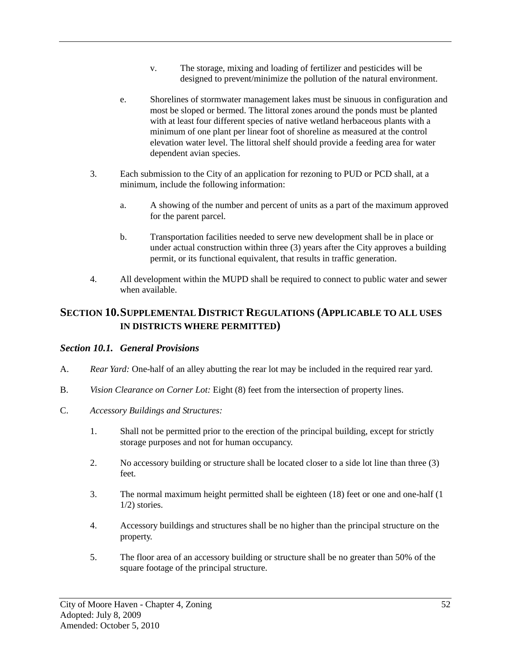- v. The storage, mixing and loading of fertilizer and pesticides will be designed to prevent/minimize the pollution of the natural environment.
- e. Shorelines of stormwater management lakes must be sinuous in configuration and most be sloped or bermed. The littoral zones around the ponds must be planted with at least four different species of native wetland herbaceous plants with a minimum of one plant per linear foot of shoreline as measured at the control elevation water level. The littoral shelf should provide a feeding area for water dependent avian species.
- 3. Each submission to the City of an application for rezoning to PUD or PCD shall, at a minimum, include the following information:
	- a. A showing of the number and percent of units as a part of the maximum approved for the parent parcel.
	- b. Transportation facilities needed to serve new development shall be in place or under actual construction within three  $(3)$  years after the City approves a building permit, or its functional equivalent, that results in traffic generation.
- 4. All development within the MUPD shall be required to connect to public water and sewer when available.

# **SECTION 10.SUPPLEMENTAL DISTRICT REGULATIONS (APPLICABLE TO ALL USES IN DISTRICTS WHERE PERMITTED)**

### *Section 10.1. General Provisions*

- A. *Rear Yard:* One-half of an alley abutting the rear lot may be included in the required rear yard.
- B. *Vision Clearance on Corner Lot:* Eight (8) feet from the intersection of property lines.
- C. *Accessory Buildings and Structures:*
	- 1. Shall not be permitted prior to the erection of the principal building, except for strictly storage purposes and not for human occupancy.
	- 2. No accessory building or structure shall be located closer to a side lot line than three (3) feet.
	- 3. The normal maximum height permitted shall be eighteen (18) feet or one and one-half (1 1/2) stories.
	- 4. Accessory buildings and structures shall be no higher than the principal structure on the property.
	- 5. The floor area of an accessory building or structure shall be no greater than 50% of the square footage of the principal structure.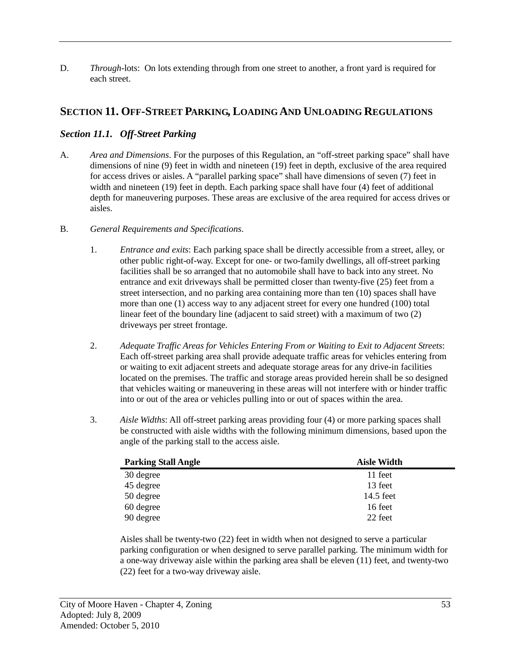D. *Through*-lots: On lots extending through from one street to another, a front yard is required for each street.

# **SECTION 11. OFF-STREET PARKING, LOADING AND UNLOADING REGULATIONS**

## *Section 11.1. Off-Street Parking*

- A. *Area and Dimensions*. For the purposes of this Regulation, an "off-street parking space" shall have dimensions of nine (9) feet in width and nineteen (19) feet in depth, exclusive of the area required for access drives or aisles. A "parallel parking space" shall have dimensions of seven (7) feet in width and nineteen (19) feet in depth. Each parking space shall have four (4) feet of additional depth for maneuvering purposes. These areas are exclusive of the area required for access drives or aisles.
- B. *General Requirements and Specifications*.
	- 1. *Entrance and exits*: Each parking space shall be directly accessible from a street, alley, or other public right-of-way. Except for one- or two-family dwellings, all off-street parking facilities shall be so arranged that no automobile shall have to back into any street. No entrance and exit driveways shall be permitted closer than twenty-five (25) feet from a street intersection, and no parking area containing more than ten (10) spaces shall have more than one (1) access way to any adjacent street for every one hundred (100) total linear feet of the boundary line (adjacent to said street) with a maximum of two (2) driveways per street frontage.
	- 2. *Adequate Traffic Areas for Vehicles Entering From or Waiting to Exit to Adjacent Streets*: Each off-street parking area shall provide adequate traffic areas for vehicles entering from or waiting to exit adjacent streets and adequate storage areas for any drive-in facilities located on the premises. The traffic and storage areas provided herein shall be so designed that vehicles waiting or maneuvering in these areas will not interfere with or hinder traffic into or out of the area or vehicles pulling into or out of spaces within the area.
	- 3. *Aisle Widths*: All off-street parking areas providing four (4) or more parking spaces shall be constructed with aisle widths with the following minimum dimensions, based upon the angle of the parking stall to the access aisle.

| <b>Parking Stall Angle</b> | <b>Aisle Width</b> |
|----------------------------|--------------------|
| 30 degree                  | 11 feet            |
| 45 degree                  | 13 feet            |
| 50 degree                  | 14.5 feet          |
| 60 degree                  | 16 feet            |
| 90 degree                  | 22 feet            |

Aisles shall be twenty-two (22) feet in width when not designed to serve a particular parking configuration or when designed to serve parallel parking. The minimum width for a one-way driveway aisle within the parking area shall be eleven (11) feet, and twenty-two (22) feet for a two-way driveway aisle.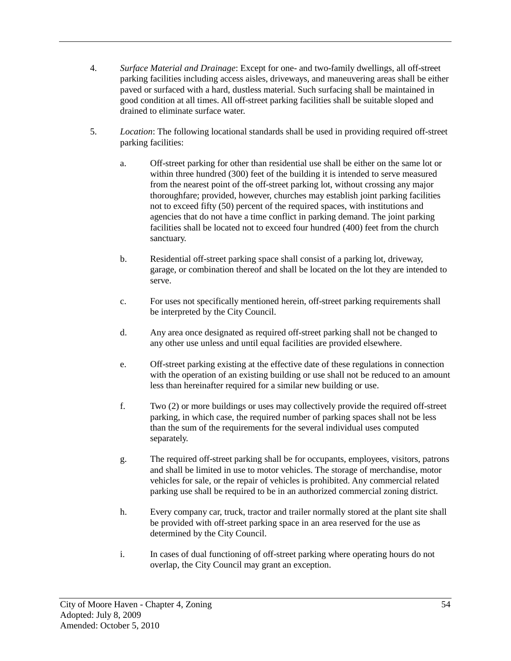- 4. *Surface Material and Drainage*: Except for one- and two-family dwellings, all off-street parking facilities including access aisles, driveways, and maneuvering areas shall be either paved or surfaced with a hard, dustless material. Such surfacing shall be maintained in good condition at all times. All off-street parking facilities shall be suitable sloped and drained to eliminate surface water.
- 5. *Location*: The following locational standards shall be used in providing required off-street parking facilities:
	- a. Off-street parking for other than residential use shall be either on the same lot or within three hundred (300) feet of the building it is intended to serve measured from the nearest point of the off-street parking lot, without crossing any major thoroughfare; provided, however, churches may establish joint parking facilities not to exceed fifty (50) percent of the required spaces, with institutions and agencies that do not have a time conflict in parking demand. The joint parking facilities shall be located not to exceed four hundred (400) feet from the church sanctuary.
	- b. Residential off-street parking space shall consist of a parking lot, driveway, garage, or combination thereof and shall be located on the lot they are intended to serve.
	- c. For uses not specifically mentioned herein, off-street parking requirements shall be interpreted by the City Council.
	- d. Any area once designated as required off-street parking shall not be changed to any other use unless and until equal facilities are provided elsewhere.
	- e. Off-street parking existing at the effective date of these regulations in connection with the operation of an existing building or use shall not be reduced to an amount less than hereinafter required for a similar new building or use.
	- f. Two (2) or more buildings or uses may collectively provide the required off-street parking, in which case, the required number of parking spaces shall not be less than the sum of the requirements for the several individual uses computed separately.
	- g. The required off-street parking shall be for occupants, employees, visitors, patrons and shall be limited in use to motor vehicles. The storage of merchandise, motor vehicles for sale, or the repair of vehicles is prohibited. Any commercial related parking use shall be required to be in an authorized commercial zoning district.
	- h. Every company car, truck, tractor and trailer normally stored at the plant site shall be provided with off-street parking space in an area reserved for the use as determined by the City Council.
	- i. In cases of dual functioning of off-street parking where operating hours do not overlap, the City Council may grant an exception.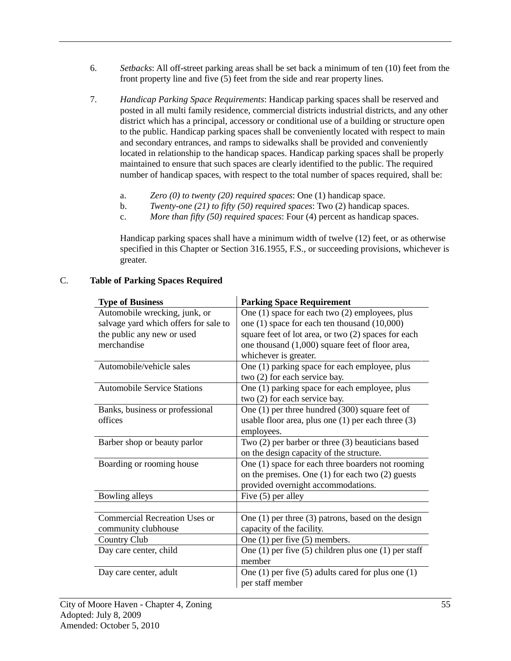- 6. *Setbacks*: All off-street parking areas shall be set back a minimum of ten (10) feet from the front property line and five (5) feet from the side and rear property lines.
- 7. *Handicap Parking Space Requirements*: Handicap parking spaces shall be reserved and posted in all multi family residence, commercial districts industrial districts, and any other district which has a principal, accessory or conditional use of a building or structure open to the public. Handicap parking spaces shall be conveniently located with respect to main and secondary entrances, and ramps to sidewalks shall be provided and conveniently located in relationship to the handicap spaces. Handicap parking spaces shall be properly maintained to ensure that such spaces are clearly identified to the public. The required number of handicap spaces, with respect to the total number of spaces required, shall be:
	- a. *Zero (0) to twenty (20) required spaces*: One (1) handicap space.
	- b. *Twenty-one (21) to fifty (50) required spaces*: Two (2) handicap spaces.
	- c. *More than fifty (50) required spaces*: Four (4) percent as handicap spaces.

Handicap parking spaces shall have a minimum width of twelve (12) feet, or as otherwise specified in this Chapter or Section 316.1955, F.S., or succeeding provisions, whichever is greater.

| <b>Type of Business</b>               | <b>Parking Space Requirement</b>                         |
|---------------------------------------|----------------------------------------------------------|
| Automobile wrecking, junk, or         | One (1) space for each two (2) employees, plus           |
| salvage yard which offers for sale to | one $(1)$ space for each ten thousand $(10,000)$         |
| the public any new or used            | square feet of lot area, or two (2) spaces for each      |
| merchandise                           | one thousand (1,000) square feet of floor area,          |
|                                       | whichever is greater.                                    |
| Automobile/vehicle sales              | One (1) parking space for each employee, plus            |
|                                       | two (2) for each service bay.                            |
| <b>Automobile Service Stations</b>    | One (1) parking space for each employee, plus            |
|                                       | two (2) for each service bay.                            |
| Banks, business or professional       | One $(1)$ per three hundred $(300)$ square feet of       |
| offices                               | usable floor area, plus one $(1)$ per each three $(3)$   |
|                                       | employees.                                               |
| Barber shop or beauty parlor          | Two $(2)$ per barber or three $(3)$ beauticians based    |
|                                       | on the design capacity of the structure.                 |
| Boarding or rooming house             | One (1) space for each three boarders not rooming        |
|                                       | on the premises. One $(1)$ for each two $(2)$ guests     |
|                                       | provided overnight accommodations.                       |
| Bowling alleys                        | Five $(5)$ per alley                                     |
|                                       |                                                          |
| Commercial Recreation Uses or         | One $(1)$ per three $(3)$ patrons, based on the design   |
| community clubhouse                   | capacity of the facility.                                |
| <b>Country Club</b>                   | One $(1)$ per five $(5)$ members.                        |
| Day care center, child                | One (1) per five (5) children plus one (1) per staff     |
|                                       | member                                                   |
| Day care center, adult                | One $(1)$ per five $(5)$ adults cared for plus one $(1)$ |
|                                       | per staff member                                         |

#### C. **Table of Parking Spaces Required**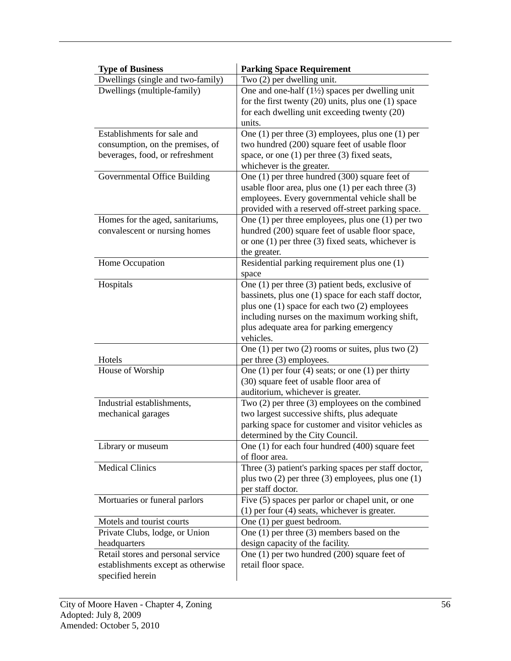| <b>Type of Business</b>                        | <b>Parking Space Requirement</b>                                                                         |
|------------------------------------------------|----------------------------------------------------------------------------------------------------------|
| Dwellings (single and two-family)              | Two (2) per dwelling unit.                                                                               |
| Dwellings (multiple-family)                    | One and one-half $(1\frac{1}{2})$ spaces per dwelling unit                                               |
|                                                | for the first twenty $(20)$ units, plus one $(1)$ space                                                  |
|                                                | for each dwelling unit exceeding twenty (20)                                                             |
|                                                | units.                                                                                                   |
| Establishments for sale and                    | One (1) per three (3) employees, plus one (1) per                                                        |
| consumption, on the premises, of               | two hundred (200) square feet of usable floor                                                            |
| beverages, food, or refreshment                | space, or one $(1)$ per three $(3)$ fixed seats,                                                         |
|                                                | whichever is the greater.                                                                                |
| Governmental Office Building                   | One $(1)$ per three hundred $(300)$ square feet of                                                       |
|                                                | usable floor area, plus one $(1)$ per each three $(3)$<br>employees. Every governmental vehicle shall be |
|                                                | provided with a reserved off-street parking space.                                                       |
| Homes for the aged, sanitariums,               | One (1) per three employees, plus one (1) per two                                                        |
| convalescent or nursing homes                  | hundred (200) square feet of usable floor space,                                                         |
|                                                | or one $(1)$ per three $(3)$ fixed seats, whichever is                                                   |
|                                                | the greater.                                                                                             |
| Home Occupation                                | Residential parking requirement plus one (1)                                                             |
|                                                | space                                                                                                    |
| Hospitals                                      | One $(1)$ per three $(3)$ patient beds, exclusive of                                                     |
|                                                | bassinets, plus one (1) space for each staff doctor,                                                     |
|                                                | plus one $(1)$ space for each two $(2)$ employees                                                        |
|                                                | including nurses on the maximum working shift,                                                           |
|                                                | plus adequate area for parking emergency                                                                 |
|                                                | vehicles.                                                                                                |
|                                                | One $(1)$ per two $(2)$ rooms or suites, plus two $(2)$                                                  |
| Hotels                                         | per three (3) employees.                                                                                 |
| House of Worship                               | One $(1)$ per four $(4)$ seats; or one $(1)$ per thirty                                                  |
|                                                | (30) square feet of usable floor area of<br>auditorium, whichever is greater.                            |
| Industrial establishments,                     | Two $(2)$ per three $(3)$ employees on the combined                                                      |
| mechanical garages                             | two largest successive shifts, plus adequate                                                             |
|                                                | parking space for customer and visitor vehicles as                                                       |
|                                                | determined by the City Council.                                                                          |
| Library or museum                              | One $(1)$ for each four hundred $(400)$ square feet                                                      |
|                                                | of floor area.                                                                                           |
| <b>Medical Clinics</b>                         | Three (3) patient's parking spaces per staff doctor,                                                     |
|                                                | plus two $(2)$ per three $(3)$ employees, plus one $(1)$                                                 |
|                                                | per staff doctor.                                                                                        |
| Mortuaries or funeral parlors                  | Five (5) spaces per parlor or chapel unit, or one                                                        |
|                                                | $(1)$ per four $(4)$ seats, whichever is greater.                                                        |
| Motels and tourist courts                      | One (1) per guest bedroom.                                                                               |
| Private Clubs, lodge, or Union<br>headquarters | One $(1)$ per three $(3)$ members based on the<br>design capacity of the facility.                       |
| Retail stores and personal service             | One (1) per two hundred (200) square feet of                                                             |
| establishments except as otherwise             | retail floor space.                                                                                      |
| specified herein                               |                                                                                                          |
|                                                |                                                                                                          |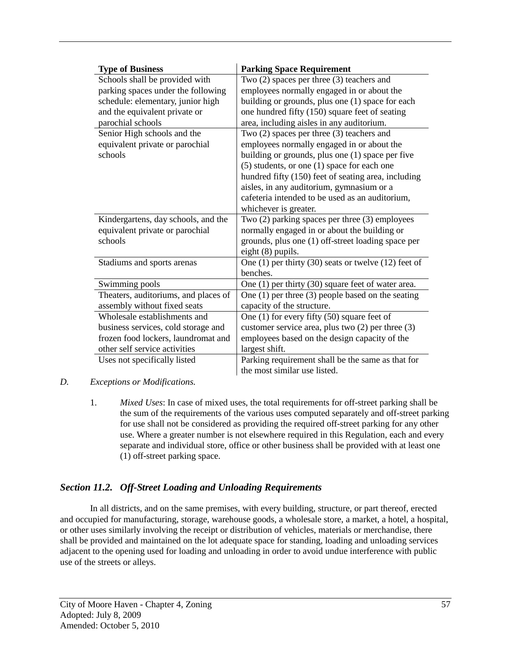| <b>Type of Business</b>              | <b>Parking Space Requirement</b>                           |
|--------------------------------------|------------------------------------------------------------|
| Schools shall be provided with       | Two (2) spaces per three (3) teachers and                  |
| parking spaces under the following   | employees normally engaged in or about the                 |
| schedule: elementary, junior high    | building or grounds, plus one (1) space for each           |
| and the equivalent private or        | one hundred fifty (150) square feet of seating             |
| parochial schools                    | area, including aisles in any auditorium.                  |
| Senior High schools and the          | Two $(2)$ spaces per three $(3)$ teachers and              |
| equivalent private or parochial      | employees normally engaged in or about the                 |
| schools                              | building or grounds, plus one (1) space per five           |
|                                      | $(5)$ students, or one $(1)$ space for each one            |
|                                      | hundred fifty (150) feet of seating area, including        |
|                                      | aisles, in any auditorium, gymnasium or a                  |
|                                      | cafeteria intended to be used as an auditorium,            |
|                                      | whichever is greater.                                      |
| Kindergartens, day schools, and the  | Two $(2)$ parking spaces per three $(3)$ employees         |
| equivalent private or parochial      | normally engaged in or about the building or               |
| schools                              | grounds, plus one (1) off-street loading space per         |
|                                      | eight $(8)$ pupils.                                        |
| Stadiums and sports arenas           | One $(1)$ per thirty $(30)$ seats or twelve $(12)$ feet of |
|                                      | benches.                                                   |
| Swimming pools                       | One $(1)$ per thirty $(30)$ square feet of water area.     |
| Theaters, auditoriums, and places of | One $(1)$ per three $(3)$ people based on the seating      |
| assembly without fixed seats         | capacity of the structure.                                 |
| Wholesale establishments and         | One $(1)$ for every fifty $(50)$ square feet of            |
| business services, cold storage and  | customer service area, plus two $(2)$ per three $(3)$      |
| frozen food lockers, laundromat and  | employees based on the design capacity of the              |
| other self service activities        | largest shift.                                             |
| Uses not specifically listed         | Parking requirement shall be the same as that for          |
|                                      | the most similar use listed.                               |

### *D. Exceptions or Modifications.*

1. *Mixed Uses*: In case of mixed uses, the total requirements for off-street parking shall be the sum of the requirements of the various uses computed separately and off-street parking for use shall not be considered as providing the required off-street parking for any other use. Where a greater number is not elsewhere required in this Regulation, each and every separate and individual store, office or other business shall be provided with at least one (1) off-street parking space.

# *Section 11.2. Off-Street Loading and Unloading Requirements*

In all districts, and on the same premises, with every building, structure, or part thereof, erected and occupied for manufacturing, storage, warehouse goods, a wholesale store, a market, a hotel, a hospital, or other uses similarly involving the receipt or distribution of vehicles, materials or merchandise, there shall be provided and maintained on the lot adequate space for standing, loading and unloading services adjacent to the opening used for loading and unloading in order to avoid undue interference with public use of the streets or alleys.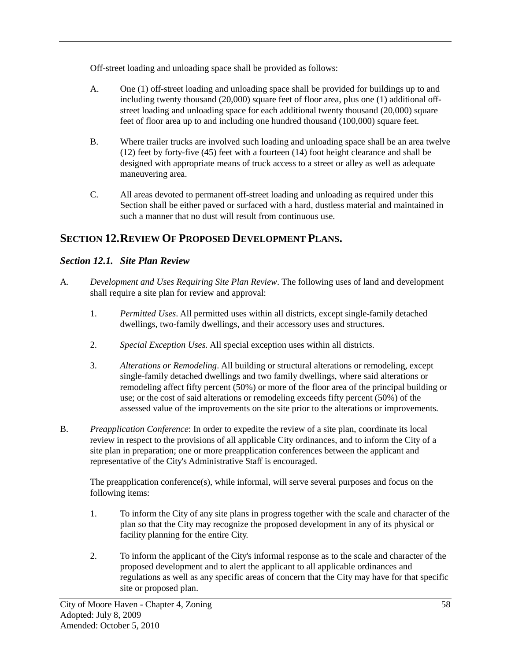Off-street loading and unloading space shall be provided as follows:

- A. One (1) off-street loading and unloading space shall be provided for buildings up to and including twenty thousand (20,000) square feet of floor area, plus one (1) additional offstreet loading and unloading space for each additional twenty thousand (20,000) square feet of floor area up to and including one hundred thousand (100,000) square feet.
- B. Where trailer trucks are involved such loading and unloading space shall be an area twelve (12) feet by forty-five (45) feet with a fourteen (14) foot height clearance and shall be designed with appropriate means of truck access to a street or alley as well as adequate maneuvering area.
- C. All areas devoted to permanent off-street loading and unloading as required under this Section shall be either paved or surfaced with a hard, dustless material and maintained in such a manner that no dust will result from continuous use.

# **SECTION 12.REVIEW OF PROPOSED DEVELOPMENT PLANS.**

# *Section 12.1. Site Plan Review*

- A. *Development and Uses Requiring Site Plan Review*. The following uses of land and development shall require a site plan for review and approval:
	- 1. *Permitted Uses*. All permitted uses within all districts, except single-family detached dwellings, two-family dwellings, and their accessory uses and structures.
	- 2. *Special Exception Uses.* All special exception uses within all districts.
	- 3. *Alterations or Remodeling*. All building or structural alterations or remodeling, except single-family detached dwellings and two family dwellings, where said alterations or remodeling affect fifty percent (50%) or more of the floor area of the principal building or use; or the cost of said alterations or remodeling exceeds fifty percent (50%) of the assessed value of the improvements on the site prior to the alterations or improvements.
- B. *Preapplication Conference*: In order to expedite the review of a site plan, coordinate its local review in respect to the provisions of all applicable City ordinances, and to inform the City of a site plan in preparation; one or more preapplication conferences between the applicant and representative of the City's Administrative Staff is encouraged.

The preapplication conference(s), while informal, will serve several purposes and focus on the following items:

- 1. To inform the City of any site plans in progress together with the scale and character of the plan so that the City may recognize the proposed development in any of its physical or facility planning for the entire City.
- 2. To inform the applicant of the City's informal response as to the scale and character of the proposed development and to alert the applicant to all applicable ordinances and regulations as well as any specific areas of concern that the City may have for that specific site or proposed plan.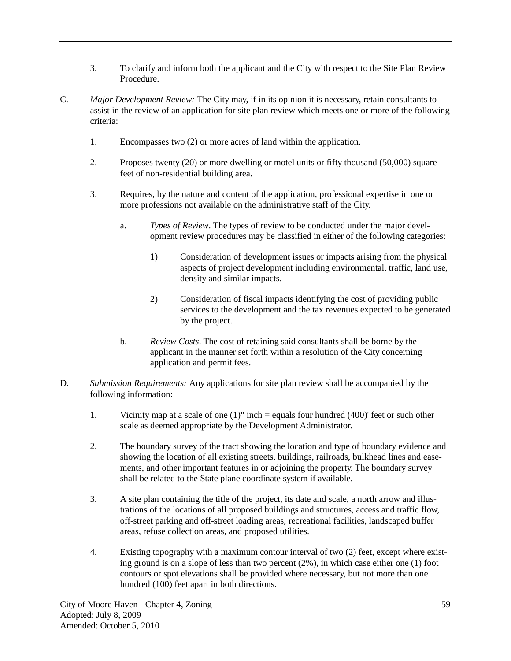- 3. To clarify and inform both the applicant and the City with respect to the Site Plan Review Procedure.
- C. *Major Development Review:* The City may, if in its opinion it is necessary, retain consultants to assist in the review of an application for site plan review which meets one or more of the following criteria:
	- 1. Encompasses two (2) or more acres of land within the application.
	- 2. Proposes twenty (20) or more dwelling or motel units or fifty thousand (50,000) square feet of non-residential building area.
	- 3. Requires, by the nature and content of the application, professional expertise in one or more professions not available on the administrative staff of the City.
		- a. *Types of Review*. The types of review to be conducted under the major development review procedures may be classified in either of the following categories:
			- 1) Consideration of development issues or impacts arising from the physical aspects of project development including environmental, traffic, land use, density and similar impacts.
			- 2) Consideration of fiscal impacts identifying the cost of providing public services to the development and the tax revenues expected to be generated by the project.
		- b. *Review Costs*. The cost of retaining said consultants shall be borne by the applicant in the manner set forth within a resolution of the City concerning application and permit fees.
- D. *Submission Requirements:* Any applications for site plan review shall be accompanied by the following information:
	- 1. Vicinity map at a scale of one (1)" inch = equals four hundred (400)' feet or such other scale as deemed appropriate by the Development Administrator.
	- 2. The boundary survey of the tract showing the location and type of boundary evidence and showing the location of all existing streets, buildings, railroads, bulkhead lines and easements, and other important features in or adjoining the property. The boundary survey shall be related to the State plane coordinate system if available.
	- 3. A site plan containing the title of the project, its date and scale, a north arrow and illustrations of the locations of all proposed buildings and structures, access and traffic flow, off-street parking and off-street loading areas, recreational facilities, landscaped buffer areas, refuse collection areas, and proposed utilities.
	- 4. Existing topography with a maximum contour interval of two (2) feet, except where existing ground is on a slope of less than two percent (2%), in which case either one (1) foot contours or spot elevations shall be provided where necessary, but not more than one hundred (100) feet apart in both directions.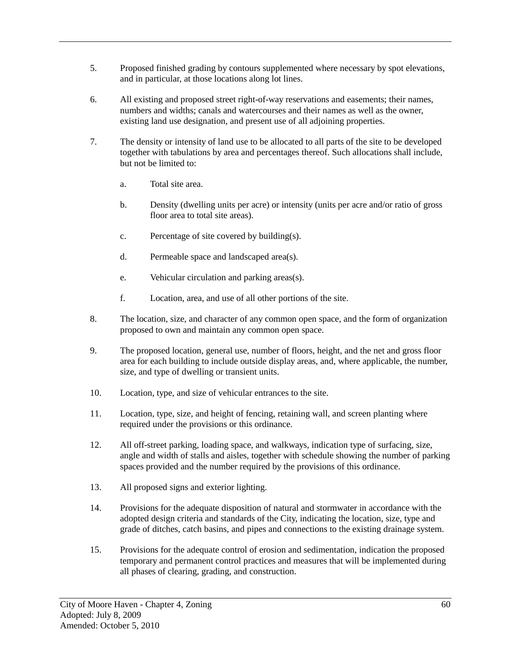- 5. Proposed finished grading by contours supplemented where necessary by spot elevations, and in particular, at those locations along lot lines.
- 6. All existing and proposed street right-of-way reservations and easements; their names, numbers and widths; canals and watercourses and their names as well as the owner, existing land use designation, and present use of all adjoining properties.
- 7. The density or intensity of land use to be allocated to all parts of the site to be developed together with tabulations by area and percentages thereof. Such allocations shall include, but not be limited to:
	- a. Total site area.
	- b. Density (dwelling units per acre) or intensity (units per acre and/or ratio of gross floor area to total site areas).
	- c. Percentage of site covered by building(s).
	- d. Permeable space and landscaped area(s).
	- e. Vehicular circulation and parking areas(s).
	- f. Location, area, and use of all other portions of the site.
- 8. The location, size, and character of any common open space, and the form of organization proposed to own and maintain any common open space.
- 9. The proposed location, general use, number of floors, height, and the net and gross floor area for each building to include outside display areas, and, where applicable, the number, size, and type of dwelling or transient units.
- 10. Location, type, and size of vehicular entrances to the site.
- 11. Location, type, size, and height of fencing, retaining wall, and screen planting where required under the provisions or this ordinance.
- 12. All off-street parking, loading space, and walkways, indication type of surfacing, size, angle and width of stalls and aisles, together with schedule showing the number of parking spaces provided and the number required by the provisions of this ordinance.
- 13. All proposed signs and exterior lighting.
- 14. Provisions for the adequate disposition of natural and stormwater in accordance with the adopted design criteria and standards of the City, indicating the location, size, type and grade of ditches, catch basins, and pipes and connections to the existing drainage system.
- 15. Provisions for the adequate control of erosion and sedimentation, indication the proposed temporary and permanent control practices and measures that will be implemented during all phases of clearing, grading, and construction.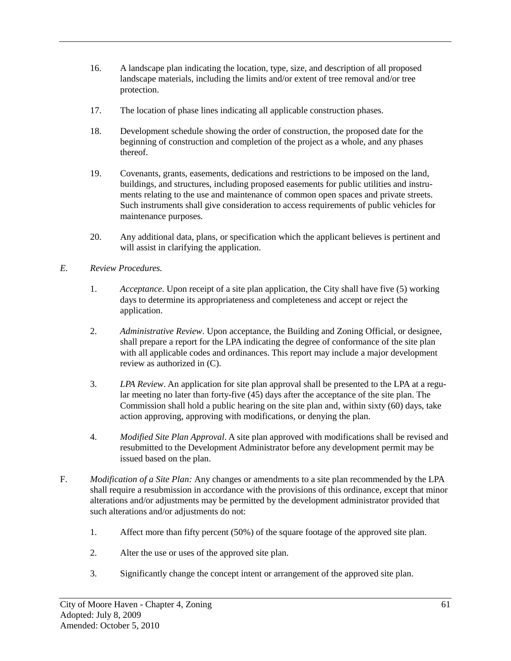- 16. A landscape plan indicating the location, type, size, and description of all proposed landscape materials, including the limits and/or extent of tree removal and/or tree protection.
- 17. The location of phase lines indicating all applicable construction phases.
- 18. Development schedule showing the order of construction, the proposed date for the beginning of construction and completion of the project as a whole, and any phases thereof.
- 19. Covenants, grants, easements, dedications and restrictions to be imposed on the land, buildings, and structures, including proposed easements for public utilities and instruments relating to the use and maintenance of common open spaces and private streets. Such instruments shall give consideration to access requirements of public vehicles for maintenance purposes.
- 20. Any additional data, plans, or specification which the applicant believes is pertinent and will assist in clarifying the application.
- *E. Review Procedures.*
	- 1. *Acceptance*. Upon receipt of a site plan application, the City shall have five (5) working days to determine its appropriateness and completeness and accept or reject the application.
	- 2. *Administrative Review*. Upon acceptance, the Building and Zoning Official, or designee, shall prepare a report for the LPA indicating the degree of conformance of the site plan with all applicable codes and ordinances. This report may include a major development review as authorized in (C).
	- 3. *LPA Review*. An application for site plan approval shall be presented to the LPA at a regular meeting no later than forty-five (45) days after the acceptance of the site plan. The Commission shall hold a public hearing on the site plan and, within sixty (60) days, take action approving, approving with modifications, or denying the plan.
	- 4. *Modified Site Plan Approval*. A site plan approved with modifications shall be revised and resubmitted to the Development Administrator before any development permit may be issued based on the plan.
- F. *Modification of a Site Plan:* Any changes or amendments to a site plan recommended by the LPA shall require a resubmission in accordance with the provisions of this ordinance, except that minor alterations and/or adjustments may be permitted by the development administrator provided that such alterations and/or adjustments do not:
	- 1. Affect more than fifty percent (50%) of the square footage of the approved site plan.
	- 2. Alter the use or uses of the approved site plan.
	- 3. Significantly change the concept intent or arrangement of the approved site plan.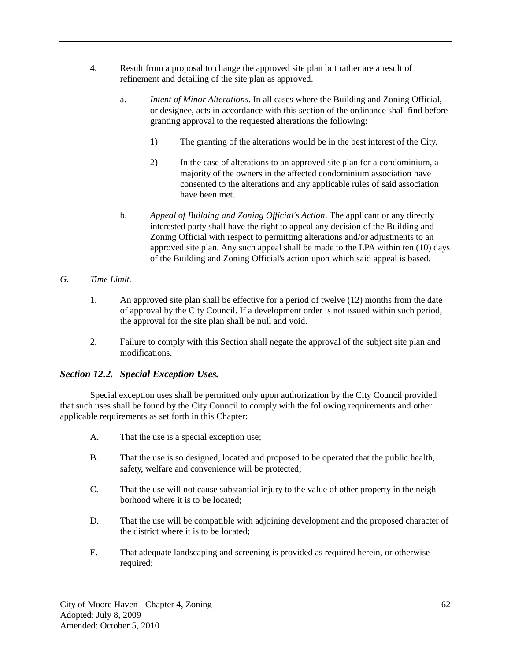- 4. Result from a proposal to change the approved site plan but rather are a result of refinement and detailing of the site plan as approved.
	- a. *Intent of Minor Alterations*. In all cases where the Building and Zoning Official, or designee, acts in accordance with this section of the ordinance shall find before granting approval to the requested alterations the following:
		- 1) The granting of the alterations would be in the best interest of the City.
		- 2) In the case of alterations to an approved site plan for a condominium, a majority of the owners in the affected condominium association have consented to the alterations and any applicable rules of said association have been met.
	- b. *Appeal of Building and Zoning Official's Action*. The applicant or any directly interested party shall have the right to appeal any decision of the Building and Zoning Official with respect to permitting alterations and/or adjustments to an approved site plan. Any such appeal shall be made to the LPA within ten (10) days of the Building and Zoning Official's action upon which said appeal is based.

#### *G. Time Limit.*

- 1. An approved site plan shall be effective for a period of twelve (12) months from the date of approval by the City Council. If a development order is not issued within such period, the approval for the site plan shall be null and void.
- 2. Failure to comply with this Section shall negate the approval of the subject site plan and modifications.

### *Section 12.2. Special Exception Uses.*

Special exception uses shall be permitted only upon authorization by the City Council provided that such uses shall be found by the City Council to comply with the following requirements and other applicable requirements as set forth in this Chapter:

- A. That the use is a special exception use;
- B. That the use is so designed, located and proposed to be operated that the public health, safety, welfare and convenience will be protected;
- C. That the use will not cause substantial injury to the value of other property in the neighborhood where it is to be located;
- D. That the use will be compatible with adjoining development and the proposed character of the district where it is to be located;
- E. That adequate landscaping and screening is provided as required herein, or otherwise required;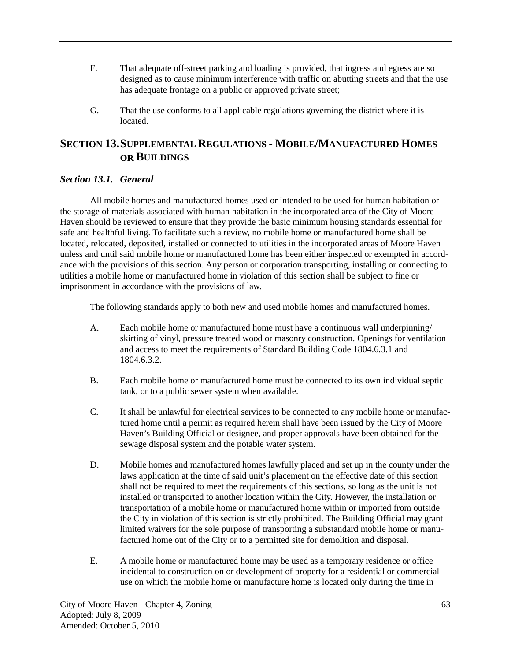- F. That adequate off-street parking and loading is provided, that ingress and egress are so designed as to cause minimum interference with traffic on abutting streets and that the use has adequate frontage on a public or approved private street;
- G. That the use conforms to all applicable regulations governing the district where it is located.

# **SECTION 13.SUPPLEMENTAL REGULATIONS - MOBILE/MANUFACTURED HOMES OR BUILDINGS**

## *Section 13.1. General*

All mobile homes and manufactured homes used or intended to be used for human habitation or the storage of materials associated with human habitation in the incorporated area of the City of Moore Haven should be reviewed to ensure that they provide the basic minimum housing standards essential for safe and healthful living. To facilitate such a review, no mobile home or manufactured home shall be located, relocated, deposited, installed or connected to utilities in the incorporated areas of Moore Haven unless and until said mobile home or manufactured home has been either inspected or exempted in accordance with the provisions of this section. Any person or corporation transporting, installing or connecting to utilities a mobile home or manufactured home in violation of this section shall be subject to fine or imprisonment in accordance with the provisions of law.

The following standards apply to both new and used mobile homes and manufactured homes.

- A. Each mobile home or manufactured home must have a continuous wall underpinning/ skirting of vinyl, pressure treated wood or masonry construction. Openings for ventilation and access to meet the requirements of Standard Building Code 1804.6.3.1 and 1804.6.3.2.
- B. Each mobile home or manufactured home must be connected to its own individual septic tank, or to a public sewer system when available.
- C. It shall be unlawful for electrical services to be connected to any mobile home or manufactured home until a permit as required herein shall have been issued by the City of Moore Haven's Building Official or designee, and proper approvals have been obtained for the sewage disposal system and the potable water system.
- D. Mobile homes and manufactured homes lawfully placed and set up in the county under the laws application at the time of said unit's placement on the effective date of this section shall not be required to meet the requirements of this sections, so long as the unit is not installed or transported to another location within the City. However, the installation or transportation of a mobile home or manufactured home within or imported from outside the City in violation of this section is strictly prohibited. The Building Official may grant limited waivers for the sole purpose of transporting a substandard mobile home or manufactured home out of the City or to a permitted site for demolition and disposal.
- E. A mobile home or manufactured home may be used as a temporary residence or office incidental to construction on or development of property for a residential or commercial use on which the mobile home or manufacture home is located only during the time in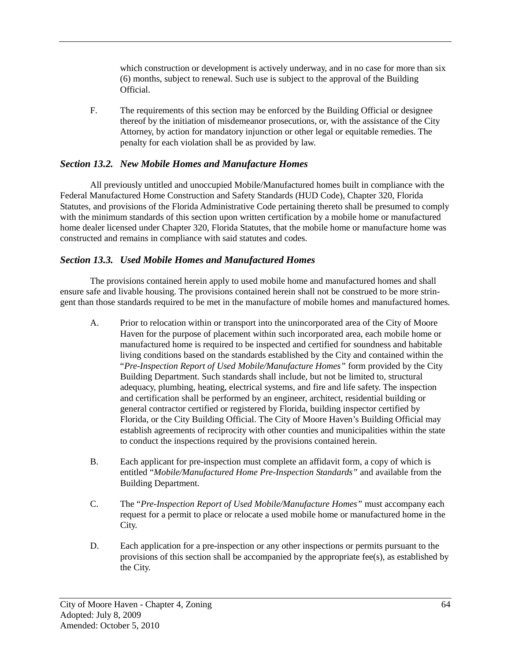which construction or development is actively underway, and in no case for more than six (6) months, subject to renewal. Such use is subject to the approval of the Building Official.

F. The requirements of this section may be enforced by the Building Official or designee thereof by the initiation of misdemeanor prosecutions, or, with the assistance of the City Attorney, by action for mandatory injunction or other legal or equitable remedies. The penalty for each violation shall be as provided by law.

## *Section 13.2. New Mobile Homes and Manufacture Homes*

All previously untitled and unoccupied Mobile/Manufactured homes built in compliance with the Federal Manufactured Home Construction and Safety Standards (HUD Code), Chapter 320, Florida Statutes, and provisions of the Florida Administrative Code pertaining thereto shall be presumed to comply with the minimum standards of this section upon written certification by a mobile home or manufactured home dealer licensed under Chapter 320, Florida Statutes, that the mobile home or manufacture home was constructed and remains in compliance with said statutes and codes.

### *Section 13.3. Used Mobile Homes and Manufactured Homes*

The provisions contained herein apply to used mobile home and manufactured homes and shall ensure safe and livable housing. The provisions contained herein shall not be construed to be more stringent than those standards required to be met in the manufacture of mobile homes and manufactured homes.

- A. Prior to relocation within or transport into the unincorporated area of the City of Moore Haven for the purpose of placement within such incorporated area, each mobile home or manufactured home is required to be inspected and certified for soundness and habitable living conditions based on the standards established by the City and contained within the "*Pre-Inspection Report of Used Mobile/Manufacture Homes"* form provided by the City Building Department. Such standards shall include, but not be limited to, structural adequacy, plumbing, heating, electrical systems, and fire and life safety. The inspection and certification shall be performed by an engineer, architect, residential building or general contractor certified or registered by Florida, building inspector certified by Florida, or the City Building Official. The City of Moore Haven's Building Official may establish agreements of reciprocity with other counties and municipalities within the state to conduct the inspections required by the provisions contained herein.
- B. Each applicant for pre-inspection must complete an affidavit form, a copy of which is entitled "*Mobile/Manufactured Home Pre-Inspection Standards"* and available from the Building Department.
- C. The "*Pre-Inspection Report of Used Mobile/Manufacture Homes"* must accompany each request for a permit to place or relocate a used mobile home or manufactured home in the City.
- D. Each application for a pre-inspection or any other inspections or permits pursuant to the provisions of this section shall be accompanied by the appropriate fee(s), as established by the City.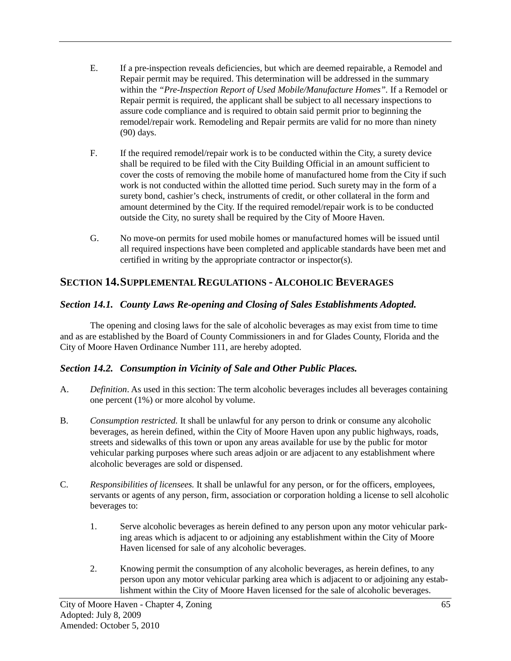- E. If a pre-inspection reveals deficiencies, but which are deemed repairable, a Remodel and Repair permit may be required. This determination will be addressed in the summary within the *"Pre-Inspection Report of Used Mobile/Manufacture Homes".* If a Remodel or Repair permit is required, the applicant shall be subject to all necessary inspections to assure code compliance and is required to obtain said permit prior to beginning the remodel/repair work. Remodeling and Repair permits are valid for no more than ninety (90) days.
- F. If the required remodel/repair work is to be conducted within the City, a surety device shall be required to be filed with the City Building Official in an amount sufficient to cover the costs of removing the mobile home of manufactured home from the City if such work is not conducted within the allotted time period. Such surety may in the form of a surety bond, cashier's check, instruments of credit, or other collateral in the form and amount determined by the City. If the required remodel/repair work is to be conducted outside the City, no surety shall be required by the City of Moore Haven.
- G. No move-on permits for used mobile homes or manufactured homes will be issued until all required inspections have been completed and applicable standards have been met and certified in writing by the appropriate contractor or inspector(s).

# **SECTION 14.SUPPLEMENTAL REGULATIONS - ALCOHOLIC BEVERAGES**

# *Section 14.1. County Laws Re-opening and Closing of Sales Establishments Adopted.*

The opening and closing laws for the sale of alcoholic beverages as may exist from time to time and as are established by the Board of County Commissioners in and for Glades County, Florida and the City of Moore Haven Ordinance Number 111, are hereby adopted.

# *Section 14.2. Consumption in Vicinity of Sale and Other Public Places.*

- A. *Definition*. As used in this section: The term alcoholic beverages includes all beverages containing one percent (1%) or more alcohol by volume.
- B. *Consumption restricted.* It shall be unlawful for any person to drink or consume any alcoholic beverages, as herein defined, within the City of Moore Haven upon any public highways, roads, streets and sidewalks of this town or upon any areas available for use by the public for motor vehicular parking purposes where such areas adjoin or are adjacent to any establishment where alcoholic beverages are sold or dispensed.
- C. *Responsibilities of licensees.* It shall be unlawful for any person, or for the officers, employees, servants or agents of any person, firm, association or corporation holding a license to sell alcoholic beverages to:
	- 1. Serve alcoholic beverages as herein defined to any person upon any motor vehicular parking areas which is adjacent to or adjoining any establishment within the City of Moore Haven licensed for sale of any alcoholic beverages.
	- 2. Knowing permit the consumption of any alcoholic beverages, as herein defines, to any person upon any motor vehicular parking area which is adjacent to or adjoining any establishment within the City of Moore Haven licensed for the sale of alcoholic beverages.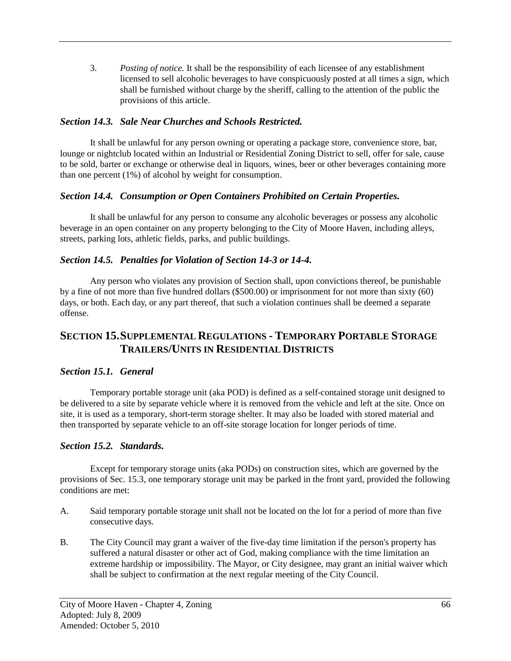3. *Posting of notice.* It shall be the responsibility of each licensee of any establishment licensed to sell alcoholic beverages to have conspicuously posted at all times a sign, which shall be furnished without charge by the sheriff, calling to the attention of the public the provisions of this article.

## *Section 14.3. Sale Near Churches and Schools Restricted.*

It shall be unlawful for any person owning or operating a package store, convenience store, bar, lounge or nightclub located within an Industrial or Residential Zoning District to sell, offer for sale, cause to be sold, barter or exchange or otherwise deal in liquors, wines, beer or other beverages containing more than one percent (1%) of alcohol by weight for consumption.

### *Section 14.4. Consumption or Open Containers Prohibited on Certain Properties.*

It shall be unlawful for any person to consume any alcoholic beverages or possess any alcoholic beverage in an open container on any property belonging to the City of Moore Haven, including alleys, streets, parking lots, athletic fields, parks, and public buildings.

# *Section 14.5. Penalties for Violation of Section 14-3 or 14-4.*

Any person who violates any provision of Section shall, upon convictions thereof, be punishable by a fine of not more than five hundred dollars (\$500.00) or imprisonment for not more than sixty (60) days, or both. Each day, or any part thereof, that such a violation continues shall be deemed a separate offense.

# **SECTION 15.SUPPLEMENTAL REGULATIONS - TEMPORARY PORTABLE STORAGE TRAILERS/UNITS IN RESIDENTIAL DISTRICTS**

# *Section 15.1. General*

Temporary portable storage unit (aka POD) is defined as a self-contained storage unit designed to be delivered to a site by separate vehicle where it is removed from the vehicle and left at the site. Once on site, it is used as a temporary, short-term storage shelter. It may also be loaded with stored material and then transported by separate vehicle to an off-site storage location for longer periods of time.

# *Section 15.2. Standards.*

Except for temporary storage units (aka PODs) on construction sites, which are governed by the provisions of Sec. 15.3, one temporary storage unit may be parked in the front yard, provided the following conditions are met:

- A. Said temporary portable storage unit shall not be located on the lot for a period of more than five consecutive days.
- B. The City Council may grant a waiver of the five-day time limitation if the person's property has suffered a natural disaster or other act of God, making compliance with the time limitation an extreme hardship or impossibility. The Mayor, or City designee, may grant an initial waiver which shall be subject to confirmation at the next regular meeting of the City Council.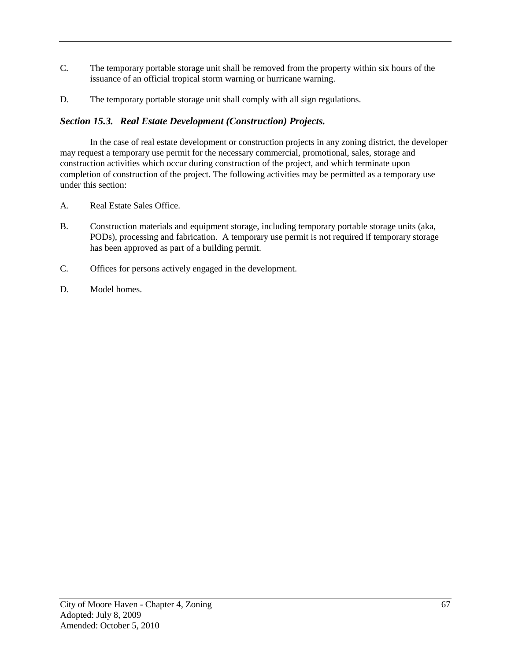- C. The temporary portable storage unit shall be removed from the property within six hours of the issuance of an official tropical storm warning or hurricane warning.
- D. The temporary portable storage unit shall comply with all sign regulations.

# *Section 15.3. Real Estate Development (Construction) Projects.*

In the case of real estate development or construction projects in any zoning district, the developer may request a temporary use permit for the necessary commercial, promotional, sales, storage and construction activities which occur during construction of the project, and which terminate upon completion of construction of the project. The following activities may be permitted as a temporary use under this section:

- A. Real Estate Sales Office.
- B. Construction materials and equipment storage, including temporary portable storage units (aka, PODs), processing and fabrication. A temporary use permit is not required if temporary storage has been approved as part of a building permit.
- C. Offices for persons actively engaged in the development.
- D. Model homes.